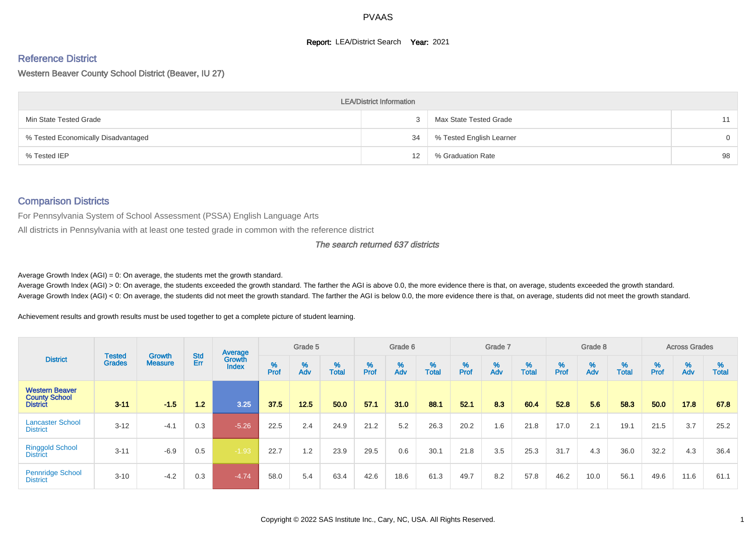#### **Report: LEA/District Search Year: 2021**

# Reference District

Western Beaver County School District (Beaver, IU 27)

|                                     | <b>LEA/District Information</b> |                          |                |
|-------------------------------------|---------------------------------|--------------------------|----------------|
| Min State Tested Grade              |                                 | Max State Tested Grade   | 11             |
| % Tested Economically Disadvantaged | 34                              | % Tested English Learner | $\overline{0}$ |
| % Tested IEP                        | 12                              | % Graduation Rate        | 98             |

#### Comparison Districts

For Pennsylvania System of School Assessment (PSSA) English Language Arts

All districts in Pennsylvania with at least one tested grade in common with the reference district

#### The search returned 637 districts

Average Growth Index  $(AGI) = 0$ : On average, the students met the growth standard.

Average Growth Index (AGI) > 0: On average, the students exceeded the growth standard. The farther the AGI is above 0.0, the more evidence there is that, on average, students exceeded the growth standard. Average Growth Index (AGI) < 0: On average, the students did not meet the growth standard. The farther the AGI is below 0.0, the more evidence there is that, on average, students did not meet the growth standard.

Achievement results and growth results must be used together to get a complete picture of student learning.

|                                                                  |                                |                                 |            | Average                |           | Grade 5  |                   |           | Grade 6  |                   |           | Grade 7  |                   |           | Grade 8  |                   |           | <b>Across Grades</b> |                   |
|------------------------------------------------------------------|--------------------------------|---------------------------------|------------|------------------------|-----------|----------|-------------------|-----------|----------|-------------------|-----------|----------|-------------------|-----------|----------|-------------------|-----------|----------------------|-------------------|
| <b>District</b>                                                  | <b>Tested</b><br><b>Grades</b> | <b>Growth</b><br><b>Measure</b> | Std<br>Err | Growth<br><b>Index</b> | %<br>Prof | %<br>Adv | %<br><b>Total</b> | %<br>Prof | %<br>Adv | %<br><b>Total</b> | %<br>Prof | %<br>Adv | %<br><b>Total</b> | %<br>Prof | %<br>Adv | %<br><b>Total</b> | %<br>Prof | %<br>Adv             | %<br><b>Total</b> |
| <b>Western Beaver</b><br><b>County School</b><br><b>District</b> | $3 - 11$                       | $-1.5$                          | 1.2        | 3.25                   | 37.5      | 12.5     | 50.0              | 57.1      | 31.0     | 88.1              | 52.1      | 8.3      | 60.4              | 52.8      | 5.6      | 58.3              | 50.0      | 17.8                 | 67.8              |
| <b>Lancaster School</b><br><b>District</b>                       | $3 - 12$                       | $-4.1$                          | 0.3        | $-5.26$                | 22.5      | 2.4      | 24.9              | 21.2      | 5.2      | 26.3              | 20.2      | 1.6      | 21.8              | 17.0      | 2.1      | 19.1              | 21.5      | 3.7                  | 25.2              |
| <b>Ringgold School</b><br><b>District</b>                        | $3 - 11$                       | $-6.9$                          | 0.5        | $-1.93$                | 22.7      | 1.2      | 23.9              | 29.5      | 0.6      | 30.1              | 21.8      | 3.5      | 25.3              | 31.7      | 4.3      | 36.0              | 32.2      | 4.3                  | 36.4              |
| <b>Pennridge School</b><br><b>District</b>                       | $3 - 10$                       | $-4.2$                          | 0.3        | $-4.74$                | 58.0      | 5.4      | 63.4              | 42.6      | 18.6     | 61.3              | 49.7      | 8.2      | 57.8              | 46.2      | 10.0     | 56.1              | 49.6      | 11.6                 | 61.1              |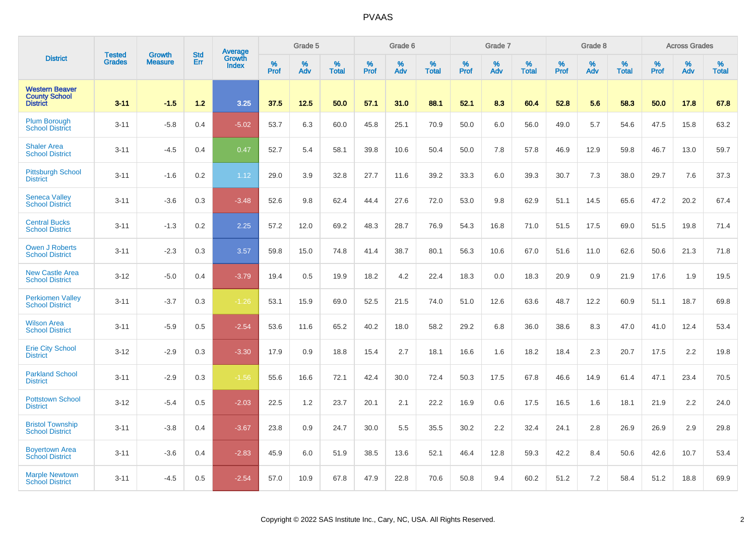|                                                                  |                         | <b>Growth</b>  | <b>Std</b> | Average                |                     | Grade 5  |                      |              | Grade 6  |                      |                     | Grade 7     |                      |                     | Grade 8     |                   |                     | <b>Across Grades</b> |                   |
|------------------------------------------------------------------|-------------------------|----------------|------------|------------------------|---------------------|----------|----------------------|--------------|----------|----------------------|---------------------|-------------|----------------------|---------------------|-------------|-------------------|---------------------|----------------------|-------------------|
| <b>District</b>                                                  | <b>Tested</b><br>Grades | <b>Measure</b> | Err        | Growth<br><b>Index</b> | $\%$<br><b>Prof</b> | %<br>Adv | $\%$<br><b>Total</b> | $\%$<br>Prof | %<br>Adv | $\%$<br><b>Total</b> | $\%$<br><b>Prof</b> | $\%$<br>Adv | $\%$<br><b>Total</b> | $\%$<br><b>Prof</b> | $\%$<br>Adv | %<br><b>Total</b> | $\%$<br><b>Prof</b> | %<br>Adv             | %<br><b>Total</b> |
| <b>Western Beaver</b><br><b>County School</b><br><b>District</b> | $3 - 11$                | $-1.5$         | 1.2        | 3.25                   | 37.5                | 12.5     | 50.0                 | 57.1         | 31.0     | 88.1                 | 52.1                | 8.3         | 60.4                 | 52.8                | 5.6         | 58.3              | 50.0                | 17.8                 | 67.8              |
| Plum Borough<br><b>School District</b>                           | $3 - 11$                | $-5.8$         | 0.4        | $-5.02$                | 53.7                | 6.3      | 60.0                 | 45.8         | 25.1     | 70.9                 | 50.0                | 6.0         | 56.0                 | 49.0                | 5.7         | 54.6              | 47.5                | 15.8                 | 63.2              |
| <b>Shaler Area</b><br><b>School District</b>                     | $3 - 11$                | $-4.5$         | 0.4        | 0.47                   | 52.7                | 5.4      | 58.1                 | 39.8         | 10.6     | 50.4                 | 50.0                | 7.8         | 57.8                 | 46.9                | 12.9        | 59.8              | 46.7                | 13.0                 | 59.7              |
| <b>Pittsburgh School</b><br><b>District</b>                      | $3 - 11$                | $-1.6$         | 0.2        | 1.12                   | 29.0                | 3.9      | 32.8                 | 27.7         | 11.6     | 39.2                 | 33.3                | 6.0         | 39.3                 | 30.7                | 7.3         | 38.0              | 29.7                | 7.6                  | 37.3              |
| <b>Seneca Valley</b><br><b>School District</b>                   | $3 - 11$                | $-3.6$         | 0.3        | $-3.48$                | 52.6                | 9.8      | 62.4                 | 44.4         | 27.6     | 72.0                 | 53.0                | 9.8         | 62.9                 | 51.1                | 14.5        | 65.6              | 47.2                | 20.2                 | 67.4              |
| <b>Central Bucks</b><br><b>School District</b>                   | $3 - 11$                | $-1.3$         | 0.2        | 2.25                   | 57.2                | 12.0     | 69.2                 | 48.3         | 28.7     | 76.9                 | 54.3                | 16.8        | 71.0                 | 51.5                | 17.5        | 69.0              | 51.5                | 19.8                 | 71.4              |
| <b>Owen J Roberts</b><br><b>School District</b>                  | $3 - 11$                | $-2.3$         | 0.3        | 3.57                   | 59.8                | 15.0     | 74.8                 | 41.4         | 38.7     | 80.1                 | 56.3                | 10.6        | 67.0                 | 51.6                | 11.0        | 62.6              | 50.6                | 21.3                 | 71.8              |
| <b>New Castle Area</b><br><b>School District</b>                 | $3 - 12$                | $-5.0$         | 0.4        | $-3.79$                | 19.4                | 0.5      | 19.9                 | 18.2         | 4.2      | 22.4                 | 18.3                | 0.0         | 18.3                 | 20.9                | 0.9         | 21.9              | 17.6                | 1.9                  | 19.5              |
| <b>Perkiomen Valley</b><br><b>School District</b>                | $3 - 11$                | $-3.7$         | 0.3        | $-1.26$                | 53.1                | 15.9     | 69.0                 | 52.5         | 21.5     | 74.0                 | 51.0                | 12.6        | 63.6                 | 48.7                | 12.2        | 60.9              | 51.1                | 18.7                 | 69.8              |
| <b>Wilson Area</b><br><b>School District</b>                     | $3 - 11$                | $-5.9$         | 0.5        | $-2.54$                | 53.6                | 11.6     | 65.2                 | 40.2         | 18.0     | 58.2                 | 29.2                | 6.8         | 36.0                 | 38.6                | 8.3         | 47.0              | 41.0                | 12.4                 | 53.4              |
| <b>Erie City School</b><br><b>District</b>                       | $3 - 12$                | $-2.9$         | 0.3        | $-3.30$                | 17.9                | 0.9      | 18.8                 | 15.4         | 2.7      | 18.1                 | 16.6                | 1.6         | 18.2                 | 18.4                | 2.3         | 20.7              | 17.5                | 2.2                  | 19.8              |
| <b>Parkland School</b><br><b>District</b>                        | $3 - 11$                | $-2.9$         | 0.3        | $-1.56$                | 55.6                | 16.6     | 72.1                 | 42.4         | 30.0     | 72.4                 | 50.3                | 17.5        | 67.8                 | 46.6                | 14.9        | 61.4              | 47.1                | 23.4                 | 70.5              |
| <b>Pottstown School</b><br><b>District</b>                       | $3 - 12$                | $-5.4$         | 0.5        | $-2.03$                | 22.5                | 1.2      | 23.7                 | 20.1         | 2.1      | 22.2                 | 16.9                | 0.6         | 17.5                 | 16.5                | 1.6         | 18.1              | 21.9                | 2.2                  | 24.0              |
| <b>Bristol Township</b><br><b>School District</b>                | $3 - 11$                | $-3.8$         | 0.4        | $-3.67$                | 23.8                | 0.9      | 24.7                 | 30.0         | 5.5      | 35.5                 | 30.2                | 2.2         | 32.4                 | 24.1                | 2.8         | 26.9              | 26.9                | 2.9                  | 29.8              |
| <b>Boyertown Area</b><br><b>School District</b>                  | $3 - 11$                | $-3.6$         | 0.4        | $-2.83$                | 45.9                | 6.0      | 51.9                 | 38.5         | 13.6     | 52.1                 | 46.4                | 12.8        | 59.3                 | 42.2                | 8.4         | 50.6              | 42.6                | 10.7                 | 53.4              |
| <b>Marple Newtown</b><br><b>School District</b>                  | $3 - 11$                | $-4.5$         | 0.5        | $-2.54$                | 57.0                | 10.9     | 67.8                 | 47.9         | 22.8     | 70.6                 | 50.8                | 9.4         | 60.2                 | 51.2                | 7.2         | 58.4              | 51.2                | 18.8                 | 69.9              |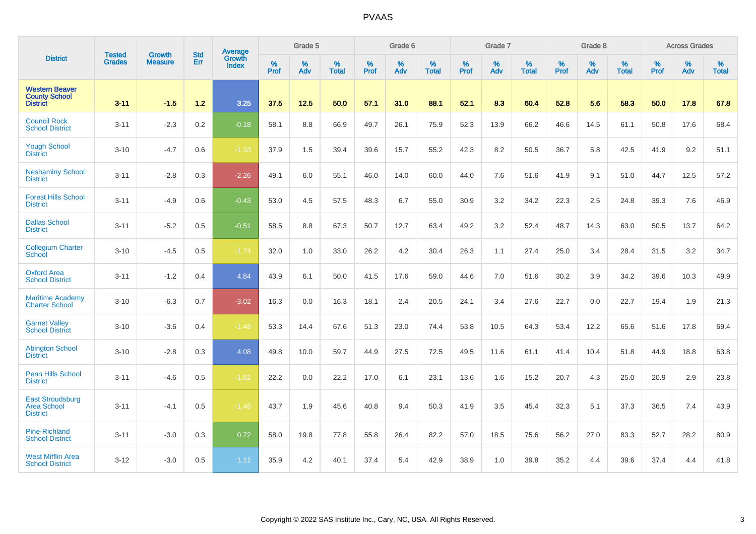|                                                                  | <b>Tested</b> | <b>Growth</b>  | <b>Std</b> | Average                |                  | Grade 5  |                   |           | Grade 6  |                   |           | Grade 7  |                   |           | Grade 8  |                   |           | <b>Across Grades</b> |                   |
|------------------------------------------------------------------|---------------|----------------|------------|------------------------|------------------|----------|-------------------|-----------|----------|-------------------|-----------|----------|-------------------|-----------|----------|-------------------|-----------|----------------------|-------------------|
| <b>District</b>                                                  | <b>Grades</b> | <b>Measure</b> | Err        | Growth<br><b>Index</b> | %<br><b>Prof</b> | %<br>Adv | %<br><b>Total</b> | %<br>Prof | %<br>Adv | %<br><b>Total</b> | %<br>Prof | %<br>Adv | %<br><b>Total</b> | %<br>Prof | %<br>Adv | %<br><b>Total</b> | %<br>Prof | %<br>Adv             | %<br><b>Total</b> |
| <b>Western Beaver</b><br><b>County School</b><br><b>District</b> | $3 - 11$      | $-1.5$         | 1.2        | 3.25                   | 37.5             | 12.5     | 50.0              | 57.1      | 31.0     | 88.1              | 52.1      | 8.3      | 60.4              | 52.8      | 5.6      | 58.3              | 50.0      | 17.8                 | 67.8              |
| <b>Council Rock</b><br><b>School District</b>                    | $3 - 11$      | $-2.3$         | 0.2        | $-0.18$                | 58.1             | 8.8      | 66.9              | 49.7      | 26.1     | 75.9              | 52.3      | 13.9     | 66.2              | 46.6      | 14.5     | 61.1              | 50.8      | 17.6                 | 68.4              |
| <b>Yough School</b><br><b>District</b>                           | $3 - 10$      | $-4.7$         | 0.6        | $-1.33$                | 37.9             | 1.5      | 39.4              | 39.6      | 15.7     | 55.2              | 42.3      | 8.2      | 50.5              | 36.7      | 5.8      | 42.5              | 41.9      | 9.2                  | 51.1              |
| <b>Neshaminy School</b><br><b>District</b>                       | $3 - 11$      | $-2.8$         | 0.3        | $-2.26$                | 49.1             | 6.0      | 55.1              | 46.0      | 14.0     | 60.0              | 44.0      | 7.6      | 51.6              | 41.9      | 9.1      | 51.0              | 44.7      | 12.5                 | 57.2              |
| <b>Forest Hills School</b><br><b>District</b>                    | $3 - 11$      | $-4.9$         | 0.6        | $-0.43$                | 53.0             | 4.5      | 57.5              | 48.3      | 6.7      | 55.0              | 30.9      | 3.2      | 34.2              | 22.3      | 2.5      | 24.8              | 39.3      | 7.6                  | 46.9              |
| <b>Dallas School</b><br><b>District</b>                          | $3 - 11$      | $-5.2$         | 0.5        | $-0.51$                | 58.5             | 8.8      | 67.3              | 50.7      | 12.7     | 63.4              | 49.2      | 3.2      | 52.4              | 48.7      | 14.3     | 63.0              | 50.5      | 13.7                 | 64.2              |
| <b>Collegium Charter</b><br>School                               | $3 - 10$      | $-4.5$         | 0.5        | $-1.74$                | 32.0             | 1.0      | 33.0              | 26.2      | 4.2      | 30.4              | 26.3      | 1.1      | 27.4              | 25.0      | 3.4      | 28.4              | 31.5      | 3.2                  | 34.7              |
| <b>Oxford Area</b><br><b>School District</b>                     | $3 - 11$      | $-1.2$         | 0.4        | 4.84                   | 43.9             | 6.1      | 50.0              | 41.5      | 17.6     | 59.0              | 44.6      | 7.0      | 51.6              | 30.2      | 3.9      | 34.2              | 39.6      | 10.3                 | 49.9              |
| <b>Maritime Academy</b><br><b>Charter School</b>                 | $3 - 10$      | $-6.3$         | 0.7        | $-3.02$                | 16.3             | 0.0      | 16.3              | 18.1      | 2.4      | 20.5              | 24.1      | 3.4      | 27.6              | 22.7      | 0.0      | 22.7              | 19.4      | 1.9                  | 21.3              |
| <b>Garnet Valley</b><br><b>School District</b>                   | $3 - 10$      | $-3.6$         | 0.4        | $-1.48$                | 53.3             | 14.4     | 67.6              | 51.3      | 23.0     | 74.4              | 53.8      | 10.5     | 64.3              | 53.4      | 12.2     | 65.6              | 51.6      | 17.8                 | 69.4              |
| <b>Abington School</b><br><b>District</b>                        | $3 - 10$      | $-2.8$         | 0.3        | 4.08                   | 49.8             | 10.0     | 59.7              | 44.9      | 27.5     | 72.5              | 49.5      | 11.6     | 61.1              | 41.4      | 10.4     | 51.8              | 44.9      | 18.8                 | 63.8              |
| <b>Penn Hills School</b><br><b>District</b>                      | $3 - 11$      | $-4.6$         | 0.5        | $-1.61$                | 22.2             | 0.0      | 22.2              | 17.0      | 6.1      | 23.1              | 13.6      | 1.6      | 15.2              | 20.7      | 4.3      | 25.0              | 20.9      | 2.9                  | 23.8              |
| <b>East Stroudsburg</b><br>Area School<br><b>District</b>        | $3 - 11$      | $-4.1$         | 0.5        | $-1.46$                | 43.7             | 1.9      | 45.6              | 40.8      | 9.4      | 50.3              | 41.9      | 3.5      | 45.4              | 32.3      | 5.1      | 37.3              | 36.5      | 7.4                  | 43.9              |
| Pine-Richland<br><b>School District</b>                          | $3 - 11$      | $-3.0$         | 0.3        | 0.72                   | 58.0             | 19.8     | 77.8              | 55.8      | 26.4     | 82.2              | 57.0      | 18.5     | 75.6              | 56.2      | 27.0     | 83.3              | 52.7      | 28.2                 | 80.9              |
| <b>West Mifflin Area</b><br><b>School District</b>               | $3 - 12$      | $-3.0$         | 0.5        | 1.11                   | 35.9             | 4.2      | 40.1              | 37.4      | 5.4      | 42.9              | 38.9      | 1.0      | 39.8              | 35.2      | 4.4      | 39.6              | 37.4      | 4.4                  | 41.8              |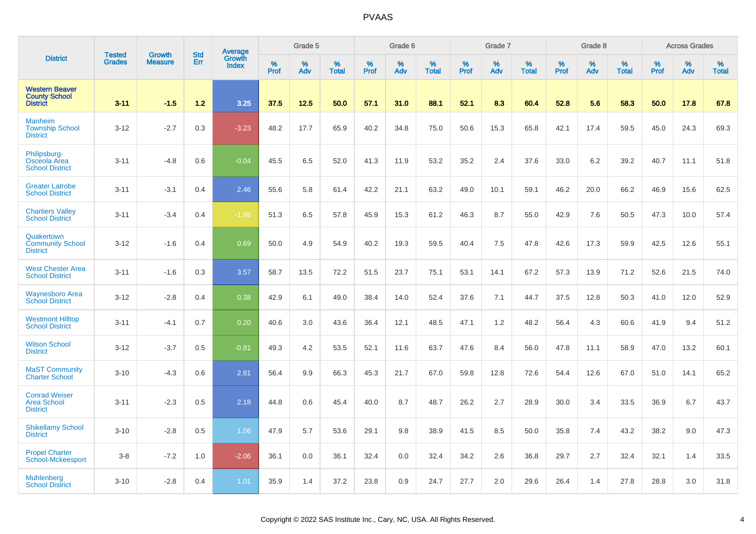|                                                                  | <b>Tested</b> | <b>Growth</b>  | <b>Std</b> | Average                |           | Grade 5  |                   |           | Grade 6  |                   |           | Grade 7  |                   |           | Grade 8  |                   |           | <b>Across Grades</b> |                   |
|------------------------------------------------------------------|---------------|----------------|------------|------------------------|-----------|----------|-------------------|-----------|----------|-------------------|-----------|----------|-------------------|-----------|----------|-------------------|-----------|----------------------|-------------------|
| <b>District</b>                                                  | <b>Grades</b> | <b>Measure</b> | Err        | Growth<br><b>Index</b> | %<br>Prof | %<br>Adv | %<br><b>Total</b> | %<br>Prof | %<br>Adv | %<br><b>Total</b> | %<br>Prof | %<br>Adv | %<br><b>Total</b> | %<br>Prof | %<br>Adv | %<br><b>Total</b> | %<br>Prof | %<br>Adv             | %<br><b>Total</b> |
| <b>Western Beaver</b><br><b>County School</b><br><b>District</b> | $3 - 11$      | $-1.5$         | 1.2        | 3.25                   | 37.5      | 12.5     | 50.0              | 57.1      | 31.0     | 88.1              | 52.1      | 8.3      | 60.4              | 52.8      | 5.6      | 58.3              | 50.0      | 17.8                 | 67.8              |
| <b>Manheim</b><br><b>Township School</b><br><b>District</b>      | $3 - 12$      | $-2.7$         | 0.3        | $-3.23$                | 48.2      | 17.7     | 65.9              | 40.2      | 34.8     | 75.0              | 50.6      | 15.3     | 65.8              | 42.1      | 17.4     | 59.5              | 45.0      | 24.3                 | 69.3              |
| Philipsburg-<br>Osceola Area<br><b>School District</b>           | $3 - 11$      | $-4.8$         | 0.6        | $-0.04$                | 45.5      | 6.5      | 52.0              | 41.3      | 11.9     | 53.2              | 35.2      | 2.4      | 37.6              | 33.0      | 6.2      | 39.2              | 40.7      | 11.1                 | 51.8              |
| <b>Greater Latrobe</b><br><b>School District</b>                 | $3 - 11$      | $-3.1$         | 0.4        | 2.46                   | 55.6      | 5.8      | 61.4              | 42.2      | 21.1     | 63.2              | 49.0      | 10.1     | 59.1              | 46.2      | 20.0     | 66.2              | 46.9      | 15.6                 | 62.5              |
| <b>Chartiers Valley</b><br><b>School District</b>                | $3 - 11$      | $-3.4$         | 0.4        | $-1.86$                | 51.3      | 6.5      | 57.8              | 45.9      | 15.3     | 61.2              | 46.3      | 8.7      | 55.0              | 42.9      | 7.6      | 50.5              | 47.3      | 10.0                 | 57.4              |
| Quakertown<br><b>Community School</b><br><b>District</b>         | $3 - 12$      | $-1.6$         | 0.4        | 0.69                   | 50.0      | 4.9      | 54.9              | 40.2      | 19.3     | 59.5              | 40.4      | 7.5      | 47.8              | 42.6      | 17.3     | 59.9              | 42.5      | 12.6                 | 55.1              |
| <b>West Chester Area</b><br><b>School District</b>               | $3 - 11$      | $-1.6$         | 0.3        | 3.57                   | 58.7      | 13.5     | 72.2              | 51.5      | 23.7     | 75.1              | 53.1      | 14.1     | 67.2              | 57.3      | 13.9     | 71.2              | 52.6      | 21.5                 | 74.0              |
| <b>Waynesboro Area</b><br><b>School District</b>                 | $3 - 12$      | $-2.8$         | 0.4        | 0.38                   | 42.9      | 6.1      | 49.0              | 38.4      | 14.0     | 52.4              | 37.6      | 7.1      | 44.7              | 37.5      | 12.8     | 50.3              | 41.0      | 12.0                 | 52.9              |
| <b>Westmont Hilltop</b><br><b>School District</b>                | $3 - 11$      | $-4.1$         | 0.7        | 0.20                   | 40.6      | 3.0      | 43.6              | 36.4      | 12.1     | 48.5              | 47.1      | 1.2      | 48.2              | 56.4      | 4.3      | 60.6              | 41.9      | 9.4                  | 51.2              |
| <b>Wilson School</b><br><b>District</b>                          | $3 - 12$      | $-3.7$         | 0.5        | $-0.81$                | 49.3      | 4.2      | 53.5              | 52.1      | 11.6     | 63.7              | 47.6      | 8.4      | 56.0              | 47.8      | 11.1     | 58.9              | 47.0      | 13.2                 | 60.1              |
| <b>MaST Community</b><br><b>Charter School</b>                   | $3 - 10$      | $-4.3$         | 0.6        | 2.81                   | 56.4      | 9.9      | 66.3              | 45.3      | 21.7     | 67.0              | 59.8      | 12.8     | 72.6              | 54.4      | 12.6     | 67.0              | 51.0      | 14.1                 | 65.2              |
| <b>Conrad Weiser</b><br><b>Area School</b><br><b>District</b>    | $3 - 11$      | $-2.3$         | 0.5        | 2.18                   | 44.8      | 0.6      | 45.4              | 40.0      | 8.7      | 48.7              | 26.2      | 2.7      | 28.9              | 30.0      | 3.4      | 33.5              | 36.9      | 6.7                  | 43.7              |
| <b>Shikellamy School</b><br><b>District</b>                      | $3 - 10$      | $-2.8$         | 0.5        | 1.06                   | 47.9      | 5.7      | 53.6              | 29.1      | 9.8      | 38.9              | 41.5      | 8.5      | 50.0              | 35.8      | 7.4      | 43.2              | 38.2      | 9.0                  | 47.3              |
| <b>Propel Charter</b><br>School-Mckeesport                       | $3-8$         | $-7.2$         | 1.0        | $-2.06$                | 36.1      | 0.0      | 36.1              | 32.4      | 0.0      | 32.4              | 34.2      | 2.6      | 36.8              | 29.7      | 2.7      | 32.4              | 32.1      | 1.4                  | 33.5              |
| <b>Muhlenberg</b><br><b>School District</b>                      | $3 - 10$      | $-2.8$         | 0.4        | 1.01                   | 35.9      | 1.4      | 37.2              | 23.8      | 0.9      | 24.7              | 27.7      | 2.0      | 29.6              | 26.4      | 1.4      | 27.8              | 28.8      | 3.0                  | 31.8              |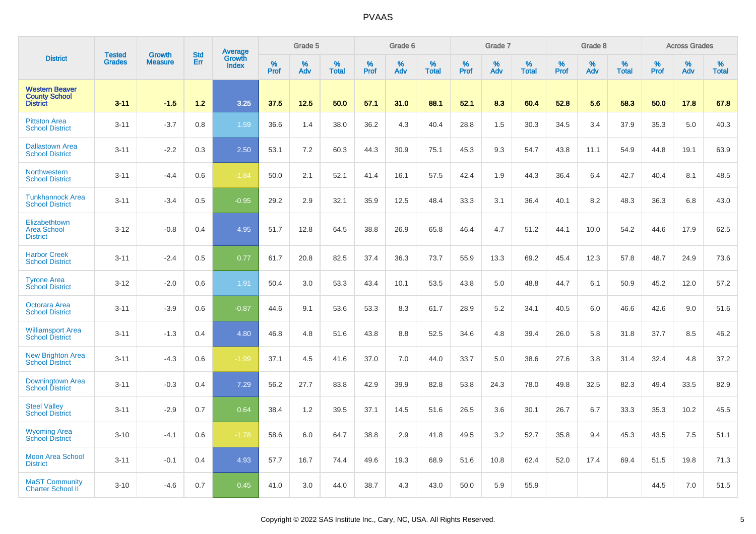|                                                                  | <b>Tested</b> | <b>Growth</b>  | <b>Std</b> | Average                |           | Grade 5  |                   |           | Grade 6  |                   |           | Grade 7  |                   |           | Grade 8  |                   |           | <b>Across Grades</b> |                   |
|------------------------------------------------------------------|---------------|----------------|------------|------------------------|-----------|----------|-------------------|-----------|----------|-------------------|-----------|----------|-------------------|-----------|----------|-------------------|-----------|----------------------|-------------------|
| <b>District</b>                                                  | <b>Grades</b> | <b>Measure</b> | Err        | Growth<br><b>Index</b> | %<br>Prof | %<br>Adv | %<br><b>Total</b> | %<br>Prof | %<br>Adv | %<br><b>Total</b> | %<br>Prof | %<br>Adv | %<br><b>Total</b> | %<br>Prof | %<br>Adv | %<br><b>Total</b> | %<br>Prof | %<br>Adv             | %<br><b>Total</b> |
| <b>Western Beaver</b><br><b>County School</b><br><b>District</b> | $3 - 11$      | $-1.5$         | 1.2        | 3.25                   | 37.5      | 12.5     | 50.0              | 57.1      | 31.0     | 88.1              | 52.1      | 8.3      | 60.4              | 52.8      | 5.6      | 58.3              | 50.0      | 17.8                 | 67.8              |
| <b>Pittston Area</b><br><b>School District</b>                   | $3 - 11$      | $-3.7$         | 0.8        | 1.59                   | 36.6      | 1.4      | 38.0              | 36.2      | 4.3      | 40.4              | 28.8      | 1.5      | 30.3              | 34.5      | 3.4      | 37.9              | 35.3      | 5.0                  | 40.3              |
| <b>Dallastown Area</b><br><b>School District</b>                 | $3 - 11$      | $-2.2$         | 0.3        | 2.50                   | 53.1      | 7.2      | 60.3              | 44.3      | 30.9     | 75.1              | 45.3      | 9.3      | 54.7              | 43.8      | 11.1     | 54.9              | 44.8      | 19.1                 | 63.9              |
| Northwestern<br><b>School District</b>                           | $3 - 11$      | $-4.4$         | 0.6        | $-1.84$                | 50.0      | 2.1      | 52.1              | 41.4      | 16.1     | 57.5              | 42.4      | 1.9      | 44.3              | 36.4      | 6.4      | 42.7              | 40.4      | 8.1                  | 48.5              |
| <b>Tunkhannock Area</b><br><b>School District</b>                | $3 - 11$      | $-3.4$         | 0.5        | $-0.95$                | 29.2      | 2.9      | 32.1              | 35.9      | 12.5     | 48.4              | 33.3      | 3.1      | 36.4              | 40.1      | 8.2      | 48.3              | 36.3      | 6.8                  | 43.0              |
| Elizabethtown<br><b>Area School</b><br><b>District</b>           | $3 - 12$      | $-0.8$         | 0.4        | 4.95                   | 51.7      | 12.8     | 64.5              | 38.8      | 26.9     | 65.8              | 46.4      | 4.7      | 51.2              | 44.1      | 10.0     | 54.2              | 44.6      | 17.9                 | 62.5              |
| <b>Harbor Creek</b><br><b>School District</b>                    | $3 - 11$      | $-2.4$         | 0.5        | 0.77                   | 61.7      | 20.8     | 82.5              | 37.4      | 36.3     | 73.7              | 55.9      | 13.3     | 69.2              | 45.4      | 12.3     | 57.8              | 48.7      | 24.9                 | 73.6              |
| <b>Tyrone Area</b><br><b>School District</b>                     | $3 - 12$      | $-2.0$         | 0.6        | 1.91                   | 50.4      | 3.0      | 53.3              | 43.4      | 10.1     | 53.5              | 43.8      | 5.0      | 48.8              | 44.7      | 6.1      | 50.9              | 45.2      | 12.0                 | 57.2              |
| Octorara Area<br><b>School District</b>                          | $3 - 11$      | $-3.9$         | 0.6        | $-0.87$                | 44.6      | 9.1      | 53.6              | 53.3      | 8.3      | 61.7              | 28.9      | 5.2      | 34.1              | 40.5      | 6.0      | 46.6              | 42.6      | 9.0                  | 51.6              |
| <b>Williamsport Area</b><br><b>School District</b>               | $3 - 11$      | $-1.3$         | 0.4        | 4.80                   | 46.8      | 4.8      | 51.6              | 43.8      | 8.8      | 52.5              | 34.6      | 4.8      | 39.4              | 26.0      | 5.8      | 31.8              | 37.7      | 8.5                  | 46.2              |
| <b>New Brighton Area</b><br><b>School District</b>               | $3 - 11$      | $-4.3$         | 0.6        | $-1.99$                | 37.1      | 4.5      | 41.6              | 37.0      | 7.0      | 44.0              | 33.7      | 5.0      | 38.6              | 27.6      | 3.8      | 31.4              | 32.4      | 4.8                  | 37.2              |
| Downingtown Area<br><b>School District</b>                       | $3 - 11$      | $-0.3$         | 0.4        | 7.29                   | 56.2      | 27.7     | 83.8              | 42.9      | 39.9     | 82.8              | 53.8      | 24.3     | 78.0              | 49.8      | 32.5     | 82.3              | 49.4      | 33.5                 | 82.9              |
| <b>Steel Vallev</b><br><b>School District</b>                    | $3 - 11$      | $-2.9$         | 0.7        | 0.64                   | 38.4      | 1.2      | 39.5              | 37.1      | 14.5     | 51.6              | 26.5      | 3.6      | 30.1              | 26.7      | 6.7      | 33.3              | 35.3      | 10.2                 | 45.5              |
| <b>Wyoming Area</b><br><b>School District</b>                    | $3 - 10$      | $-4.1$         | 0.6        | $-1.78$                | 58.6      | 6.0      | 64.7              | 38.8      | 2.9      | 41.8              | 49.5      | 3.2      | 52.7              | 35.8      | 9.4      | 45.3              | 43.5      | 7.5                  | 51.1              |
| <b>Moon Area School</b><br><b>District</b>                       | $3 - 11$      | $-0.1$         | 0.4        | 4.93                   | 57.7      | 16.7     | 74.4              | 49.6      | 19.3     | 68.9              | 51.6      | 10.8     | 62.4              | 52.0      | 17.4     | 69.4              | 51.5      | 19.8                 | 71.3              |
| <b>MaST Community</b><br><b>Charter School II</b>                | $3 - 10$      | $-4.6$         | 0.7        | 0.45                   | 41.0      | 3.0      | 44.0              | 38.7      | 4.3      | 43.0              | 50.0      | 5.9      | 55.9              |           |          |                   | 44.5      | 7.0                  | 51.5              |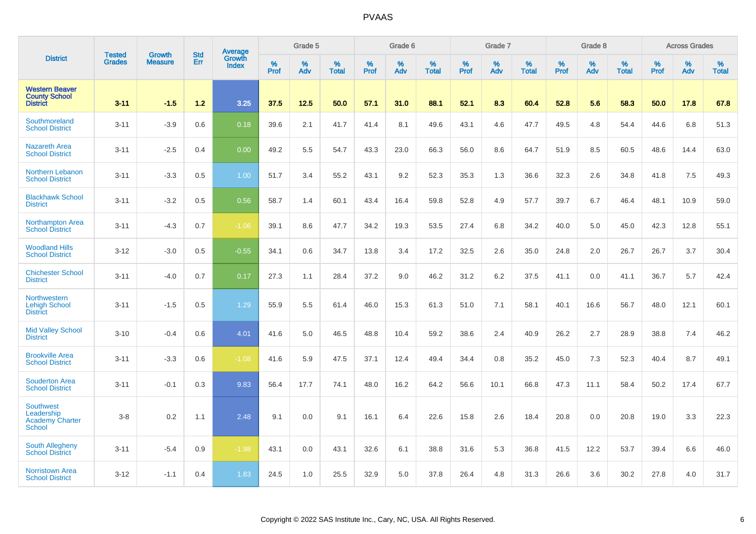|                                                                           |                                |                                 | <b>Std</b> | Average                |              | Grade 5  |                   |           | Grade 6  |                   |           | Grade 7  |                   |           | Grade 8  |                   |           | <b>Across Grades</b> |                   |
|---------------------------------------------------------------------------|--------------------------------|---------------------------------|------------|------------------------|--------------|----------|-------------------|-----------|----------|-------------------|-----------|----------|-------------------|-----------|----------|-------------------|-----------|----------------------|-------------------|
| <b>District</b>                                                           | <b>Tested</b><br><b>Grades</b> | <b>Growth</b><br><b>Measure</b> | Err        | Growth<br><b>Index</b> | $\%$<br>Prof | %<br>Adv | %<br><b>Total</b> | %<br>Prof | %<br>Adv | %<br><b>Total</b> | %<br>Prof | %<br>Adv | %<br><b>Total</b> | %<br>Prof | %<br>Adv | %<br><b>Total</b> | %<br>Prof | %<br>Adv             | %<br><b>Total</b> |
| <b>Western Beaver</b><br><b>County School</b><br><b>District</b>          | $3 - 11$                       | $-1.5$                          | 1.2        | 3.25                   | 37.5         | 12.5     | 50.0              | 57.1      | 31.0     | 88.1              | 52.1      | 8.3      | 60.4              | 52.8      | 5.6      | 58.3              | 50.0      | 17.8                 | 67.8              |
| Southmoreland<br><b>School District</b>                                   | $3 - 11$                       | $-3.9$                          | 0.6        | 0.18                   | 39.6         | 2.1      | 41.7              | 41.4      | 8.1      | 49.6              | 43.1      | 4.6      | 47.7              | 49.5      | 4.8      | 54.4              | 44.6      | 6.8                  | 51.3              |
| <b>Nazareth Area</b><br><b>School District</b>                            | $3 - 11$                       | $-2.5$                          | 0.4        | 0.00                   | 49.2         | 5.5      | 54.7              | 43.3      | 23.0     | 66.3              | 56.0      | 8.6      | 64.7              | 51.9      | 8.5      | 60.5              | 48.6      | 14.4                 | 63.0              |
| <b>Northern Lebanon</b><br><b>School District</b>                         | $3 - 11$                       | $-3.3$                          | 0.5        | 1.00                   | 51.7         | 3.4      | 55.2              | 43.1      | 9.2      | 52.3              | 35.3      | 1.3      | 36.6              | 32.3      | 2.6      | 34.8              | 41.8      | 7.5                  | 49.3              |
| <b>Blackhawk School</b><br><b>District</b>                                | $3 - 11$                       | $-3.2$                          | 0.5        | 0.56                   | 58.7         | 1.4      | 60.1              | 43.4      | 16.4     | 59.8              | 52.8      | 4.9      | 57.7              | 39.7      | 6.7      | 46.4              | 48.1      | 10.9                 | 59.0              |
| <b>Northampton Area</b><br><b>School District</b>                         | $3 - 11$                       | $-4.3$                          | 0.7        | $-1.06$                | 39.1         | 8.6      | 47.7              | 34.2      | 19.3     | 53.5              | 27.4      | 6.8      | 34.2              | 40.0      | 5.0      | 45.0              | 42.3      | 12.8                 | 55.1              |
| <b>Woodland Hills</b><br><b>School District</b>                           | $3 - 12$                       | $-3.0$                          | 0.5        | $-0.55$                | 34.1         | 0.6      | 34.7              | 13.8      | 3.4      | 17.2              | 32.5      | 2.6      | 35.0              | 24.8      | 2.0      | 26.7              | 26.7      | 3.7                  | 30.4              |
| <b>Chichester School</b><br><b>District</b>                               | $3 - 11$                       | $-4.0$                          | 0.7        | 0.17                   | 27.3         | 1.1      | 28.4              | 37.2      | 9.0      | 46.2              | 31.2      | 6.2      | 37.5              | 41.1      | 0.0      | 41.1              | 36.7      | 5.7                  | 42.4              |
| Northwestern<br><b>Lehigh School</b><br><b>District</b>                   | $3 - 11$                       | $-1.5$                          | 0.5        | 1.29                   | 55.9         | 5.5      | 61.4              | 46.0      | 15.3     | 61.3              | 51.0      | 7.1      | 58.1              | 40.1      | 16.6     | 56.7              | 48.0      | 12.1                 | 60.1              |
| <b>Mid Valley School</b><br><b>District</b>                               | $3 - 10$                       | $-0.4$                          | 0.6        | 4.01                   | 41.6         | 5.0      | 46.5              | 48.8      | 10.4     | 59.2              | 38.6      | 2.4      | 40.9              | 26.2      | 2.7      | 28.9              | 38.8      | 7.4                  | 46.2              |
| <b>Brookville Area</b><br><b>School District</b>                          | $3 - 11$                       | $-3.3$                          | 0.6        | $-1.08$                | 41.6         | 5.9      | 47.5              | 37.1      | 12.4     | 49.4              | 34.4      | 0.8      | 35.2              | 45.0      | 7.3      | 52.3              | 40.4      | 8.7                  | 49.1              |
| <b>Souderton Area</b><br><b>School District</b>                           | $3 - 11$                       | $-0.1$                          | 0.3        | 9.83                   | 56.4         | 17.7     | 74.1              | 48.0      | 16.2     | 64.2              | 56.6      | 10.1     | 66.8              | 47.3      | 11.1     | 58.4              | 50.2      | 17.4                 | 67.7              |
| <b>Southwest</b><br>Leadership<br><b>Academy Charter</b><br><b>School</b> | $3-8$                          | 0.2                             | 1.1        | 2.48                   | 9.1          | 0.0      | 9.1               | 16.1      | 6.4      | 22.6              | 15.8      | 2.6      | 18.4              | 20.8      | 0.0      | 20.8              | 19.0      | 3.3                  | 22.3              |
| <b>South Allegheny</b><br><b>School District</b>                          | $3 - 11$                       | $-5.4$                          | 0.9        | $-1.98$                | 43.1         | 0.0      | 43.1              | 32.6      | 6.1      | 38.8              | 31.6      | 5.3      | 36.8              | 41.5      | 12.2     | 53.7              | 39.4      | 6.6                  | 46.0              |
| <b>Norristown Area</b><br><b>School District</b>                          | $3 - 12$                       | $-1.1$                          | 0.4        | 1.83                   | 24.5         | 1.0      | 25.5              | 32.9      | 5.0      | 37.8              | 26.4      | 4.8      | 31.3              | 26.6      | 3.6      | 30.2              | 27.8      | 4.0                  | 31.7              |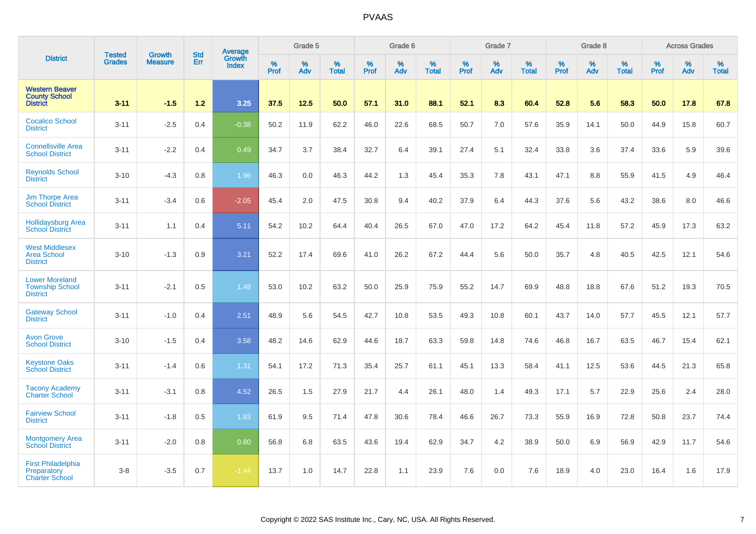|                                                                    |                                |                                 | <b>Std</b> | Average                |           | Grade 5  |                   |           | Grade 6  |                   |           | Grade 7  |                   |           | Grade 8  |                   |           | <b>Across Grades</b> |                   |
|--------------------------------------------------------------------|--------------------------------|---------------------------------|------------|------------------------|-----------|----------|-------------------|-----------|----------|-------------------|-----------|----------|-------------------|-----------|----------|-------------------|-----------|----------------------|-------------------|
| <b>District</b>                                                    | <b>Tested</b><br><b>Grades</b> | <b>Growth</b><br><b>Measure</b> | Err        | Growth<br><b>Index</b> | %<br>Prof | %<br>Adv | %<br><b>Total</b> | %<br>Prof | %<br>Adv | %<br><b>Total</b> | %<br>Prof | %<br>Adv | %<br><b>Total</b> | %<br>Prof | %<br>Adv | %<br><b>Total</b> | %<br>Prof | %<br>Adv             | %<br><b>Total</b> |
| <b>Western Beaver</b><br><b>County School</b><br><b>District</b>   | $3 - 11$                       | $-1.5$                          | 1.2        | 3.25                   | 37.5      | 12.5     | 50.0              | 57.1      | 31.0     | 88.1              | 52.1      | 8.3      | 60.4              | 52.8      | 5.6      | 58.3              | 50.0      | 17.8                 | 67.8              |
| <b>Cocalico School</b><br><b>District</b>                          | $3 - 11$                       | $-2.5$                          | 0.4        | $-0.38$                | 50.2      | 11.9     | 62.2              | 46.0      | 22.6     | 68.5              | 50.7      | 7.0      | 57.6              | 35.9      | 14.1     | 50.0              | 44.9      | 15.8                 | 60.7              |
| <b>Connellsville Area</b><br><b>School District</b>                | $3 - 11$                       | $-2.2$                          | 0.4        | 0.49                   | 34.7      | 3.7      | 38.4              | 32.7      | 6.4      | 39.1              | 27.4      | 5.1      | 32.4              | 33.8      | 3.6      | 37.4              | 33.6      | 5.9                  | 39.6              |
| <b>Reynolds School</b><br><b>District</b>                          | $3 - 10$                       | $-4.3$                          | 0.8        | 1.96                   | 46.3      | 0.0      | 46.3              | 44.2      | 1.3      | 45.4              | 35.3      | 7.8      | 43.1              | 47.1      | 8.8      | 55.9              | 41.5      | 4.9                  | 46.4              |
| <b>Jim Thorpe Area</b><br><b>School District</b>                   | $3 - 11$                       | $-3.4$                          | 0.6        | $-2.05$                | 45.4      | 2.0      | 47.5              | 30.8      | 9.4      | 40.2              | 37.9      | 6.4      | 44.3              | 37.6      | 5.6      | 43.2              | 38.6      | 8.0                  | 46.6              |
| <b>Hollidaysburg Area</b><br><b>School District</b>                | $3 - 11$                       | 1.1                             | 0.4        | 5.11                   | 54.2      | 10.2     | 64.4              | 40.4      | 26.5     | 67.0              | 47.0      | 17.2     | 64.2              | 45.4      | 11.8     | 57.2              | 45.9      | 17.3                 | 63.2              |
| <b>West Middlesex</b><br><b>Area School</b><br><b>District</b>     | $3 - 10$                       | $-1.3$                          | 0.9        | 3.21                   | 52.2      | 17.4     | 69.6              | 41.0      | 26.2     | 67.2              | 44.4      | 5.6      | 50.0              | 35.7      | 4.8      | 40.5              | 42.5      | 12.1                 | 54.6              |
| <b>Lower Moreland</b><br><b>Township School</b><br><b>District</b> | $3 - 11$                       | $-2.1$                          | 0.5        | 1.48                   | 53.0      | 10.2     | 63.2              | 50.0      | 25.9     | 75.9              | 55.2      | 14.7     | 69.9              | 48.8      | 18.8     | 67.6              | 51.2      | 19.3                 | 70.5              |
| <b>Gateway School</b><br><b>District</b>                           | $3 - 11$                       | $-1.0$                          | 0.4        | 2.51                   | 48.9      | 5.6      | 54.5              | 42.7      | 10.8     | 53.5              | 49.3      | 10.8     | 60.1              | 43.7      | 14.0     | 57.7              | 45.5      | 12.1                 | 57.7              |
| <b>Avon Grove</b><br><b>School District</b>                        | $3 - 10$                       | $-1.5$                          | 0.4        | 3.58                   | 48.2      | 14.6     | 62.9              | 44.6      | 18.7     | 63.3              | 59.8      | 14.8     | 74.6              | 46.8      | 16.7     | 63.5              | 46.7      | 15.4                 | 62.1              |
| <b>Keystone Oaks</b><br><b>School District</b>                     | $3 - 11$                       | $-1.4$                          | 0.6        | 1.31                   | 54.1      | 17.2     | 71.3              | 35.4      | 25.7     | 61.1              | 45.1      | 13.3     | 58.4              | 41.1      | 12.5     | 53.6              | 44.5      | 21.3                 | 65.8              |
| <b>Tacony Academy</b><br><b>Charter School</b>                     | $3 - 11$                       | $-3.1$                          | 0.8        | 4.52                   | 26.5      | 1.5      | 27.9              | 21.7      | 4.4      | 26.1              | 48.0      | 1.4      | 49.3              | 17.1      | 5.7      | 22.9              | 25.6      | 2.4                  | 28.0              |
| <b>Fairview School</b><br><b>District</b>                          | $3 - 11$                       | $-1.8$                          | 0.5        | 1.83                   | 61.9      | 9.5      | 71.4              | 47.8      | $30.6\,$ | 78.4              | 46.6      | 26.7     | 73.3              | 55.9      | 16.9     | 72.8              | 50.8      | 23.7                 | 74.4              |
| <b>Montgomery Area</b><br><b>School District</b>                   | $3 - 11$                       | $-2.0$                          | 0.8        | 0.80                   | 56.8      | 6.8      | 63.5              | 43.6      | 19.4     | 62.9              | 34.7      | 4.2      | 38.9              | 50.0      | 6.9      | 56.9              | 42.9      | 11.7                 | 54.6              |
| <b>First Philadelphia</b><br>Preparatory<br><b>Charter School</b>  | $3-8$                          | $-3.5$                          | 0.7        | $-1.44$                | 13.7      | 1.0      | 14.7              | 22.8      | 1.1      | 23.9              | 7.6       | 0.0      | 7.6               | 18.9      | 4.0      | 23.0              | 16.4      | 1.6                  | 17.9              |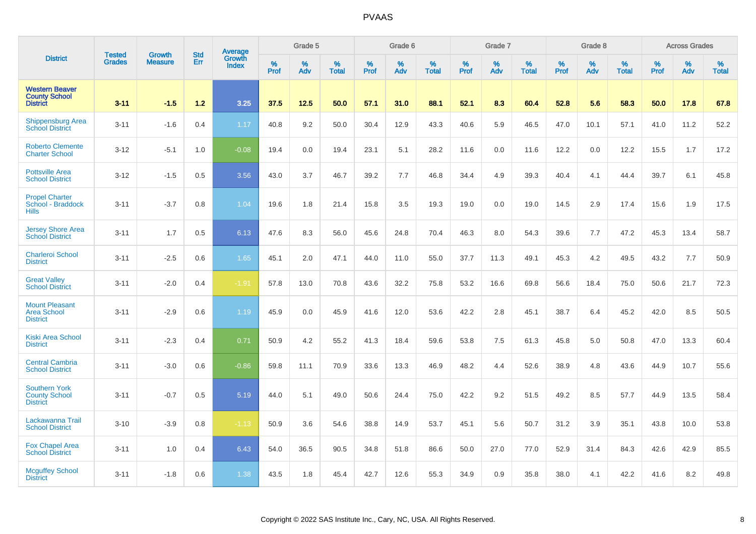|                                                                  |                                | <b>Growth</b>  | <b>Std</b> | Average                |              | Grade 5  |                   |           | Grade 6  |                   |           | Grade 7  |                   |           | Grade 8  |                   |           | <b>Across Grades</b> |                   |
|------------------------------------------------------------------|--------------------------------|----------------|------------|------------------------|--------------|----------|-------------------|-----------|----------|-------------------|-----------|----------|-------------------|-----------|----------|-------------------|-----------|----------------------|-------------------|
| <b>District</b>                                                  | <b>Tested</b><br><b>Grades</b> | <b>Measure</b> | Err        | Growth<br><b>Index</b> | $\%$<br>Prof | %<br>Adv | %<br><b>Total</b> | %<br>Prof | %<br>Adv | %<br><b>Total</b> | %<br>Prof | %<br>Adv | %<br><b>Total</b> | %<br>Prof | %<br>Adv | %<br><b>Total</b> | %<br>Prof | %<br>Adv             | %<br><b>Total</b> |
| <b>Western Beaver</b><br><b>County School</b><br><b>District</b> | $3 - 11$                       | $-1.5$         | 1.2        | 3.25                   | 37.5         | 12.5     | 50.0              | 57.1      | 31.0     | 88.1              | 52.1      | 8.3      | 60.4              | 52.8      | 5.6      | 58.3              | 50.0      | 17.8                 | 67.8              |
| <b>Shippensburg Area</b><br><b>School District</b>               | $3 - 11$                       | $-1.6$         | 0.4        | 1.17                   | 40.8         | 9.2      | 50.0              | 30.4      | 12.9     | 43.3              | 40.6      | 5.9      | 46.5              | 47.0      | 10.1     | 57.1              | 41.0      | 11.2                 | 52.2              |
| <b>Roberto Clemente</b><br><b>Charter School</b>                 | $3 - 12$                       | $-5.1$         | 1.0        | $-0.08$                | 19.4         | 0.0      | 19.4              | 23.1      | 5.1      | 28.2              | 11.6      | 0.0      | 11.6              | 12.2      | 0.0      | 12.2              | 15.5      | 1.7                  | 17.2              |
| <b>Pottsville Area</b><br><b>School District</b>                 | $3 - 12$                       | $-1.5$         | 0.5        | 3.56                   | 43.0         | 3.7      | 46.7              | 39.2      | 7.7      | 46.8              | 34.4      | 4.9      | 39.3              | 40.4      | 4.1      | 44.4              | 39.7      | 6.1                  | 45.8              |
| <b>Propel Charter</b><br>School - Braddock<br><b>Hills</b>       | $3 - 11$                       | $-3.7$         | 0.8        | 1.04                   | 19.6         | 1.8      | 21.4              | 15.8      | 3.5      | 19.3              | 19.0      | 0.0      | 19.0              | 14.5      | 2.9      | 17.4              | 15.6      | 1.9                  | 17.5              |
| <b>Jersey Shore Area</b><br><b>School District</b>               | $3 - 11$                       | 1.7            | 0.5        | 6.13                   | 47.6         | 8.3      | 56.0              | 45.6      | 24.8     | 70.4              | 46.3      | 8.0      | 54.3              | 39.6      | 7.7      | 47.2              | 45.3      | 13.4                 | 58.7              |
| <b>Charleroi School</b><br><b>District</b>                       | $3 - 11$                       | $-2.5$         | 0.6        | 1.65                   | 45.1         | 2.0      | 47.1              | 44.0      | 11.0     | 55.0              | 37.7      | 11.3     | 49.1              | 45.3      | 4.2      | 49.5              | 43.2      | 7.7                  | 50.9              |
| <b>Great Valley</b><br><b>School District</b>                    | $3 - 11$                       | $-2.0$         | 0.4        | $-1.91$                | 57.8         | 13.0     | 70.8              | 43.6      | 32.2     | 75.8              | 53.2      | 16.6     | 69.8              | 56.6      | 18.4     | 75.0              | 50.6      | 21.7                 | 72.3              |
| <b>Mount Pleasant</b><br><b>Area School</b><br><b>District</b>   | $3 - 11$                       | $-2.9$         | 0.6        | 1.19                   | 45.9         | 0.0      | 45.9              | 41.6      | 12.0     | 53.6              | 42.2      | 2.8      | 45.1              | 38.7      | 6.4      | 45.2              | 42.0      | 8.5                  | 50.5              |
| <b>Kiski Area School</b><br><b>District</b>                      | $3 - 11$                       | $-2.3$         | 0.4        | 0.71                   | 50.9         | 4.2      | 55.2              | 41.3      | 18.4     | 59.6              | 53.8      | 7.5      | 61.3              | 45.8      | 5.0      | 50.8              | 47.0      | 13.3                 | 60.4              |
| <b>Central Cambria</b><br><b>School District</b>                 | $3 - 11$                       | $-3.0$         | 0.6        | $-0.86$                | 59.8         | 11.1     | 70.9              | 33.6      | 13.3     | 46.9              | 48.2      | 4.4      | 52.6              | 38.9      | 4.8      | 43.6              | 44.9      | 10.7                 | 55.6              |
| <b>Southern York</b><br><b>County School</b><br><b>District</b>  | $3 - 11$                       | $-0.7$         | 0.5        | 5.19                   | 44.0         | 5.1      | 49.0              | 50.6      | 24.4     | 75.0              | 42.2      | 9.2      | 51.5              | 49.2      | 8.5      | 57.7              | 44.9      | 13.5                 | 58.4              |
| Lackawanna Trail<br><b>School District</b>                       | $3 - 10$                       | $-3.9$         | 0.8        | $-1.13$                | 50.9         | 3.6      | 54.6              | 38.8      | 14.9     | 53.7              | 45.1      | 5.6      | 50.7              | 31.2      | 3.9      | 35.1              | 43.8      | 10.0                 | 53.8              |
| <b>Fox Chapel Area</b><br><b>School District</b>                 | $3 - 11$                       | 1.0            | 0.4        | 6.43                   | 54.0         | 36.5     | 90.5              | 34.8      | 51.8     | 86.6              | 50.0      | 27.0     | 77.0              | 52.9      | 31.4     | 84.3              | 42.6      | 42.9                 | 85.5              |
| <b>Mcguffey School</b><br><b>District</b>                        | $3 - 11$                       | $-1.8$         | 0.6        | 1.38                   | 43.5         | 1.8      | 45.4              | 42.7      | 12.6     | 55.3              | 34.9      | 0.9      | 35.8              | 38.0      | 4.1      | 42.2              | 41.6      | 8.2                  | 49.8              |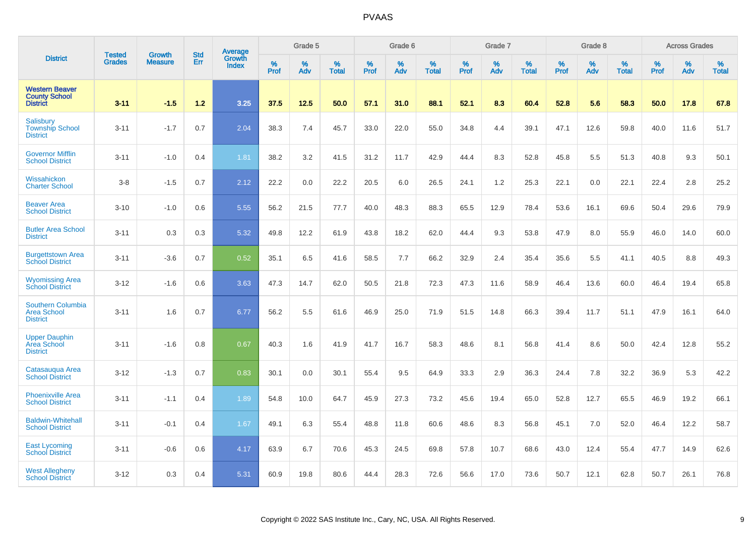|                                                                   | <b>Tested</b> | <b>Growth</b>  | <b>Std</b> | <b>Average</b><br>Growth |                  | Grade 5  |                   |                  | Grade 6  |                   |           | Grade 7  |                   |           | Grade 8  |                   |                  | <b>Across Grades</b> |                   |
|-------------------------------------------------------------------|---------------|----------------|------------|--------------------------|------------------|----------|-------------------|------------------|----------|-------------------|-----------|----------|-------------------|-----------|----------|-------------------|------------------|----------------------|-------------------|
| <b>District</b>                                                   | <b>Grades</b> | <b>Measure</b> | Err        | <b>Index</b>             | %<br><b>Prof</b> | %<br>Adv | %<br><b>Total</b> | %<br><b>Prof</b> | %<br>Adv | %<br><b>Total</b> | %<br>Prof | %<br>Adv | %<br><b>Total</b> | %<br>Prof | %<br>Adv | %<br><b>Total</b> | %<br><b>Prof</b> | %<br>Adv             | %<br><b>Total</b> |
| <b>Western Beaver</b><br><b>County School</b><br><b>District</b>  | $3 - 11$      | $-1.5$         | $1.2$      | 3.25                     | 37.5             | 12.5     | 50.0              | 57.1             | 31.0     | 88.1              | 52.1      | 8.3      | 60.4              | 52.8      | 5.6      | 58.3              | 50.0             | 17.8                 | 67.8              |
| Salisbury<br><b>Township School</b><br><b>District</b>            | $3 - 11$      | $-1.7$         | 0.7        | 2.04                     | 38.3             | 7.4      | 45.7              | 33.0             | 22.0     | 55.0              | 34.8      | 4.4      | 39.1              | 47.1      | 12.6     | 59.8              | 40.0             | 11.6                 | 51.7              |
| <b>Governor Mifflin</b><br><b>School District</b>                 | $3 - 11$      | $-1.0$         | 0.4        | 1.81                     | 38.2             | 3.2      | 41.5              | 31.2             | 11.7     | 42.9              | 44.4      | 8.3      | 52.8              | 45.8      | 5.5      | 51.3              | 40.8             | 9.3                  | 50.1              |
| Wissahickon<br><b>Charter School</b>                              | $3 - 8$       | $-1.5$         | 0.7        | 2.12                     | 22.2             | 0.0      | 22.2              | 20.5             | 6.0      | 26.5              | 24.1      | 1.2      | 25.3              | 22.1      | 0.0      | 22.1              | 22.4             | 2.8                  | 25.2              |
| <b>Beaver Area</b><br><b>School District</b>                      | $3 - 10$      | $-1.0$         | 0.6        | 5.55                     | 56.2             | 21.5     | 77.7              | 40.0             | 48.3     | 88.3              | 65.5      | 12.9     | 78.4              | 53.6      | 16.1     | 69.6              | 50.4             | 29.6                 | 79.9              |
| <b>Butler Area School</b><br><b>District</b>                      | $3 - 11$      | 0.3            | 0.3        | 5.32                     | 49.8             | 12.2     | 61.9              | 43.8             | 18.2     | 62.0              | 44.4      | 9.3      | 53.8              | 47.9      | 8.0      | 55.9              | 46.0             | 14.0                 | 60.0              |
| <b>Burgettstown Area</b><br><b>School District</b>                | $3 - 11$      | $-3.6$         | 0.7        | 0.52                     | 35.1             | 6.5      | 41.6              | 58.5             | 7.7      | 66.2              | 32.9      | 2.4      | 35.4              | 35.6      | 5.5      | 41.1              | 40.5             | 8.8                  | 49.3              |
| <b>Wyomissing Area</b><br><b>School District</b>                  | $3 - 12$      | $-1.6$         | 0.6        | 3.63                     | 47.3             | 14.7     | 62.0              | 50.5             | 21.8     | 72.3              | 47.3      | 11.6     | 58.9              | 46.4      | 13.6     | 60.0              | 46.4             | 19.4                 | 65.8              |
| <b>Southern Columbia</b><br><b>Area School</b><br><b>District</b> | $3 - 11$      | 1.6            | 0.7        | 6.77                     | 56.2             | 5.5      | 61.6              | 46.9             | 25.0     | 71.9              | 51.5      | 14.8     | 66.3              | 39.4      | 11.7     | 51.1              | 47.9             | 16.1                 | 64.0              |
| <b>Upper Dauphin</b><br>Area School<br><b>District</b>            | $3 - 11$      | $-1.6$         | 0.8        | 0.67                     | 40.3             | 1.6      | 41.9              | 41.7             | 16.7     | 58.3              | 48.6      | 8.1      | 56.8              | 41.4      | 8.6      | 50.0              | 42.4             | 12.8                 | 55.2              |
| Catasauqua Area<br><b>School District</b>                         | $3 - 12$      | $-1.3$         | 0.7        | 0.83                     | 30.1             | 0.0      | 30.1              | 55.4             | 9.5      | 64.9              | 33.3      | 2.9      | 36.3              | 24.4      | 7.8      | 32.2              | 36.9             | 5.3                  | 42.2              |
| <b>Phoenixville Area</b><br><b>School District</b>                | $3 - 11$      | $-1.1$         | 0.4        | 1.89                     | 54.8             | 10.0     | 64.7              | 45.9             | 27.3     | 73.2              | 45.6      | 19.4     | 65.0              | 52.8      | 12.7     | 65.5              | 46.9             | 19.2                 | 66.1              |
| <b>Baldwin-Whitehall</b><br><b>School District</b>                | $3 - 11$      | $-0.1$         | 0.4        | 1.67                     | 49.1             | 6.3      | 55.4              | 48.8             | 11.8     | 60.6              | 48.6      | 8.3      | 56.8              | 45.1      | 7.0      | 52.0              | 46.4             | 12.2                 | 58.7              |
| <b>East Lycoming</b><br><b>School District</b>                    | $3 - 11$      | $-0.6$         | 0.6        | 4.17                     | 63.9             | 6.7      | 70.6              | 45.3             | 24.5     | 69.8              | 57.8      | 10.7     | 68.6              | 43.0      | 12.4     | 55.4              | 47.7             | 14.9                 | 62.6              |
| <b>West Allegheny</b><br><b>School District</b>                   | $3 - 12$      | 0.3            | 0.4        | 5.31                     | 60.9             | 19.8     | 80.6              | 44.4             | 28.3     | 72.6              | 56.6      | 17.0     | 73.6              | 50.7      | 12.1     | 62.8              | 50.7             | 26.1                 | 76.8              |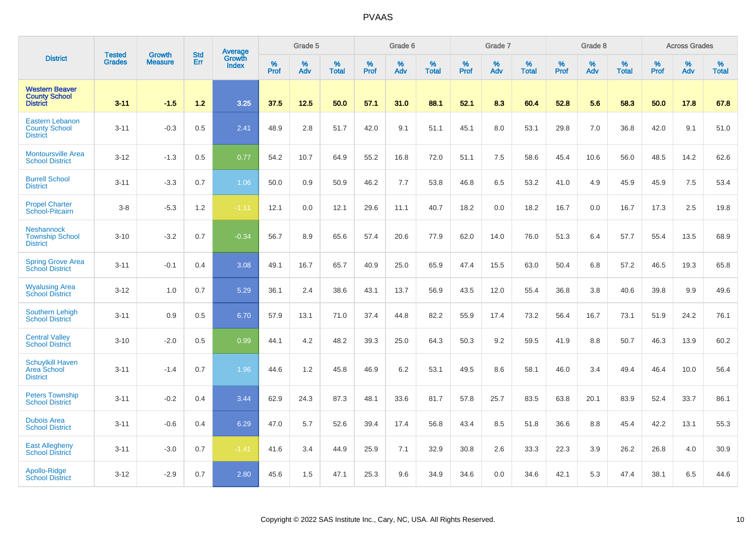|                                                                   | <b>Tested</b> | <b>Growth</b>  | <b>Std</b> | <b>Average</b><br>Growth |                     | Grade 5  |                   |           | Grade 6  |                   |           | Grade 7  |                   |           | Grade 8     |                   |                  | <b>Across Grades</b> |                   |
|-------------------------------------------------------------------|---------------|----------------|------------|--------------------------|---------------------|----------|-------------------|-----------|----------|-------------------|-----------|----------|-------------------|-----------|-------------|-------------------|------------------|----------------------|-------------------|
| <b>District</b>                                                   | <b>Grades</b> | <b>Measure</b> | Err        | <b>Index</b>             | $\%$<br><b>Prof</b> | %<br>Adv | %<br><b>Total</b> | %<br>Prof | %<br>Adv | %<br><b>Total</b> | %<br>Prof | %<br>Adv | %<br><b>Total</b> | %<br>Prof | $\%$<br>Adv | %<br><b>Total</b> | %<br><b>Prof</b> | %<br>Adv             | %<br><b>Total</b> |
| <b>Western Beaver</b><br><b>County School</b><br><b>District</b>  | $3 - 11$      | $-1.5$         | $1.2$      | 3.25                     | 37.5                | 12.5     | 50.0              | 57.1      | 31.0     | 88.1              | 52.1      | 8.3      | 60.4              | 52.8      | 5.6         | 58.3              | 50.0             | 17.8                 | 67.8              |
| <b>Eastern Lebanon</b><br><b>County School</b><br><b>District</b> | $3 - 11$      | $-0.3$         | 0.5        | 2.41                     | 48.9                | 2.8      | 51.7              | 42.0      | 9.1      | 51.1              | 45.1      | 8.0      | 53.1              | 29.8      | 7.0         | 36.8              | 42.0             | 9.1                  | 51.0              |
| <b>Montoursville Area</b><br><b>School District</b>               | $3 - 12$      | $-1.3$         | 0.5        | 0.77                     | 54.2                | 10.7     | 64.9              | 55.2      | 16.8     | 72.0              | 51.1      | 7.5      | 58.6              | 45.4      | 10.6        | 56.0              | 48.5             | 14.2                 | 62.6              |
| <b>Burrell School</b><br><b>District</b>                          | $3 - 11$      | $-3.3$         | 0.7        | 1.06                     | 50.0                | 0.9      | 50.9              | 46.2      | 7.7      | 53.8              | 46.8      | 6.5      | 53.2              | 41.0      | 4.9         | 45.9              | 45.9             | 7.5                  | 53.4              |
| <b>Propel Charter</b><br>School-Pitcairn                          | $3-8$         | $-5.3$         | 1.2        | $-1.11$                  | 12.1                | 0.0      | 12.1              | 29.6      | 11.1     | 40.7              | 18.2      | 0.0      | 18.2              | 16.7      | 0.0         | 16.7              | 17.3             | 2.5                  | 19.8              |
| <b>Neshannock</b><br><b>Township School</b><br><b>District</b>    | $3 - 10$      | $-3.2$         | 0.7        | $-0.34$                  | 56.7                | 8.9      | 65.6              | 57.4      | 20.6     | 77.9              | 62.0      | 14.0     | 76.0              | 51.3      | 6.4         | 57.7              | 55.4             | 13.5                 | 68.9              |
| <b>Spring Grove Area</b><br><b>School District</b>                | $3 - 11$      | $-0.1$         | 0.4        | 3.08                     | 49.1                | 16.7     | 65.7              | 40.9      | 25.0     | 65.9              | 47.4      | 15.5     | 63.0              | 50.4      | 6.8         | 57.2              | 46.5             | 19.3                 | 65.8              |
| <b>Wyalusing Area</b><br><b>School District</b>                   | $3 - 12$      | 1.0            | 0.7        | 5.29                     | 36.1                | 2.4      | 38.6              | 43.1      | 13.7     | 56.9              | 43.5      | 12.0     | 55.4              | 36.8      | 3.8         | 40.6              | 39.8             | 9.9                  | 49.6              |
| Southern Lehigh<br><b>School District</b>                         | $3 - 11$      | 0.9            | 0.5        | 6.70                     | 57.9                | 13.1     | 71.0              | 37.4      | 44.8     | 82.2              | 55.9      | 17.4     | 73.2              | 56.4      | 16.7        | 73.1              | 51.9             | 24.2                 | 76.1              |
| <b>Central Valley</b><br><b>School District</b>                   | $3 - 10$      | $-2.0$         | 0.5        | 0.99                     | 44.1                | 4.2      | 48.2              | 39.3      | 25.0     | 64.3              | 50.3      | 9.2      | 59.5              | 41.9      | 8.8         | 50.7              | 46.3             | 13.9                 | 60.2              |
| <b>Schuylkill Haven</b><br>Area School<br><b>District</b>         | $3 - 11$      | $-1.4$         | 0.7        | 1.96                     | 44.6                | 1.2      | 45.8              | 46.9      | 6.2      | 53.1              | 49.5      | 8.6      | 58.1              | 46.0      | 3.4         | 49.4              | 46.4             | 10.0                 | 56.4              |
| <b>Peters Township</b><br><b>School District</b>                  | $3 - 11$      | $-0.2$         | 0.4        | 3.44                     | 62.9                | 24.3     | 87.3              | 48.1      | 33.6     | 81.7              | 57.8      | 25.7     | 83.5              | 63.8      | 20.1        | 83.9              | 52.4             | 33.7                 | 86.1              |
| <b>Dubois Area</b><br><b>School District</b>                      | $3 - 11$      | $-0.6$         | 0.4        | 6.29                     | 47.0                | 5.7      | 52.6              | 39.4      | 17.4     | 56.8              | 43.4      | 8.5      | 51.8              | 36.6      | 8.8         | 45.4              | 42.2             | 13.1                 | 55.3              |
| <b>East Allegheny</b><br><b>School District</b>                   | $3 - 11$      | $-3.0$         | 0.7        | $-1.41$                  | 41.6                | 3.4      | 44.9              | 25.9      | 7.1      | 32.9              | 30.8      | 2.6      | 33.3              | 22.3      | 3.9         | 26.2              | 26.8             | 4.0                  | 30.9              |
| Apollo-Ridge<br><b>School District</b>                            | $3 - 12$      | $-2.9$         | 0.7        | 2.80                     | 45.6                | 1.5      | 47.1              | 25.3      | 9.6      | 34.9              | 34.6      | 0.0      | 34.6              | 42.1      | 5.3         | 47.4              | 38.1             | 6.5                  | 44.6              |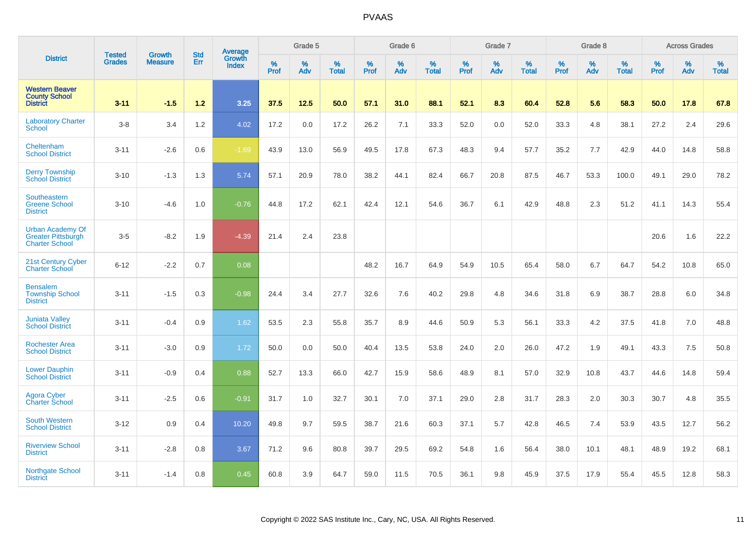|                                                                               | <b>Tested</b> |                                 | <b>Std</b> | Average         |              | Grade 5  |                   |           | Grade 6  |                   |              | Grade 7  |                   |           | Grade 8  |                   |              | <b>Across Grades</b> |                   |
|-------------------------------------------------------------------------------|---------------|---------------------------------|------------|-----------------|--------------|----------|-------------------|-----------|----------|-------------------|--------------|----------|-------------------|-----------|----------|-------------------|--------------|----------------------|-------------------|
| <b>District</b>                                                               | <b>Grades</b> | <b>Growth</b><br><b>Measure</b> | Err        | Growth<br>Index | $\%$<br>Prof | %<br>Adv | %<br><b>Total</b> | %<br>Prof | %<br>Adv | %<br><b>Total</b> | $\%$<br>Prof | %<br>Adv | %<br><b>Total</b> | %<br>Prof | %<br>Adv | %<br><b>Total</b> | $\%$<br>Prof | %<br>Adv             | %<br><b>Total</b> |
| <b>Western Beaver</b><br><b>County School</b><br><b>District</b>              | $3 - 11$      | $-1.5$                          | 1.2        | 3.25            | 37.5         | 12.5     | 50.0              | 57.1      | 31.0     | 88.1              | 52.1         | 8.3      | 60.4              | 52.8      | 5.6      | 58.3              | 50.0         | 17.8                 | 67.8              |
| <b>Laboratory Charter</b><br>School                                           | $3-8$         | 3.4                             | 1.2        | 4.02            | 17.2         | 0.0      | 17.2              | 26.2      | 7.1      | 33.3              | 52.0         | 0.0      | 52.0              | 33.3      | 4.8      | 38.1              | 27.2         | 2.4                  | 29.6              |
| Cheltenham<br><b>School District</b>                                          | $3 - 11$      | $-2.6$                          | 0.6        | $-1.69$         | 43.9         | 13.0     | 56.9              | 49.5      | 17.8     | 67.3              | 48.3         | 9.4      | 57.7              | 35.2      | 7.7      | 42.9              | 44.0         | 14.8                 | 58.8              |
| <b>Derry Township</b><br><b>School District</b>                               | $3 - 10$      | $-1.3$                          | 1.3        | 5.74            | 57.1         | 20.9     | 78.0              | 38.2      | 44.1     | 82.4              | 66.7         | 20.8     | 87.5              | 46.7      | 53.3     | 100.0             | 49.1         | 29.0                 | 78.2              |
| Southeastern<br><b>Greene School</b><br><b>District</b>                       | $3 - 10$      | $-4.6$                          | 1.0        | $-0.76$         | 44.8         | 17.2     | 62.1              | 42.4      | 12.1     | 54.6              | 36.7         | 6.1      | 42.9              | 48.8      | 2.3      | 51.2              | 41.1         | 14.3                 | 55.4              |
| <b>Urban Academy Of</b><br><b>Greater Pittsburgh</b><br><b>Charter School</b> | $3-5$         | $-8.2$                          | 1.9        | $-4.39$         | 21.4         | 2.4      | 23.8              |           |          |                   |              |          |                   |           |          |                   | 20.6         | 1.6                  | 22.2              |
| 21st Century Cyber<br><b>Charter School</b>                                   | $6 - 12$      | $-2.2$                          | 0.7        | 0.08            |              |          |                   | 48.2      | 16.7     | 64.9              | 54.9         | 10.5     | 65.4              | 58.0      | 6.7      | 64.7              | 54.2         | 10.8                 | 65.0              |
| <b>Bensalem</b><br><b>Township School</b><br><b>District</b>                  | $3 - 11$      | $-1.5$                          | 0.3        | $-0.98$         | 24.4         | 3.4      | 27.7              | 32.6      | 7.6      | 40.2              | 29.8         | 4.8      | 34.6              | 31.8      | 6.9      | 38.7              | 28.8         | 6.0                  | 34.8              |
| <b>Juniata Valley</b><br><b>School District</b>                               | $3 - 11$      | $-0.4$                          | 0.9        | 1.62            | 53.5         | 2.3      | 55.8              | 35.7      | 8.9      | 44.6              | 50.9         | 5.3      | 56.1              | 33.3      | 4.2      | 37.5              | 41.8         | 7.0                  | 48.8              |
| <b>Rochester Area</b><br><b>School District</b>                               | $3 - 11$      | $-3.0$                          | 0.9        | 1.72            | 50.0         | 0.0      | 50.0              | 40.4      | 13.5     | 53.8              | 24.0         | 2.0      | 26.0              | 47.2      | 1.9      | 49.1              | 43.3         | 7.5                  | 50.8              |
| <b>Lower Dauphin</b><br><b>School District</b>                                | $3 - 11$      | $-0.9$                          | 0.4        | 0.88            | 52.7         | 13.3     | 66.0              | 42.7      | 15.9     | 58.6              | 48.9         | 8.1      | 57.0              | 32.9      | 10.8     | 43.7              | 44.6         | 14.8                 | 59.4              |
| <b>Agora Cyber</b><br><b>Charter School</b>                                   | $3 - 11$      | $-2.5$                          | 0.6        | $-0.91$         | 31.7         | 1.0      | 32.7              | 30.1      | 7.0      | 37.1              | 29.0         | 2.8      | 31.7              | 28.3      | 2.0      | 30.3              | 30.7         | 4.8                  | 35.5              |
| <b>South Western</b><br><b>School District</b>                                | $3 - 12$      | 0.9                             | 0.4        | 10.20           | 49.8         | 9.7      | 59.5              | 38.7      | 21.6     | 60.3              | 37.1         | 5.7      | 42.8              | 46.5      | 7.4      | 53.9              | 43.5         | 12.7                 | 56.2              |
| <b>Riverview School</b><br><b>District</b>                                    | $3 - 11$      | $-2.8$                          | 0.8        | 3.67            | 71.2         | 9.6      | 80.8              | 39.7      | 29.5     | 69.2              | 54.8         | 1.6      | 56.4              | 38.0      | 10.1     | 48.1              | 48.9         | 19.2                 | 68.1              |
| <b>Northgate School</b><br><b>District</b>                                    | $3 - 11$      | $-1.4$                          | 0.8        | 0.45            | 60.8         | 3.9      | 64.7              | 59.0      | 11.5     | 70.5              | 36.1         | 9.8      | 45.9              | 37.5      | 17.9     | 55.4              | 45.5         | 12.8                 | 58.3              |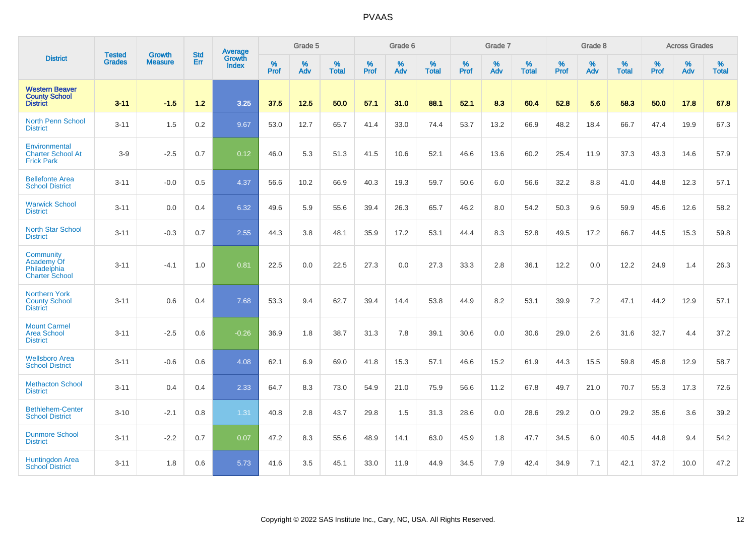|                                                                  |                                |                                 | <b>Std</b> | Average                |           | Grade 5  |                   |           | Grade 6  |                   |           | Grade 7  |                   |           | Grade 8  |                   |           | <b>Across Grades</b> |                   |
|------------------------------------------------------------------|--------------------------------|---------------------------------|------------|------------------------|-----------|----------|-------------------|-----------|----------|-------------------|-----------|----------|-------------------|-----------|----------|-------------------|-----------|----------------------|-------------------|
| <b>District</b>                                                  | <b>Tested</b><br><b>Grades</b> | <b>Growth</b><br><b>Measure</b> | Err        | Growth<br><b>Index</b> | %<br>Prof | %<br>Adv | %<br><b>Total</b> | %<br>Prof | %<br>Adv | %<br><b>Total</b> | %<br>Prof | %<br>Adv | %<br><b>Total</b> | %<br>Prof | %<br>Adv | %<br><b>Total</b> | %<br>Prof | %<br>Adv             | %<br><b>Total</b> |
| <b>Western Beaver</b><br><b>County School</b><br><b>District</b> | $3 - 11$                       | $-1.5$                          | $1.2$      | 3.25                   | 37.5      | 12.5     | 50.0              | 57.1      | 31.0     | 88.1              | 52.1      | 8.3      | 60.4              | 52.8      | 5.6      | 58.3              | 50.0      | 17.8                 | 67.8              |
| <b>North Penn School</b><br><b>District</b>                      | $3 - 11$                       | 1.5                             | 0.2        | 9.67                   | 53.0      | 12.7     | 65.7              | 41.4      | 33.0     | 74.4              | 53.7      | 13.2     | 66.9              | 48.2      | 18.4     | 66.7              | 47.4      | 19.9                 | 67.3              |
| Environmental<br><b>Charter School At</b><br><b>Frick Park</b>   | $3-9$                          | $-2.5$                          | 0.7        | 0.12                   | 46.0      | 5.3      | 51.3              | 41.5      | 10.6     | 52.1              | 46.6      | 13.6     | 60.2              | 25.4      | 11.9     | 37.3              | 43.3      | 14.6                 | 57.9              |
| <b>Bellefonte Area</b><br><b>School District</b>                 | $3 - 11$                       | $-0.0$                          | 0.5        | 4.37                   | 56.6      | 10.2     | 66.9              | 40.3      | 19.3     | 59.7              | 50.6      | 6.0      | 56.6              | 32.2      | 8.8      | 41.0              | 44.8      | 12.3                 | 57.1              |
| <b>Warwick School</b><br><b>District</b>                         | $3 - 11$                       | 0.0                             | 0.4        | 6.32                   | 49.6      | 5.9      | 55.6              | 39.4      | 26.3     | 65.7              | 46.2      | 8.0      | 54.2              | 50.3      | 9.6      | 59.9              | 45.6      | 12.6                 | 58.2              |
| <b>North Star School</b><br><b>District</b>                      | $3 - 11$                       | $-0.3$                          | 0.7        | 2.55                   | 44.3      | 3.8      | 48.1              | 35.9      | 17.2     | 53.1              | 44.4      | 8.3      | 52.8              | 49.5      | 17.2     | 66.7              | 44.5      | 15.3                 | 59.8              |
| Community<br>Academy Of<br>Philadelphia<br><b>Charter School</b> | $3 - 11$                       | $-4.1$                          | 1.0        | 0.81                   | 22.5      | 0.0      | 22.5              | 27.3      | 0.0      | 27.3              | 33.3      | 2.8      | 36.1              | 12.2      | 0.0      | 12.2              | 24.9      | 1.4                  | 26.3              |
| <b>Northern York</b><br><b>County School</b><br><b>District</b>  | $3 - 11$                       | 0.6                             | 0.4        | 7.68                   | 53.3      | 9.4      | 62.7              | 39.4      | 14.4     | 53.8              | 44.9      | 8.2      | 53.1              | 39.9      | 7.2      | 47.1              | 44.2      | 12.9                 | 57.1              |
| <b>Mount Carmel</b><br><b>Area School</b><br><b>District</b>     | $3 - 11$                       | $-2.5$                          | 0.6        | $-0.26$                | 36.9      | 1.8      | 38.7              | 31.3      | 7.8      | 39.1              | 30.6      | 0.0      | 30.6              | 29.0      | 2.6      | 31.6              | 32.7      | 4.4                  | 37.2              |
| <b>Wellsboro Area</b><br><b>School District</b>                  | $3 - 11$                       | $-0.6$                          | 0.6        | 4.08                   | 62.1      | 6.9      | 69.0              | 41.8      | 15.3     | 57.1              | 46.6      | 15.2     | 61.9              | 44.3      | 15.5     | 59.8              | 45.8      | 12.9                 | 58.7              |
| <b>Methacton School</b><br><b>District</b>                       | $3 - 11$                       | 0.4                             | 0.4        | 2.33                   | 64.7      | 8.3      | 73.0              | 54.9      | 21.0     | 75.9              | 56.6      | 11.2     | 67.8              | 49.7      | 21.0     | 70.7              | 55.3      | 17.3                 | 72.6              |
| <b>Bethlehem-Center</b><br><b>School District</b>                | $3 - 10$                       | $-2.1$                          | 0.8        | 1.31                   | 40.8      | 2.8      | 43.7              | 29.8      | 1.5      | 31.3              | 28.6      | 0.0      | 28.6              | 29.2      | 0.0      | 29.2              | 35.6      | 3.6                  | 39.2              |
| <b>Dunmore School</b><br><b>District</b>                         | $3 - 11$                       | $-2.2$                          | 0.7        | 0.07                   | 47.2      | 8.3      | 55.6              | 48.9      | 14.1     | 63.0              | 45.9      | 1.8      | 47.7              | 34.5      | 6.0      | 40.5              | 44.8      | 9.4                  | 54.2              |
| Huntingdon Area<br><b>School District</b>                        | $3 - 11$                       | 1.8                             | 0.6        | 5.73                   | 41.6      | 3.5      | 45.1              | 33.0      | 11.9     | 44.9              | 34.5      | 7.9      | 42.4              | 34.9      | 7.1      | 42.1              | 37.2      | 10.0                 | 47.2              |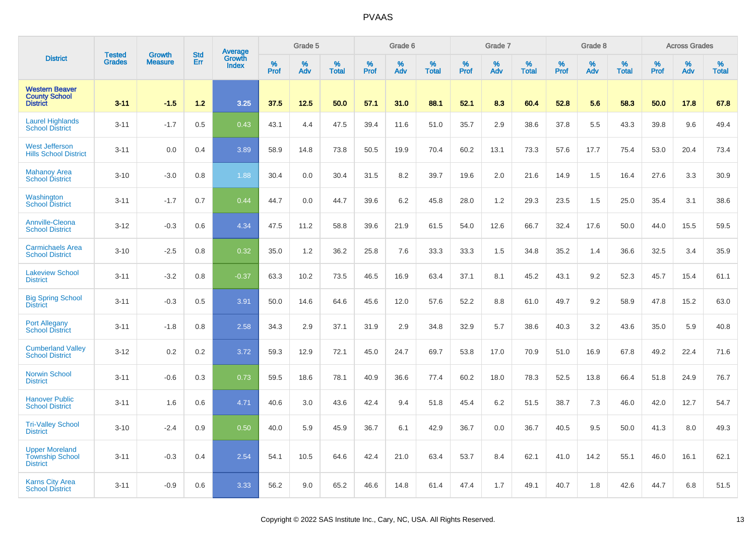|                                                                    | <b>Tested</b> | <b>Growth</b>  | <b>Std</b> |                                   |              | Grade 5  |                   |              | Grade 6  |                   |              | Grade 7  |                   |              | Grade 8  |                   |           | <b>Across Grades</b> |                   |
|--------------------------------------------------------------------|---------------|----------------|------------|-----------------------------------|--------------|----------|-------------------|--------------|----------|-------------------|--------------|----------|-------------------|--------------|----------|-------------------|-----------|----------------------|-------------------|
| <b>District</b>                                                    | <b>Grades</b> | <b>Measure</b> | Err        | Average<br>Growth<br><b>Index</b> | $\%$<br>Prof | %<br>Adv | %<br><b>Total</b> | $\%$<br>Prof | %<br>Adv | %<br><b>Total</b> | $\%$<br>Prof | %<br>Adv | %<br><b>Total</b> | $\%$<br>Prof | %<br>Adv | %<br><b>Total</b> | %<br>Prof | %<br>Adv             | %<br><b>Total</b> |
| <b>Western Beaver</b><br><b>County School</b><br><b>District</b>   | $3 - 11$      | $-1.5$         | $1.2$      | 3.25                              | 37.5         | 12.5     | 50.0              | 57.1         | 31.0     | 88.1              | 52.1         | 8.3      | 60.4              | 52.8         | 5.6      | 58.3              | 50.0      | 17.8                 | 67.8              |
| <b>Laurel Highlands</b><br><b>School District</b>                  | $3 - 11$      | $-1.7$         | 0.5        | 0.43                              | 43.1         | 4.4      | 47.5              | 39.4         | 11.6     | 51.0              | 35.7         | 2.9      | 38.6              | 37.8         | 5.5      | 43.3              | 39.8      | 9.6                  | 49.4              |
| <b>West Jefferson</b><br><b>Hills School District</b>              | $3 - 11$      | 0.0            | 0.4        | 3.89                              | 58.9         | 14.8     | 73.8              | 50.5         | 19.9     | 70.4              | 60.2         | 13.1     | 73.3              | 57.6         | 17.7     | 75.4              | 53.0      | 20.4                 | 73.4              |
| <b>Mahanoy Area</b><br><b>School District</b>                      | $3 - 10$      | $-3.0$         | 0.8        | 1.88                              | 30.4         | 0.0      | 30.4              | 31.5         | 8.2      | 39.7              | 19.6         | 2.0      | 21.6              | 14.9         | 1.5      | 16.4              | 27.6      | 3.3                  | 30.9              |
| Washington<br><b>School District</b>                               | $3 - 11$      | $-1.7$         | 0.7        | 0.44                              | 44.7         | 0.0      | 44.7              | 39.6         | 6.2      | 45.8              | 28.0         | 1.2      | 29.3              | 23.5         | 1.5      | 25.0              | 35.4      | 3.1                  | 38.6              |
| <b>Annville-Cleona</b><br><b>School District</b>                   | $3-12$        | $-0.3$         | 0.6        | 4.34                              | 47.5         | 11.2     | 58.8              | 39.6         | 21.9     | 61.5              | 54.0         | 12.6     | 66.7              | 32.4         | 17.6     | 50.0              | 44.0      | 15.5                 | 59.5              |
| <b>Carmichaels Area</b><br><b>School District</b>                  | $3 - 10$      | $-2.5$         | 0.8        | 0.32                              | 35.0         | 1.2      | 36.2              | 25.8         | 7.6      | 33.3              | 33.3         | 1.5      | 34.8              | 35.2         | 1.4      | 36.6              | 32.5      | 3.4                  | 35.9              |
| <b>Lakeview School</b><br><b>District</b>                          | $3 - 11$      | $-3.2$         | 0.8        | $-0.37$                           | 63.3         | 10.2     | 73.5              | 46.5         | 16.9     | 63.4              | 37.1         | 8.1      | 45.2              | 43.1         | 9.2      | 52.3              | 45.7      | 15.4                 | 61.1              |
| <b>Big Spring School</b><br><b>District</b>                        | $3 - 11$      | $-0.3$         | 0.5        | 3.91                              | 50.0         | 14.6     | 64.6              | 45.6         | 12.0     | 57.6              | 52.2         | 8.8      | 61.0              | 49.7         | 9.2      | 58.9              | 47.8      | 15.2                 | 63.0              |
| <b>Port Allegany</b><br><b>School District</b>                     | $3 - 11$      | $-1.8$         | 0.8        | 2.58                              | 34.3         | 2.9      | 37.1              | 31.9         | 2.9      | 34.8              | 32.9         | 5.7      | 38.6              | 40.3         | 3.2      | 43.6              | 35.0      | 5.9                  | 40.8              |
| <b>Cumberland Valley</b><br><b>School District</b>                 | $3 - 12$      | 0.2            | 0.2        | 3.72                              | 59.3         | 12.9     | 72.1              | 45.0         | 24.7     | 69.7              | 53.8         | 17.0     | 70.9              | 51.0         | 16.9     | 67.8              | 49.2      | 22.4                 | 71.6              |
| <b>Norwin School</b><br><b>District</b>                            | $3 - 11$      | $-0.6$         | 0.3        | 0.73                              | 59.5         | 18.6     | 78.1              | 40.9         | 36.6     | 77.4              | 60.2         | 18.0     | 78.3              | 52.5         | 13.8     | 66.4              | 51.8      | 24.9                 | 76.7              |
| <b>Hanover Public</b><br><b>School District</b>                    | $3 - 11$      | 1.6            | 0.6        | 4.71                              | 40.6         | 3.0      | 43.6              | 42.4         | 9.4      | 51.8              | 45.4         | 6.2      | 51.5              | 38.7         | 7.3      | 46.0              | 42.0      | 12.7                 | 54.7              |
| <b>Tri-Valley School</b><br><b>District</b>                        | $3 - 10$      | $-2.4$         | 0.9        | 0.50                              | 40.0         | 5.9      | 45.9              | 36.7         | 6.1      | 42.9              | 36.7         | 0.0      | 36.7              | 40.5         | 9.5      | 50.0              | 41.3      | 8.0                  | 49.3              |
| <b>Upper Moreland</b><br><b>Township School</b><br><b>District</b> | $3 - 11$      | $-0.3$         | 0.4        | 2.54                              | 54.1         | 10.5     | 64.6              | 42.4         | 21.0     | 63.4              | 53.7         | 8.4      | 62.1              | 41.0         | 14.2     | 55.1              | 46.0      | 16.1                 | 62.1              |
| <b>Karns City Area</b><br><b>School District</b>                   | $3 - 11$      | $-0.9$         | 0.6        | 3.33                              | 56.2         | 9.0      | 65.2              | 46.6         | 14.8     | 61.4              | 47.4         | 1.7      | 49.1              | 40.7         | 1.8      | 42.6              | 44.7      | 6.8                  | 51.5              |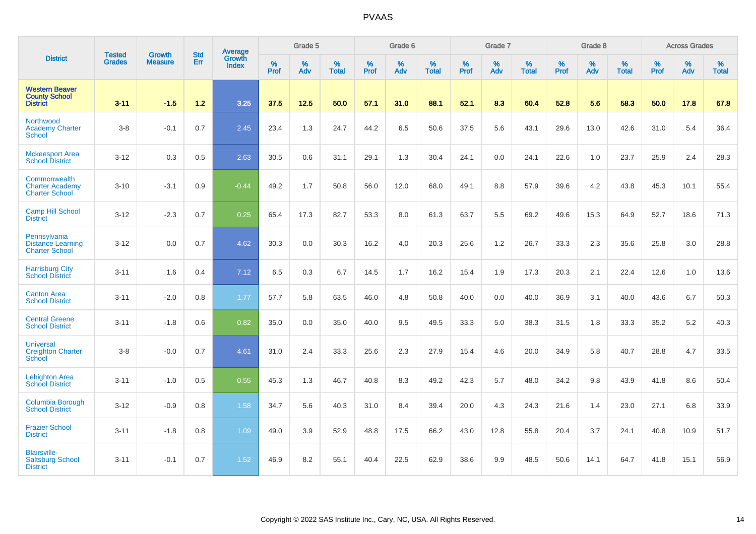|                                                                   |                                |                                 | <b>Std</b> | <b>Average</b>                |              | Grade 5  |                   |           | Grade 6  |                   |           | Grade 7  |                   |           | Grade 8  |                   |           | <b>Across Grades</b> |                   |
|-------------------------------------------------------------------|--------------------------------|---------------------------------|------------|-------------------------------|--------------|----------|-------------------|-----------|----------|-------------------|-----------|----------|-------------------|-----------|----------|-------------------|-----------|----------------------|-------------------|
| <b>District</b>                                                   | <b>Tested</b><br><b>Grades</b> | <b>Growth</b><br><b>Measure</b> | Err        | <b>Growth</b><br><b>Index</b> | $\%$<br>Prof | %<br>Adv | %<br><b>Total</b> | %<br>Prof | %<br>Adv | %<br><b>Total</b> | %<br>Prof | %<br>Adv | %<br><b>Total</b> | %<br>Prof | %<br>Adv | %<br><b>Total</b> | %<br>Prof | %<br>Adv             | %<br><b>Total</b> |
| <b>Western Beaver</b><br><b>County School</b><br><b>District</b>  | $3 - 11$                       | $-1.5$                          | 1.2        | 3.25                          | 37.5         | 12.5     | 50.0              | 57.1      | 31.0     | 88.1              | 52.1      | 8.3      | 60.4              | 52.8      | 5.6      | 58.3              | 50.0      | 17.8                 | 67.8              |
| Northwood<br><b>Academy Charter</b><br>School                     | $3 - 8$                        | $-0.1$                          | 0.7        | 2.45                          | 23.4         | 1.3      | 24.7              | 44.2      | 6.5      | 50.6              | 37.5      | 5.6      | 43.1              | 29.6      | 13.0     | 42.6              | 31.0      | 5.4                  | 36.4              |
| <b>Mckeesport Area</b><br><b>School District</b>                  | $3 - 12$                       | 0.3                             | 0.5        | 2.63                          | 30.5         | 0.6      | 31.1              | 29.1      | 1.3      | 30.4              | 24.1      | 0.0      | 24.1              | 22.6      | 1.0      | 23.7              | 25.9      | 2.4                  | 28.3              |
| Commonwealth<br><b>Charter Academy</b><br><b>Charter School</b>   | $3 - 10$                       | $-3.1$                          | 0.9        | $-0.44$                       | 49.2         | 1.7      | 50.8              | 56.0      | 12.0     | 68.0              | 49.1      | 8.8      | 57.9              | 39.6      | 4.2      | 43.8              | 45.3      | 10.1                 | 55.4              |
| <b>Camp Hill School</b><br><b>District</b>                        | $3 - 12$                       | $-2.3$                          | 0.7        | 0.25                          | 65.4         | 17.3     | 82.7              | 53.3      | 8.0      | 61.3              | 63.7      | 5.5      | 69.2              | 49.6      | 15.3     | 64.9              | 52.7      | 18.6                 | 71.3              |
| Pennsylvania<br><b>Distance Learning</b><br><b>Charter School</b> | $3 - 12$                       | 0.0                             | 0.7        | 4.62                          | 30.3         | 0.0      | 30.3              | 16.2      | 4.0      | 20.3              | 25.6      | $1.2$    | 26.7              | 33.3      | 2.3      | 35.6              | 25.8      | 3.0                  | 28.8              |
| <b>Harrisburg City</b><br><b>School District</b>                  | $3 - 11$                       | 1.6                             | 0.4        | 7.12                          | 6.5          | 0.3      | 6.7               | 14.5      | 1.7      | 16.2              | 15.4      | 1.9      | 17.3              | 20.3      | 2.1      | 22.4              | 12.6      | 1.0                  | 13.6              |
| <b>Canton Area</b><br><b>School District</b>                      | $3 - 11$                       | $-2.0$                          | 0.8        | 1.77                          | 57.7         | 5.8      | 63.5              | 46.0      | 4.8      | 50.8              | 40.0      | 0.0      | 40.0              | 36.9      | 3.1      | 40.0              | 43.6      | 6.7                  | 50.3              |
| <b>Central Greene</b><br><b>School District</b>                   | $3 - 11$                       | $-1.8$                          | 0.6        | 0.82                          | 35.0         | 0.0      | 35.0              | 40.0      | 9.5      | 49.5              | 33.3      | 5.0      | 38.3              | 31.5      | 1.8      | 33.3              | 35.2      | $5.2\,$              | 40.3              |
| <b>Universal</b><br><b>Creighton Charter</b><br>School            | $3-8$                          | $-0.0$                          | 0.7        | 4.61                          | 31.0         | 2.4      | 33.3              | 25.6      | 2.3      | 27.9              | 15.4      | 4.6      | 20.0              | 34.9      | 5.8      | 40.7              | 28.8      | 4.7                  | 33.5              |
| <b>Lehighton Area</b><br><b>School District</b>                   | $3 - 11$                       | $-1.0$                          | 0.5        | 0.55                          | 45.3         | 1.3      | 46.7              | 40.8      | 8.3      | 49.2              | 42.3      | 5.7      | 48.0              | 34.2      | 9.8      | 43.9              | 41.8      | 8.6                  | 50.4              |
| <b>Columbia Borough</b><br><b>School District</b>                 | $3 - 12$                       | $-0.9$                          | 0.8        | 1.58                          | 34.7         | 5.6      | 40.3              | 31.0      | 8.4      | 39.4              | 20.0      | 4.3      | 24.3              | 21.6      | 1.4      | 23.0              | 27.1      | 6.8                  | 33.9              |
| <b>Frazier School</b><br><b>District</b>                          | $3 - 11$                       | $-1.8$                          | 0.8        | 1.09                          | 49.0         | 3.9      | 52.9              | 48.8      | 17.5     | 66.2              | 43.0      | 12.8     | 55.8              | 20.4      | 3.7      | 24.1              | 40.8      | 10.9                 | 51.7              |
| <b>Blairsville-</b><br><b>Saltsburg School</b><br><b>District</b> | $3 - 11$                       | $-0.1$                          | 0.7        | 1.52                          | 46.9         | 8.2      | 55.1              | 40.4      | 22.5     | 62.9              | 38.6      | 9.9      | 48.5              | 50.6      | 14.1     | 64.7              | 41.8      | 15.1                 | 56.9              |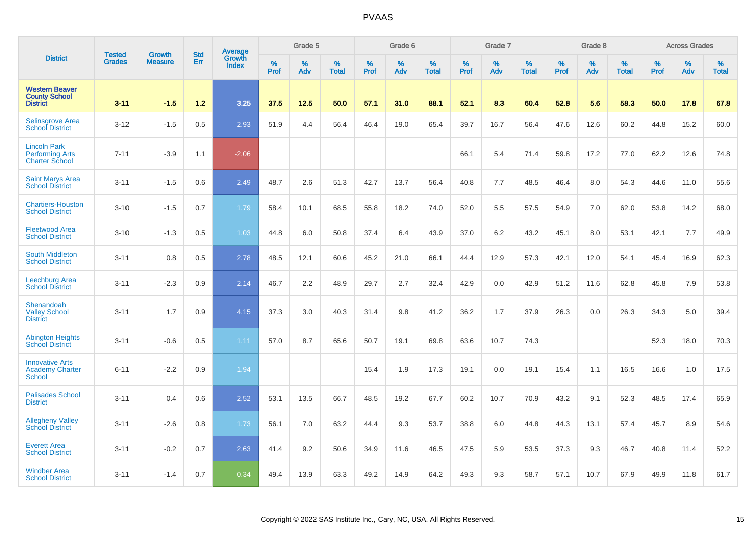|                                                                        |                                | <b>Growth</b>  | <b>Std</b> | <b>Average</b>         |              | Grade 5  |                   |           | Grade 6  |                   |           | Grade 7  |                   |           | Grade 8  |                   |           | <b>Across Grades</b> |                   |
|------------------------------------------------------------------------|--------------------------------|----------------|------------|------------------------|--------------|----------|-------------------|-----------|----------|-------------------|-----------|----------|-------------------|-----------|----------|-------------------|-----------|----------------------|-------------------|
| <b>District</b>                                                        | <b>Tested</b><br><b>Grades</b> | <b>Measure</b> | Err        | Growth<br><b>Index</b> | $\%$<br>Prof | %<br>Adv | %<br><b>Total</b> | %<br>Prof | %<br>Adv | %<br><b>Total</b> | %<br>Prof | %<br>Adv | %<br><b>Total</b> | %<br>Prof | %<br>Adv | %<br><b>Total</b> | %<br>Prof | %<br>Adv             | %<br><b>Total</b> |
| <b>Western Beaver</b><br><b>County School</b><br><b>District</b>       | $3 - 11$                       | $-1.5$         | 1.2        | 3.25                   | 37.5         | 12.5     | 50.0              | 57.1      | 31.0     | 88.1              | 52.1      | 8.3      | 60.4              | 52.8      | 5.6      | 58.3              | 50.0      | 17.8                 | 67.8              |
| <b>Selinsgrove Area</b><br><b>School District</b>                      | $3 - 12$                       | $-1.5$         | 0.5        | 2.93                   | 51.9         | 4.4      | 56.4              | 46.4      | 19.0     | 65.4              | 39.7      | 16.7     | 56.4              | 47.6      | 12.6     | 60.2              | 44.8      | 15.2                 | 60.0              |
| <b>Lincoln Park</b><br><b>Performing Arts</b><br><b>Charter School</b> | $7 - 11$                       | $-3.9$         | 1.1        | $-2.06$                |              |          |                   |           |          |                   | 66.1      | 5.4      | 71.4              | 59.8      | 17.2     | 77.0              | 62.2      | 12.6                 | 74.8              |
| <b>Saint Marys Area</b><br><b>School District</b>                      | $3 - 11$                       | $-1.5$         | 0.6        | 2.49                   | 48.7         | 2.6      | 51.3              | 42.7      | 13.7     | 56.4              | 40.8      | 7.7      | 48.5              | 46.4      | 8.0      | 54.3              | 44.6      | 11.0                 | 55.6              |
| <b>Chartiers-Houston</b><br><b>School District</b>                     | $3 - 10$                       | $-1.5$         | 0.7        | 1.79                   | 58.4         | 10.1     | 68.5              | 55.8      | 18.2     | 74.0              | 52.0      | 5.5      | 57.5              | 54.9      | 7.0      | 62.0              | 53.8      | 14.2                 | 68.0              |
| <b>Fleetwood Area</b><br><b>School District</b>                        | $3 - 10$                       | $-1.3$         | 0.5        | 1.03                   | 44.8         | 6.0      | 50.8              | 37.4      | 6.4      | 43.9              | 37.0      | 6.2      | 43.2              | 45.1      | 8.0      | 53.1              | 42.1      | 7.7                  | 49.9              |
| <b>South Middleton</b><br><b>School District</b>                       | $3 - 11$                       | 0.8            | 0.5        | 2.78                   | 48.5         | 12.1     | 60.6              | 45.2      | 21.0     | 66.1              | 44.4      | 12.9     | 57.3              | 42.1      | 12.0     | 54.1              | 45.4      | 16.9                 | 62.3              |
| <b>Leechburg Area</b><br><b>School District</b>                        | $3 - 11$                       | $-2.3$         | 0.9        | 2.14                   | 46.7         | 2.2      | 48.9              | 29.7      | 2.7      | 32.4              | 42.9      | 0.0      | 42.9              | 51.2      | 11.6     | 62.8              | 45.8      | 7.9                  | 53.8              |
| Shenandoah<br><b>Valley School</b><br><b>District</b>                  | $3 - 11$                       | 1.7            | 0.9        | 4.15                   | 37.3         | 3.0      | 40.3              | 31.4      | 9.8      | 41.2              | 36.2      | 1.7      | 37.9              | 26.3      | 0.0      | 26.3              | 34.3      | 5.0                  | 39.4              |
| <b>Abington Heights</b><br><b>School District</b>                      | $3 - 11$                       | $-0.6$         | 0.5        | 1.11                   | 57.0         | 8.7      | 65.6              | 50.7      | 19.1     | 69.8              | 63.6      | 10.7     | 74.3              |           |          |                   | 52.3      | 18.0                 | 70.3              |
| <b>Innovative Arts</b><br><b>Academy Charter</b><br>School             | $6 - 11$                       | $-2.2$         | 0.9        | 1.94                   |              |          |                   | 15.4      | 1.9      | 17.3              | 19.1      | 0.0      | 19.1              | 15.4      | 1.1      | 16.5              | 16.6      | 1.0                  | 17.5              |
| <b>Palisades School</b><br><b>District</b>                             | $3 - 11$                       | 0.4            | 0.6        | 2.52                   | 53.1         | 13.5     | 66.7              | 48.5      | 19.2     | 67.7              | 60.2      | 10.7     | 70.9              | 43.2      | 9.1      | 52.3              | 48.5      | 17.4                 | 65.9              |
| <b>Allegheny Valley</b><br><b>School District</b>                      | $3 - 11$                       | $-2.6$         | 0.8        | 1.73                   | 56.1         | 7.0      | 63.2              | 44.4      | 9.3      | 53.7              | 38.8      | 6.0      | 44.8              | 44.3      | 13.1     | 57.4              | 45.7      | 8.9                  | 54.6              |
| <b>Everett Area</b><br><b>School District</b>                          | $3 - 11$                       | $-0.2$         | 0.7        | 2.63                   | 41.4         | 9.2      | 50.6              | 34.9      | 11.6     | 46.5              | 47.5      | 5.9      | 53.5              | 37.3      | 9.3      | 46.7              | 40.8      | 11.4                 | 52.2              |
| <b>Windber Area</b><br><b>School District</b>                          | $3 - 11$                       | $-1.4$         | 0.7        | 0.34                   | 49.4         | 13.9     | 63.3              | 49.2      | 14.9     | 64.2              | 49.3      | 9.3      | 58.7              | 57.1      | 10.7     | 67.9              | 49.9      | 11.8                 | 61.7              |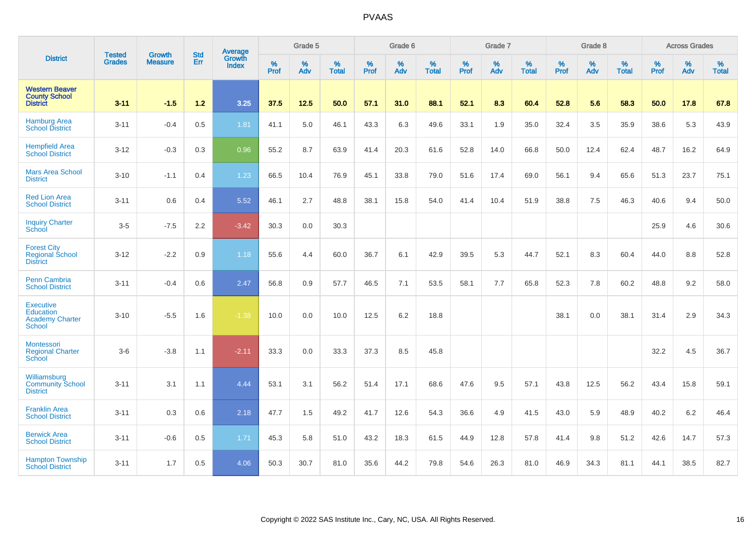|                                                                                 |                                |                                 | <b>Std</b> | Average                |              | Grade 5  |                   |           | Grade 6  |                   |           | Grade 7  |                   |           | Grade 8  |                   |           | <b>Across Grades</b> |                   |
|---------------------------------------------------------------------------------|--------------------------------|---------------------------------|------------|------------------------|--------------|----------|-------------------|-----------|----------|-------------------|-----------|----------|-------------------|-----------|----------|-------------------|-----------|----------------------|-------------------|
| <b>District</b>                                                                 | <b>Tested</b><br><b>Grades</b> | <b>Growth</b><br><b>Measure</b> | Err        | Growth<br><b>Index</b> | $\%$<br>Prof | %<br>Adv | %<br><b>Total</b> | %<br>Prof | %<br>Adv | %<br><b>Total</b> | %<br>Prof | %<br>Adv | %<br><b>Total</b> | %<br>Prof | %<br>Adv | %<br><b>Total</b> | %<br>Prof | %<br>Adv             | %<br><b>Total</b> |
| <b>Western Beaver</b><br><b>County School</b><br><b>District</b>                | $3 - 11$                       | $-1.5$                          | $1.2$      | 3.25                   | 37.5         | 12.5     | 50.0              | 57.1      | 31.0     | 88.1              | 52.1      | 8.3      | 60.4              | 52.8      | 5.6      | 58.3              | 50.0      | 17.8                 | 67.8              |
| <b>Hamburg Area</b><br><b>School District</b>                                   | $3 - 11$                       | $-0.4$                          | 0.5        | 1.81                   | 41.1         | 5.0      | 46.1              | 43.3      | 6.3      | 49.6              | 33.1      | 1.9      | 35.0              | 32.4      | 3.5      | 35.9              | 38.6      | 5.3                  | 43.9              |
| <b>Hempfield Area</b><br><b>School District</b>                                 | $3 - 12$                       | $-0.3$                          | 0.3        | 0.96                   | 55.2         | 8.7      | 63.9              | 41.4      | 20.3     | 61.6              | 52.8      | 14.0     | 66.8              | 50.0      | 12.4     | 62.4              | 48.7      | 16.2                 | 64.9              |
| <b>Mars Area School</b><br><b>District</b>                                      | $3 - 10$                       | $-1.1$                          | 0.4        | 1.23                   | 66.5         | 10.4     | 76.9              | 45.1      | 33.8     | 79.0              | 51.6      | 17.4     | 69.0              | 56.1      | 9.4      | 65.6              | 51.3      | 23.7                 | 75.1              |
| <b>Red Lion Area</b><br><b>School District</b>                                  | $3 - 11$                       | 0.6                             | 0.4        | 5.52                   | 46.1         | 2.7      | 48.8              | 38.1      | 15.8     | 54.0              | 41.4      | 10.4     | 51.9              | 38.8      | 7.5      | 46.3              | 40.6      | 9.4                  | 50.0              |
| <b>Inquiry Charter</b><br>School                                                | $3-5$                          | $-7.5$                          | 2.2        | $-3.42$                | 30.3         | 0.0      | 30.3              |           |          |                   |           |          |                   |           |          |                   | 25.9      | 4.6                  | 30.6              |
| <b>Forest City</b><br><b>Regional School</b><br><b>District</b>                 | $3 - 12$                       | $-2.2$                          | 0.9        | 1.18                   | 55.6         | 4.4      | 60.0              | 36.7      | 6.1      | 42.9              | 39.5      | 5.3      | 44.7              | 52.1      | 8.3      | 60.4              | 44.0      | 8.8                  | 52.8              |
| <b>Penn Cambria</b><br><b>School District</b>                                   | $3 - 11$                       | $-0.4$                          | 0.6        | 2.47                   | 56.8         | 0.9      | 57.7              | 46.5      | 7.1      | 53.5              | 58.1      | 7.7      | 65.8              | 52.3      | 7.8      | 60.2              | 48.8      | 9.2                  | 58.0              |
| <b>Executive</b><br><b>Education</b><br><b>Academy Charter</b><br><b>School</b> | $3 - 10$                       | $-5.5$                          | 1.6        | $-1.38$                | 10.0         | 0.0      | 10.0              | 12.5      | 6.2      | 18.8              |           |          |                   | 38.1      | 0.0      | 38.1              | 31.4      | 2.9                  | 34.3              |
| Montessori<br><b>Regional Charter</b><br><b>School</b>                          | $3-6$                          | $-3.8$                          | 1.1        | $-2.11$                | 33.3         | 0.0      | 33.3              | 37.3      | 8.5      | 45.8              |           |          |                   |           |          |                   | 32.2      | 4.5                  | 36.7              |
| Williamsburg<br><b>Community School</b><br><b>District</b>                      | $3 - 11$                       | 3.1                             | 1.1        | 4.44                   | 53.1         | 3.1      | 56.2              | 51.4      | 17.1     | 68.6              | 47.6      | 9.5      | 57.1              | 43.8      | 12.5     | 56.2              | 43.4      | 15.8                 | 59.1              |
| <b>Franklin Area</b><br><b>School District</b>                                  | $3 - 11$                       | 0.3                             | 0.6        | 2.18                   | 47.7         | 1.5      | 49.2              | 41.7      | 12.6     | 54.3              | 36.6      | 4.9      | 41.5              | 43.0      | 5.9      | 48.9              | 40.2      | 6.2                  | 46.4              |
| <b>Berwick Area</b><br><b>School District</b>                                   | $3 - 11$                       | $-0.6$                          | 0.5        | 1.71                   | 45.3         | 5.8      | 51.0              | 43.2      | 18.3     | 61.5              | 44.9      | 12.8     | 57.8              | 41.4      | 9.8      | 51.2              | 42.6      | 14.7                 | 57.3              |
| <b>Hampton Township</b><br><b>School District</b>                               | $3 - 11$                       | 1.7                             | 0.5        | 4.06                   | 50.3         | 30.7     | 81.0              | 35.6      | 44.2     | 79.8              | 54.6      | 26.3     | 81.0              | 46.9      | 34.3     | 81.1              | 44.1      | 38.5                 | 82.7              |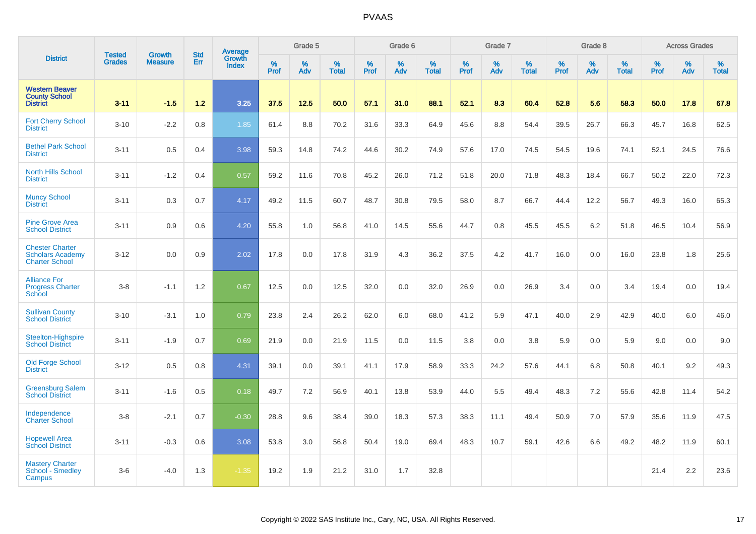|                                                                            |                                |                                 | <b>Std</b> | Average                |              | Grade 5  |                   |           | Grade 6  |                   |           | Grade 7  |                   |           | Grade 8  |                   |           | <b>Across Grades</b> |                   |
|----------------------------------------------------------------------------|--------------------------------|---------------------------------|------------|------------------------|--------------|----------|-------------------|-----------|----------|-------------------|-----------|----------|-------------------|-----------|----------|-------------------|-----------|----------------------|-------------------|
| <b>District</b>                                                            | <b>Tested</b><br><b>Grades</b> | <b>Growth</b><br><b>Measure</b> | Err        | Growth<br><b>Index</b> | $\%$<br>Prof | %<br>Adv | %<br><b>Total</b> | %<br>Prof | %<br>Adv | %<br><b>Total</b> | %<br>Prof | %<br>Adv | %<br><b>Total</b> | %<br>Prof | %<br>Adv | %<br><b>Total</b> | %<br>Prof | %<br>Adv             | %<br><b>Total</b> |
| <b>Western Beaver</b><br><b>County School</b><br><b>District</b>           | $3 - 11$                       | $-1.5$                          | 1.2        | 3.25                   | 37.5         | 12.5     | 50.0              | 57.1      | 31.0     | 88.1              | 52.1      | 8.3      | 60.4              | 52.8      | 5.6      | 58.3              | 50.0      | 17.8                 | 67.8              |
| <b>Fort Cherry School</b><br><b>District</b>                               | $3 - 10$                       | $-2.2$                          | 0.8        | 1.85                   | 61.4         | 8.8      | 70.2              | 31.6      | 33.3     | 64.9              | 45.6      | 8.8      | 54.4              | 39.5      | 26.7     | 66.3              | 45.7      | 16.8                 | 62.5              |
| <b>Bethel Park School</b><br><b>District</b>                               | $3 - 11$                       | 0.5                             | 0.4        | 3.98                   | 59.3         | 14.8     | 74.2              | 44.6      | 30.2     | 74.9              | 57.6      | 17.0     | 74.5              | 54.5      | 19.6     | 74.1              | 52.1      | 24.5                 | 76.6              |
| <b>North Hills School</b><br><b>District</b>                               | $3 - 11$                       | $-1.2$                          | 0.4        | 0.57                   | 59.2         | 11.6     | 70.8              | 45.2      | 26.0     | 71.2              | 51.8      | 20.0     | 71.8              | 48.3      | 18.4     | 66.7              | 50.2      | 22.0                 | 72.3              |
| <b>Muncy School</b><br><b>District</b>                                     | $3 - 11$                       | 0.3                             | 0.7        | 4.17                   | 49.2         | 11.5     | 60.7              | 48.7      | 30.8     | 79.5              | 58.0      | 8.7      | 66.7              | 44.4      | 12.2     | 56.7              | 49.3      | 16.0                 | 65.3              |
| <b>Pine Grove Area</b><br><b>School District</b>                           | $3 - 11$                       | 0.9                             | 0.6        | 4.20                   | 55.8         | 1.0      | 56.8              | 41.0      | 14.5     | 55.6              | 44.7      | 0.8      | 45.5              | 45.5      | $6.2\,$  | 51.8              | 46.5      | 10.4                 | 56.9              |
| <b>Chester Charter</b><br><b>Scholars Academy</b><br><b>Charter School</b> | $3 - 12$                       | 0.0                             | 0.9        | 2.02                   | 17.8         | 0.0      | 17.8              | 31.9      | 4.3      | 36.2              | 37.5      | 4.2      | 41.7              | 16.0      | 0.0      | 16.0              | 23.8      | 1.8                  | 25.6              |
| <b>Alliance For</b><br><b>Progress Charter</b><br><b>School</b>            | $3-8$                          | $-1.1$                          | 1.2        | 0.67                   | 12.5         | 0.0      | 12.5              | 32.0      | 0.0      | 32.0              | 26.9      | 0.0      | 26.9              | 3.4       | 0.0      | 3.4               | 19.4      | 0.0                  | 19.4              |
| <b>Sullivan County</b><br><b>School District</b>                           | $3 - 10$                       | $-3.1$                          | 1.0        | 0.79                   | 23.8         | 2.4      | 26.2              | 62.0      | 6.0      | 68.0              | 41.2      | 5.9      | 47.1              | 40.0      | 2.9      | 42.9              | 40.0      | 6.0                  | 46.0              |
| Steelton-Highspire<br><b>School District</b>                               | $3 - 11$                       | $-1.9$                          | 0.7        | 0.69                   | 21.9         | 0.0      | 21.9              | 11.5      | 0.0      | 11.5              | 3.8       | 0.0      | 3.8               | 5.9       | 0.0      | 5.9               | 9.0       | 0.0                  | 9.0               |
| <b>Old Forge School</b><br><b>District</b>                                 | $3 - 12$                       | 0.5                             | 0.8        | 4.31                   | 39.1         | 0.0      | 39.1              | 41.1      | 17.9     | 58.9              | 33.3      | 24.2     | 57.6              | 44.1      | 6.8      | 50.8              | 40.1      | 9.2                  | 49.3              |
| <b>Greensburg Salem</b><br><b>School District</b>                          | $3 - 11$                       | $-1.6$                          | 0.5        | 0.18                   | 49.7         | 7.2      | 56.9              | 40.1      | 13.8     | 53.9              | 44.0      | 5.5      | 49.4              | 48.3      | 7.2      | 55.6              | 42.8      | 11.4                 | 54.2              |
| Independence<br><b>Charter School</b>                                      | $3-8$                          | $-2.1$                          | 0.7        | $-0.30$                | 28.8         | 9.6      | 38.4              | 39.0      | 18.3     | 57.3              | 38.3      | 11.1     | 49.4              | 50.9      | 7.0      | 57.9              | 35.6      | 11.9                 | 47.5              |
| <b>Hopewell Area</b><br><b>School District</b>                             | $3 - 11$                       | $-0.3$                          | 0.6        | 3.08                   | 53.8         | 3.0      | 56.8              | 50.4      | 19.0     | 69.4              | 48.3      | 10.7     | 59.1              | 42.6      | 6.6      | 49.2              | 48.2      | 11.9                 | 60.1              |
| <b>Mastery Charter</b><br>School - Smedley<br>Campus                       | $3-6$                          | $-4.0$                          | 1.3        | $-1.35$                | 19.2         | 1.9      | 21.2              | 31.0      | 1.7      | 32.8              |           |          |                   |           |          |                   | 21.4      | 2.2                  | 23.6              |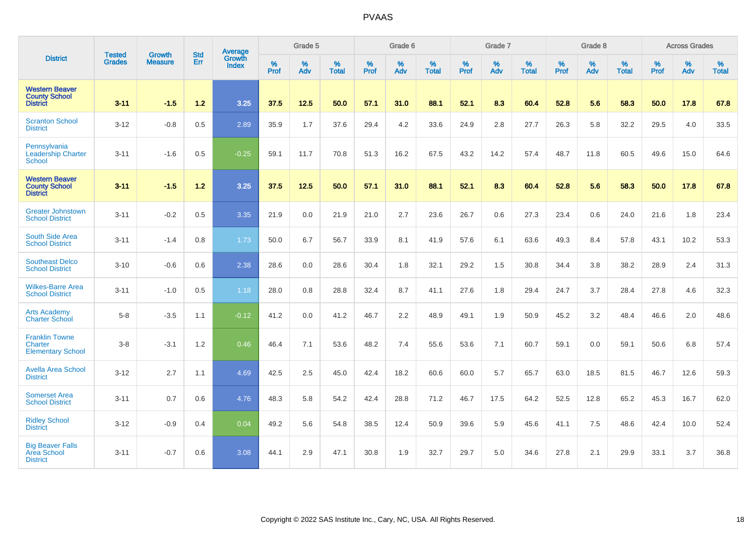|                                                                  | <b>Tested</b> | <b>Growth</b>  | <b>Std</b> | Average                |                     | Grade 5  |                   |                     | Grade 6  |                   |                     | Grade 7  |                   |                     | Grade 8  |                   |                     | <b>Across Grades</b> |                   |
|------------------------------------------------------------------|---------------|----------------|------------|------------------------|---------------------|----------|-------------------|---------------------|----------|-------------------|---------------------|----------|-------------------|---------------------|----------|-------------------|---------------------|----------------------|-------------------|
| <b>District</b>                                                  | <b>Grades</b> | <b>Measure</b> | Err        | Growth<br><b>Index</b> | $\%$<br><b>Prof</b> | %<br>Adv | %<br><b>Total</b> | $\%$<br><b>Prof</b> | %<br>Adv | %<br><b>Total</b> | $\%$<br><b>Prof</b> | %<br>Adv | %<br><b>Total</b> | $\%$<br><b>Prof</b> | %<br>Adv | %<br><b>Total</b> | $\%$<br><b>Prof</b> | %<br>Adv             | %<br><b>Total</b> |
| <b>Western Beaver</b><br><b>County School</b><br><b>District</b> | $3 - 11$      | $-1.5$         | $1.2$      | 3.25                   | 37.5                | 12.5     | 50.0              | 57.1                | 31.0     | 88.1              | 52.1                | 8.3      | 60.4              | 52.8                | 5.6      | 58.3              | 50.0                | 17.8                 | 67.8              |
| <b>Scranton School</b><br><b>District</b>                        | $3 - 12$      | $-0.8$         | 0.5        | 2.89                   | 35.9                | 1.7      | 37.6              | 29.4                | 4.2      | 33.6              | 24.9                | 2.8      | 27.7              | 26.3                | 5.8      | 32.2              | 29.5                | 4.0                  | 33.5              |
| Pennsylvania<br><b>Leadership Charter</b><br><b>School</b>       | $3 - 11$      | $-1.6$         | 0.5        | $-0.25$                | 59.1                | 11.7     | 70.8              | 51.3                | 16.2     | 67.5              | 43.2                | 14.2     | 57.4              | 48.7                | 11.8     | 60.5              | 49.6                | 15.0                 | 64.6              |
| <b>Western Beaver</b><br><b>County School</b><br><b>District</b> | $3 - 11$      | $-1.5$         | 1.2        | 3.25                   | 37.5                | 12.5     | 50.0              | 57.1                | 31.0     | 88.1              | 52.1                | 8.3      | 60.4              | 52.8                | 5.6      | 58.3              | 50.0                | 17.8                 | 67.8              |
| <b>Greater Johnstown</b><br><b>School District</b>               | $3 - 11$      | $-0.2$         | 0.5        | 3.35                   | 21.9                | 0.0      | 21.9              | 21.0                | 2.7      | 23.6              | 26.7                | 0.6      | 27.3              | 23.4                | 0.6      | 24.0              | 21.6                | 1.8                  | 23.4              |
| South Side Area<br><b>School District</b>                        | $3 - 11$      | $-1.4$         | 0.8        | 1.73                   | 50.0                | 6.7      | 56.7              | 33.9                | 8.1      | 41.9              | 57.6                | 6.1      | 63.6              | 49.3                | 8.4      | 57.8              | 43.1                | 10.2                 | 53.3              |
| <b>Southeast Delco</b><br><b>School District</b>                 | $3 - 10$      | $-0.6$         | 0.6        | 2.38                   | 28.6                | 0.0      | 28.6              | 30.4                | 1.8      | 32.1              | 29.2                | 1.5      | 30.8              | 34.4                | 3.8      | 38.2              | 28.9                | 2.4                  | 31.3              |
| <b>Wilkes-Barre Area</b><br><b>School District</b>               | $3 - 11$      | $-1.0$         | 0.5        | 1.18                   | 28.0                | 0.8      | 28.8              | 32.4                | 8.7      | 41.1              | 27.6                | 1.8      | 29.4              | 24.7                | 3.7      | 28.4              | 27.8                | 4.6                  | 32.3              |
| <b>Arts Academy</b><br><b>Charter School</b>                     | $5-8$         | $-3.5$         | 1.1        | $-0.12$                | 41.2                | 0.0      | 41.2              | 46.7                | $2.2\,$  | 48.9              | 49.1                | 1.9      | 50.9              | 45.2                | 3.2      | 48.4              | 46.6                | 2.0                  | 48.6              |
| <b>Franklin Towne</b><br>Charter<br><b>Elementary School</b>     | $3 - 8$       | $-3.1$         | 1.2        | 0.46                   | 46.4                | 7.1      | 53.6              | 48.2                | 7.4      | 55.6              | 53.6                | 7.1      | 60.7              | 59.1                | 0.0      | 59.1              | 50.6                | 6.8                  | 57.4              |
| <b>Avella Area School</b><br><b>District</b>                     | $3 - 12$      | 2.7            | 1.1        | 4.69                   | 42.5                | 2.5      | 45.0              | 42.4                | 18.2     | 60.6              | 60.0                | 5.7      | 65.7              | 63.0                | 18.5     | 81.5              | 46.7                | 12.6                 | 59.3              |
| <b>Somerset Area</b><br><b>School District</b>                   | $3 - 11$      | 0.7            | 0.6        | 4.76                   | 48.3                | 5.8      | 54.2              | 42.4                | 28.8     | 71.2              | 46.7                | 17.5     | 64.2              | 52.5                | 12.8     | 65.2              | 45.3                | 16.7                 | 62.0              |
| <b>Ridley School</b><br><b>District</b>                          | $3 - 12$      | $-0.9$         | 0.4        | 0.04                   | 49.2                | 5.6      | 54.8              | 38.5                | 12.4     | 50.9              | 39.6                | 5.9      | 45.6              | 41.1                | 7.5      | 48.6              | 42.4                | 10.0                 | 52.4              |
| <b>Big Beaver Falls</b><br><b>Area School</b><br><b>District</b> | $3 - 11$      | $-0.7$         | 0.6        | 3.08                   | 44.1                | 2.9      | 47.1              | 30.8                | 1.9      | 32.7              | 29.7                | 5.0      | 34.6              | 27.8                | 2.1      | 29.9              | 33.1                | 3.7                  | 36.8              |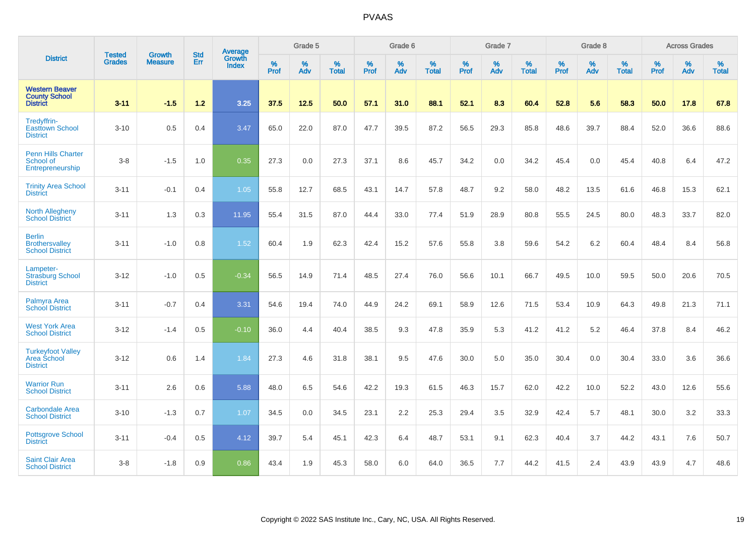|                                                                  |                                |                                 | <b>Std</b> | Average                |           | Grade 5  |                   |           | Grade 6  |                   |           | Grade 7  |                   |           | Grade 8  |                   |           | <b>Across Grades</b> |                   |
|------------------------------------------------------------------|--------------------------------|---------------------------------|------------|------------------------|-----------|----------|-------------------|-----------|----------|-------------------|-----------|----------|-------------------|-----------|----------|-------------------|-----------|----------------------|-------------------|
| <b>District</b>                                                  | <b>Tested</b><br><b>Grades</b> | <b>Growth</b><br><b>Measure</b> | Err        | Growth<br><b>Index</b> | %<br>Prof | %<br>Adv | %<br><b>Total</b> | %<br>Prof | %<br>Adv | %<br><b>Total</b> | %<br>Prof | %<br>Adv | %<br><b>Total</b> | %<br>Prof | %<br>Adv | %<br><b>Total</b> | %<br>Prof | %<br>Adv             | %<br><b>Total</b> |
| <b>Western Beaver</b><br><b>County School</b><br><b>District</b> | $3 - 11$                       | $-1.5$                          | $1.2$      | 3.25                   | 37.5      | 12.5     | 50.0              | 57.1      | 31.0     | 88.1              | 52.1      | 8.3      | 60.4              | 52.8      | 5.6      | 58.3              | 50.0      | 17.8                 | 67.8              |
| Tredyffrin-<br><b>Easttown School</b><br><b>District</b>         | $3 - 10$                       | 0.5                             | 0.4        | 3.47                   | 65.0      | 22.0     | 87.0              | 47.7      | 39.5     | 87.2              | 56.5      | 29.3     | 85.8              | 48.6      | 39.7     | 88.4              | 52.0      | 36.6                 | 88.6              |
| <b>Penn Hills Charter</b><br>School of<br>Entrepreneurship       | $3-8$                          | $-1.5$                          | 1.0        | 0.35                   | 27.3      | 0.0      | 27.3              | 37.1      | 8.6      | 45.7              | 34.2      | 0.0      | 34.2              | 45.4      | 0.0      | 45.4              | 40.8      | 6.4                  | 47.2              |
| <b>Trinity Area School</b><br><b>District</b>                    | $3 - 11$                       | $-0.1$                          | 0.4        | 1.05                   | 55.8      | 12.7     | 68.5              | 43.1      | 14.7     | 57.8              | 48.7      | 9.2      | 58.0              | 48.2      | 13.5     | 61.6              | 46.8      | 15.3                 | 62.1              |
| <b>North Allegheny</b><br><b>School District</b>                 | $3 - 11$                       | 1.3                             | 0.3        | 11.95                  | 55.4      | 31.5     | 87.0              | 44.4      | 33.0     | 77.4              | 51.9      | 28.9     | 80.8              | 55.5      | 24.5     | 80.0              | 48.3      | 33.7                 | 82.0              |
| <b>Berlin</b><br><b>Brothersvalley</b><br><b>School District</b> | $3 - 11$                       | $-1.0$                          | 0.8        | 1.52                   | 60.4      | 1.9      | 62.3              | 42.4      | 15.2     | 57.6              | 55.8      | 3.8      | 59.6              | 54.2      | $6.2\,$  | 60.4              | 48.4      | 8.4                  | 56.8              |
| Lampeter-<br><b>Strasburg School</b><br><b>District</b>          | $3 - 12$                       | $-1.0$                          | 0.5        | $-0.34$                | 56.5      | 14.9     | 71.4              | 48.5      | 27.4     | 76.0              | 56.6      | 10.1     | 66.7              | 49.5      | 10.0     | 59.5              | 50.0      | 20.6                 | 70.5              |
| Palmyra Area<br><b>School District</b>                           | $3 - 11$                       | $-0.7$                          | 0.4        | 3.31                   | 54.6      | 19.4     | 74.0              | 44.9      | 24.2     | 69.1              | 58.9      | 12.6     | 71.5              | 53.4      | 10.9     | 64.3              | 49.8      | 21.3                 | 71.1              |
| <b>West York Area</b><br><b>School District</b>                  | $3 - 12$                       | $-1.4$                          | 0.5        | $-0.10$                | 36.0      | 4.4      | 40.4              | 38.5      | 9.3      | 47.8              | 35.9      | 5.3      | 41.2              | 41.2      | 5.2      | 46.4              | 37.8      | 8.4                  | 46.2              |
| <b>Turkeyfoot Valley</b><br>Area School<br><b>District</b>       | $3 - 12$                       | 0.6                             | 1.4        | 1.84                   | 27.3      | 4.6      | 31.8              | 38.1      | 9.5      | 47.6              | 30.0      | 5.0      | 35.0              | 30.4      | 0.0      | 30.4              | 33.0      | 3.6                  | 36.6              |
| <b>Warrior Run</b><br><b>School District</b>                     | $3 - 11$                       | 2.6                             | 0.6        | 5.88                   | 48.0      | 6.5      | 54.6              | 42.2      | 19.3     | 61.5              | 46.3      | 15.7     | 62.0              | 42.2      | 10.0     | 52.2              | 43.0      | 12.6                 | 55.6              |
| <b>Carbondale Area</b><br><b>School District</b>                 | $3 - 10$                       | $-1.3$                          | 0.7        | 1.07                   | 34.5      | 0.0      | 34.5              | 23.1      | 2.2      | 25.3              | 29.4      | 3.5      | 32.9              | 42.4      | 5.7      | 48.1              | 30.0      | 3.2                  | 33.3              |
| <b>Pottsgrove School</b><br><b>District</b>                      | $3 - 11$                       | $-0.4$                          | 0.5        | 4.12                   | 39.7      | 5.4      | 45.1              | 42.3      | 6.4      | 48.7              | 53.1      | 9.1      | 62.3              | 40.4      | 3.7      | 44.2              | 43.1      | 7.6                  | 50.7              |
| <b>Saint Clair Area</b><br><b>School District</b>                | $3-8$                          | $-1.8$                          | 0.9        | 0.86                   | 43.4      | 1.9      | 45.3              | 58.0      | 6.0      | 64.0              | 36.5      | 7.7      | 44.2              | 41.5      | 2.4      | 43.9              | 43.9      | 4.7                  | 48.6              |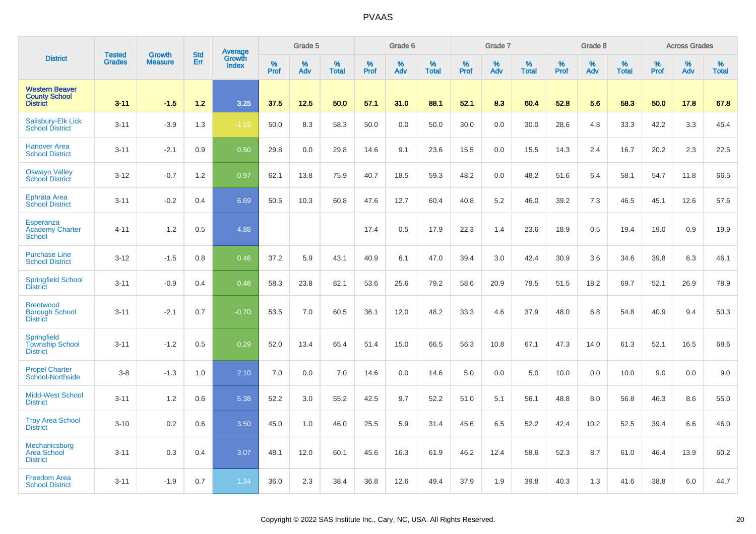|                                                                  | <b>Tested</b> | <b>Growth</b>  | <b>Std</b> | Average                |                     | Grade 5  |                   |                  | Grade 6  |                   |                  | Grade 7  |                   |           | Grade 8  |                   |           | <b>Across Grades</b> |                   |
|------------------------------------------------------------------|---------------|----------------|------------|------------------------|---------------------|----------|-------------------|------------------|----------|-------------------|------------------|----------|-------------------|-----------|----------|-------------------|-----------|----------------------|-------------------|
| <b>District</b>                                                  | <b>Grades</b> | <b>Measure</b> | Err        | Growth<br><b>Index</b> | $\%$<br><b>Prof</b> | %<br>Adv | %<br><b>Total</b> | %<br><b>Prof</b> | %<br>Adv | %<br><b>Total</b> | %<br><b>Prof</b> | %<br>Adv | %<br><b>Total</b> | %<br>Prof | %<br>Adv | %<br><b>Total</b> | %<br>Prof | %<br>Adv             | %<br><b>Total</b> |
| <b>Western Beaver</b><br><b>County School</b><br><b>District</b> | $3 - 11$      | $-1.5$         | 1.2        | 3.25                   | 37.5                | 12.5     | 50.0              | 57.1             | 31.0     | 88.1              | 52.1             | 8.3      | 60.4              | 52.8      | 5.6      | 58.3              | 50.0      | 17.8                 | 67.8              |
| Salisbury-Elk Lick<br><b>School District</b>                     | $3 - 11$      | $-3.9$         | 1.3        | $-1.19$                | 50.0                | 8.3      | 58.3              | 50.0             | 0.0      | 50.0              | 30.0             | 0.0      | 30.0              | 28.6      | $4.8\,$  | 33.3              | 42.2      | 3.3                  | 45.4              |
| <b>Hanover Area</b><br><b>School District</b>                    | $3 - 11$      | $-2.1$         | 0.9        | 0.50                   | 29.8                | 0.0      | 29.8              | 14.6             | 9.1      | 23.6              | 15.5             | 0.0      | 15.5              | 14.3      | 2.4      | 16.7              | 20.2      | 2.3                  | 22.5              |
| <b>Oswayo Valley</b><br><b>School District</b>                   | $3 - 12$      | $-0.7$         | 1.2        | 0.97                   | 62.1                | 13.8     | 75.9              | 40.7             | 18.5     | 59.3              | 48.2             | 0.0      | 48.2              | 51.6      | 6.4      | 58.1              | 54.7      | 11.8                 | 66.5              |
| <b>Ephrata Area</b><br><b>School District</b>                    | $3 - 11$      | $-0.2$         | 0.4        | 6.69                   | 50.5                | 10.3     | 60.8              | 47.6             | 12.7     | 60.4              | 40.8             | 5.2      | 46.0              | 39.2      | 7.3      | 46.5              | 45.1      | 12.6                 | 57.6              |
| <b>Esperanza</b><br><b>Academy Charter</b><br><b>School</b>      | $4 - 11$      | 1.2            | 0.5        | 4.88                   |                     |          |                   | 17.4             | 0.5      | 17.9              | 22.3             | 1.4      | 23.6              | 18.9      | 0.5      | 19.4              | 19.0      | 0.9                  | 19.9              |
| <b>Purchase Line</b><br><b>School District</b>                   | $3 - 12$      | $-1.5$         | 0.8        | 0.46                   | 37.2                | 5.9      | 43.1              | 40.9             | 6.1      | 47.0              | 39.4             | 3.0      | 42.4              | 30.9      | 3.6      | 34.6              | 39.8      | 6.3                  | 46.1              |
| <b>Springfield School</b><br><b>District</b>                     | $3 - 11$      | $-0.9$         | 0.4        | 0.48                   | 58.3                | 23.8     | 82.1              | 53.6             | 25.6     | 79.2              | 58.6             | 20.9     | 79.5              | 51.5      | 18.2     | 69.7              | 52.1      | 26.9                 | 78.9              |
| <b>Brentwood</b><br><b>Borough School</b><br><b>District</b>     | $3 - 11$      | $-2.1$         | 0.7        | $-0.70$                | 53.5                | 7.0      | 60.5              | 36.1             | 12.0     | 48.2              | 33.3             | 4.6      | 37.9              | 48.0      | 6.8      | 54.8              | 40.9      | 9.4                  | 50.3              |
| <b>Springfield</b><br><b>Township School</b><br><b>District</b>  | $3 - 11$      | $-1.2$         | 0.5        | 0.29                   | 52.0                | 13.4     | 65.4              | 51.4             | 15.0     | 66.5              | 56.3             | 10.8     | 67.1              | 47.3      | 14.0     | 61.3              | 52.1      | 16.5                 | 68.6              |
| <b>Propel Charter</b><br><b>School-Northside</b>                 | $3 - 8$       | $-1.3$         | 1.0        | 2.10                   | 7.0                 | 0.0      | 7.0               | 14.6             | 0.0      | 14.6              | 5.0              | 0.0      | 5.0               | 10.0      | 0.0      | 10.0              | 9.0       | 0.0                  | 9.0               |
| <b>Midd-West School</b><br><b>District</b>                       | $3 - 11$      | 1.2            | 0.6        | 5.38                   | 52.2                | 3.0      | 55.2              | 42.5             | 9.7      | 52.2              | 51.0             | 5.1      | 56.1              | 48.8      | 8.0      | 56.8              | 46.3      | 8.6                  | 55.0              |
| <b>Troy Area School</b><br><b>District</b>                       | $3 - 10$      | 0.2            | 0.6        | 3.50                   | 45.0                | 1.0      | 46.0              | 25.5             | 5.9      | 31.4              | 45.6             | 6.5      | 52.2              | 42.4      | 10.2     | 52.5              | 39.4      | 6.6                  | 46.0              |
| Mechanicsburg<br><b>Area School</b><br><b>District</b>           | $3 - 11$      | 0.3            | 0.4        | 3.07                   | 48.1                | 12.0     | 60.1              | 45.6             | 16.3     | 61.9              | 46.2             | 12.4     | 58.6              | 52.3      | 8.7      | 61.0              | 46.4      | 13.9                 | 60.2              |
| <b>Freedom Area</b><br><b>School District</b>                    | $3 - 11$      | $-1.9$         | 0.7        | 1.34                   | 36.0                | 2.3      | 38.4              | 36.8             | 12.6     | 49.4              | 37.9             | 1.9      | 39.8              | 40.3      | 1.3      | 41.6              | 38.8      | 6.0                  | 44.7              |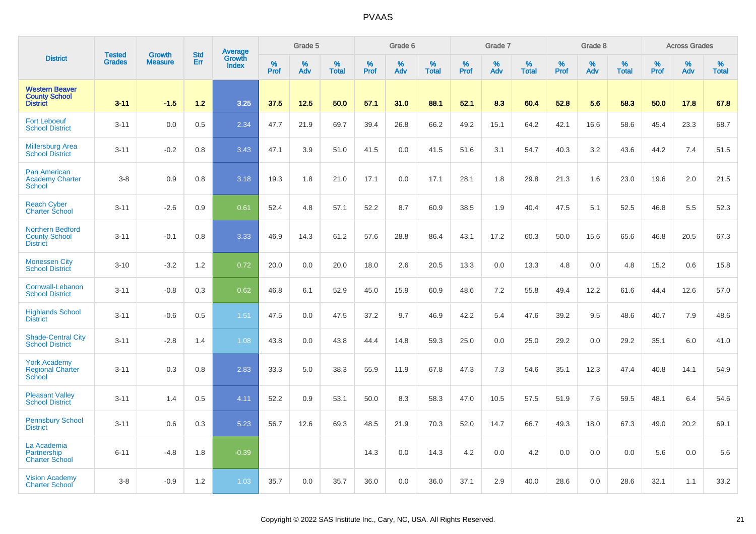|                                                                    | <b>Tested</b> | <b>Growth</b>  | <b>Std</b> | Average                |                  | Grade 5  |                   |                  | Grade 6  |                   |                  | Grade 7  |                   |           | Grade 8  |                   |           | <b>Across Grades</b> |                   |
|--------------------------------------------------------------------|---------------|----------------|------------|------------------------|------------------|----------|-------------------|------------------|----------|-------------------|------------------|----------|-------------------|-----------|----------|-------------------|-----------|----------------------|-------------------|
| <b>District</b>                                                    | <b>Grades</b> | <b>Measure</b> | Err        | Growth<br><b>Index</b> | %<br><b>Prof</b> | %<br>Adv | %<br><b>Total</b> | %<br><b>Prof</b> | %<br>Adv | %<br><b>Total</b> | %<br><b>Prof</b> | %<br>Adv | %<br><b>Total</b> | %<br>Prof | %<br>Adv | %<br><b>Total</b> | %<br>Prof | %<br>Adv             | %<br><b>Total</b> |
| <b>Western Beaver</b><br><b>County School</b><br><b>District</b>   | $3 - 11$      | $-1.5$         | 1.2        | 3.25                   | 37.5             | 12.5     | 50.0              | 57.1             | 31.0     | 88.1              | 52.1             | 8.3      | 60.4              | 52.8      | 5.6      | 58.3              | 50.0      | 17.8                 | 67.8              |
| <b>Fort Leboeuf</b><br><b>School District</b>                      | $3 - 11$      | 0.0            | 0.5        | 2.34                   | 47.7             | 21.9     | 69.7              | 39.4             | 26.8     | 66.2              | 49.2             | 15.1     | 64.2              | 42.1      | 16.6     | 58.6              | 45.4      | 23.3                 | 68.7              |
| <b>Millersburg Area</b><br><b>School District</b>                  | $3 - 11$      | $-0.2$         | 0.8        | 3.43                   | 47.1             | 3.9      | 51.0              | 41.5             | 0.0      | 41.5              | 51.6             | 3.1      | 54.7              | 40.3      | 3.2      | 43.6              | 44.2      | 7.4                  | 51.5              |
| <b>Pan American</b><br><b>Academy Charter</b><br><b>School</b>     | $3 - 8$       | 0.9            | 0.8        | 3.18                   | 19.3             | 1.8      | 21.0              | 17.1             | 0.0      | 17.1              | 28.1             | 1.8      | 29.8              | 21.3      | 1.6      | 23.0              | 19.6      | 2.0                  | 21.5              |
| <b>Reach Cyber</b><br><b>Charter School</b>                        | $3 - 11$      | $-2.6$         | 0.9        | 0.61                   | 52.4             | 4.8      | 57.1              | 52.2             | 8.7      | 60.9              | 38.5             | 1.9      | 40.4              | 47.5      | 5.1      | 52.5              | 46.8      | 5.5                  | 52.3              |
| <b>Northern Bedford</b><br><b>County School</b><br><b>District</b> | $3 - 11$      | $-0.1$         | 0.8        | 3.33                   | 46.9             | 14.3     | 61.2              | 57.6             | 28.8     | 86.4              | 43.1             | 17.2     | 60.3              | 50.0      | 15.6     | 65.6              | 46.8      | 20.5                 | 67.3              |
| <b>Monessen City</b><br><b>School District</b>                     | $3 - 10$      | $-3.2$         | 1.2        | 0.72                   | 20.0             | 0.0      | 20.0              | 18.0             | 2.6      | 20.5              | 13.3             | 0.0      | 13.3              | 4.8       | 0.0      | 4.8               | 15.2      | 0.6                  | 15.8              |
| Cornwall-Lebanon<br><b>School District</b>                         | $3 - 11$      | $-0.8$         | 0.3        | 0.62                   | 46.8             | 6.1      | 52.9              | 45.0             | 15.9     | 60.9              | 48.6             | 7.2      | 55.8              | 49.4      | 12.2     | 61.6              | 44.4      | 12.6                 | 57.0              |
| <b>Highlands School</b><br><b>District</b>                         | $3 - 11$      | $-0.6$         | 0.5        | 1.51                   | 47.5             | 0.0      | 47.5              | 37.2             | 9.7      | 46.9              | 42.2             | 5.4      | 47.6              | 39.2      | 9.5      | 48.6              | 40.7      | 7.9                  | 48.6              |
| <b>Shade-Central City</b><br><b>School District</b>                | $3 - 11$      | $-2.8$         | 1.4        | 1.08                   | 43.8             | 0.0      | 43.8              | 44.4             | 14.8     | 59.3              | 25.0             | 0.0      | 25.0              | 29.2      | 0.0      | 29.2              | 35.1      | 6.0                  | 41.0              |
| <b>York Academy</b><br><b>Regional Charter</b><br>School           | $3 - 11$      | 0.3            | 0.8        | 2.83                   | 33.3             | 5.0      | 38.3              | 55.9             | 11.9     | 67.8              | 47.3             | 7.3      | 54.6              | 35.1      | 12.3     | 47.4              | 40.8      | 14.1                 | 54.9              |
| <b>Pleasant Valley</b><br><b>School District</b>                   | $3 - 11$      | 1.4            | 0.5        | 4.11                   | 52.2             | 0.9      | 53.1              | 50.0             | 8.3      | 58.3              | 47.0             | 10.5     | 57.5              | 51.9      | 7.6      | 59.5              | 48.1      | 6.4                  | 54.6              |
| <b>Pennsbury School</b><br><b>District</b>                         | $3 - 11$      | 0.6            | 0.3        | 5.23                   | 56.7             | 12.6     | 69.3              | 48.5             | 21.9     | 70.3              | 52.0             | 14.7     | 66.7              | 49.3      | 18.0     | 67.3              | 49.0      | 20.2                 | 69.1              |
| La Academia<br>Partnership<br><b>Charter School</b>                | $6 - 11$      | $-4.8$         | 1.8        | $-0.39$                |                  |          |                   | 14.3             | 0.0      | 14.3              | 4.2              | 0.0      | 4.2               | 0.0       | 0.0      | 0.0               | 5.6       | 0.0                  | 5.6               |
| <b>Vision Academy</b><br><b>Charter School</b>                     | $3 - 8$       | $-0.9$         | 1.2        | 1.03                   | 35.7             | 0.0      | 35.7              | 36.0             | 0.0      | 36.0              | 37.1             | 2.9      | 40.0              | 28.6      | 0.0      | 28.6              | 32.1      | 1.1                  | 33.2              |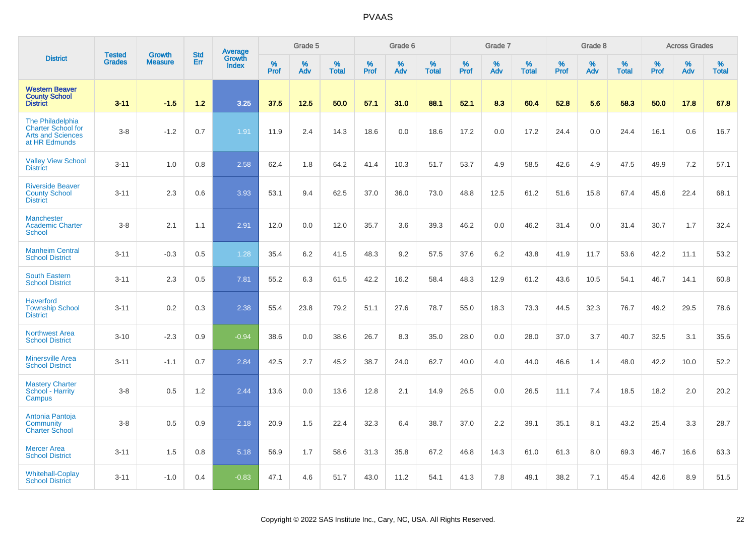|                                                                                     | <b>Tested</b> | <b>Growth</b>  | <b>Std</b> | <b>Average</b><br>Growth |                     | Grade 5  |                   |              | Grade 6  |                   |              | Grade 7  |                   |              | Grade 8  |                   |           | <b>Across Grades</b> |                   |
|-------------------------------------------------------------------------------------|---------------|----------------|------------|--------------------------|---------------------|----------|-------------------|--------------|----------|-------------------|--------------|----------|-------------------|--------------|----------|-------------------|-----------|----------------------|-------------------|
| <b>District</b>                                                                     | <b>Grades</b> | <b>Measure</b> | Err        | <b>Index</b>             | $\%$<br><b>Prof</b> | %<br>Adv | %<br><b>Total</b> | $\%$<br>Prof | %<br>Adv | %<br><b>Total</b> | $\%$<br>Prof | %<br>Adv | %<br><b>Total</b> | $\%$<br>Prof | %<br>Adv | %<br><b>Total</b> | %<br>Prof | %<br>Adv             | %<br><b>Total</b> |
| <b>Western Beaver</b><br><b>County School</b><br><b>District</b>                    | $3 - 11$      | $-1.5$         | 1.2        | 3.25                     | 37.5                | 12.5     | 50.0              | 57.1         | 31.0     | 88.1              | 52.1         | 8.3      | 60.4              | 52.8         | 5.6      | 58.3              | 50.0      | 17.8                 | 67.8              |
| The Philadelphia<br><b>Charter School for</b><br>Arts and Sciences<br>at HR Edmunds | $3-8$         | $-1.2$         | 0.7        | 1.91                     | 11.9                | 2.4      | 14.3              | 18.6         | 0.0      | 18.6              | 17.2         | 0.0      | 17.2              | 24.4         | 0.0      | 24.4              | 16.1      | 0.6                  | 16.7              |
| <b>Valley View School</b><br><b>District</b>                                        | $3 - 11$      | 1.0            | 0.8        | 2.58                     | 62.4                | 1.8      | 64.2              | 41.4         | 10.3     | 51.7              | 53.7         | 4.9      | 58.5              | 42.6         | 4.9      | 47.5              | 49.9      | 7.2                  | 57.1              |
| <b>Riverside Beaver</b><br><b>County School</b><br><b>District</b>                  | $3 - 11$      | 2.3            | 0.6        | 3.93                     | 53.1                | 9.4      | 62.5              | 37.0         | 36.0     | 73.0              | 48.8         | 12.5     | 61.2              | 51.6         | 15.8     | 67.4              | 45.6      | 22.4                 | 68.1              |
| <b>Manchester</b><br><b>Academic Charter</b><br><b>School</b>                       | $3-8$         | 2.1            | 1.1        | 2.91                     | 12.0                | 0.0      | 12.0              | 35.7         | 3.6      | 39.3              | 46.2         | 0.0      | 46.2              | 31.4         | 0.0      | 31.4              | 30.7      | 1.7                  | 32.4              |
| <b>Manheim Central</b><br><b>School District</b>                                    | $3 - 11$      | $-0.3$         | 0.5        | 1.28                     | 35.4                | 6.2      | 41.5              | 48.3         | 9.2      | 57.5              | 37.6         | 6.2      | 43.8              | 41.9         | 11.7     | 53.6              | 42.2      | 11.1                 | 53.2              |
| <b>South Eastern</b><br><b>School District</b>                                      | $3 - 11$      | 2.3            | 0.5        | 7.81                     | 55.2                | 6.3      | 61.5              | 42.2         | 16.2     | 58.4              | 48.3         | 12.9     | 61.2              | 43.6         | 10.5     | 54.1              | 46.7      | 14.1                 | 60.8              |
| <b>Haverford</b><br><b>Township School</b><br><b>District</b>                       | $3 - 11$      | 0.2            | 0.3        | 2.38                     | 55.4                | 23.8     | 79.2              | 51.1         | 27.6     | 78.7              | 55.0         | 18.3     | 73.3              | 44.5         | 32.3     | 76.7              | 49.2      | 29.5                 | 78.6              |
| <b>Northwest Area</b><br><b>School District</b>                                     | $3 - 10$      | $-2.3$         | 0.9        | $-0.94$                  | 38.6                | 0.0      | 38.6              | 26.7         | 8.3      | 35.0              | 28.0         | 0.0      | 28.0              | 37.0         | 3.7      | 40.7              | 32.5      | 3.1                  | 35.6              |
| <b>Minersville Area</b><br><b>School District</b>                                   | $3 - 11$      | $-1.1$         | 0.7        | 2.84                     | 42.5                | 2.7      | 45.2              | 38.7         | 24.0     | 62.7              | 40.0         | 4.0      | 44.0              | 46.6         | 1.4      | 48.0              | 42.2      | 10.0                 | 52.2              |
| <b>Mastery Charter</b><br>School - Harrity<br>Campus                                | $3-8$         | 0.5            | 1.2        | 2.44                     | 13.6                | 0.0      | 13.6              | 12.8         | 2.1      | 14.9              | 26.5         | 0.0      | 26.5              | 11.1         | 7.4      | 18.5              | 18.2      | 2.0                  | 20.2              |
| Antonia Pantoja<br>Community<br><b>Charter School</b>                               | $3 - 8$       | 0.5            | 0.9        | 2.18                     | 20.9                | 1.5      | 22.4              | 32.3         | 6.4      | 38.7              | 37.0         | 2.2      | 39.1              | 35.1         | 8.1      | 43.2              | 25.4      | 3.3                  | 28.7              |
| <b>Mercer Area</b><br><b>School District</b>                                        | $3 - 11$      | 1.5            | 0.8        | 5.18                     | 56.9                | 1.7      | 58.6              | 31.3         | 35.8     | 67.2              | 46.8         | 14.3     | 61.0              | 61.3         | 8.0      | 69.3              | 46.7      | 16.6                 | 63.3              |
| <b>Whitehall-Coplay</b><br><b>School District</b>                                   | $3 - 11$      | $-1.0$         | 0.4        | $-0.83$                  | 47.1                | 4.6      | 51.7              | 43.0         | 11.2     | 54.1              | 41.3         | 7.8      | 49.1              | 38.2         | 7.1      | 45.4              | 42.6      | 8.9                  | 51.5              |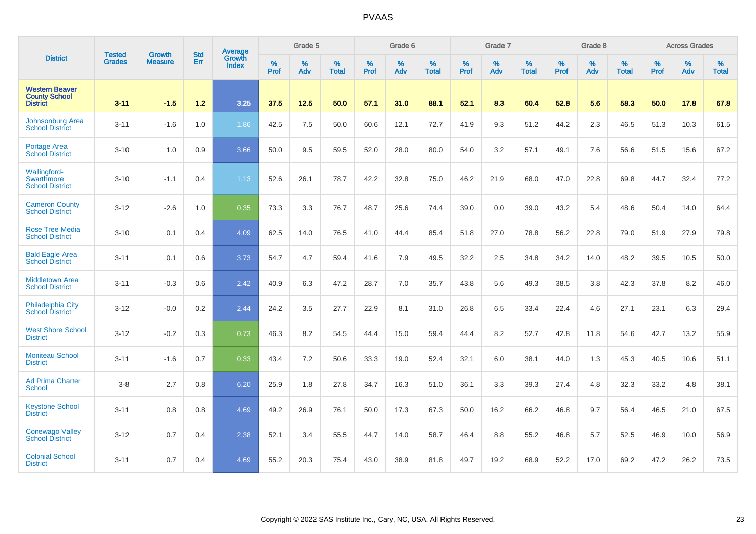|                                                                  | <b>Tested</b> | <b>Growth</b>  | <b>Std</b> | Average                |           | Grade 5  |                   |           | Grade 6  |                   |           | Grade 7  |                   |           | Grade 8  |                   |           | <b>Across Grades</b> |                   |
|------------------------------------------------------------------|---------------|----------------|------------|------------------------|-----------|----------|-------------------|-----------|----------|-------------------|-----------|----------|-------------------|-----------|----------|-------------------|-----------|----------------------|-------------------|
| <b>District</b>                                                  | <b>Grades</b> | <b>Measure</b> | Err        | Growth<br><b>Index</b> | %<br>Prof | %<br>Adv | %<br><b>Total</b> | %<br>Prof | %<br>Adv | %<br><b>Total</b> | %<br>Prof | %<br>Adv | %<br><b>Total</b> | %<br>Prof | %<br>Adv | %<br><b>Total</b> | %<br>Prof | %<br>Adv             | %<br><b>Total</b> |
| <b>Western Beaver</b><br><b>County School</b><br><b>District</b> | $3 - 11$      | $-1.5$         | 1.2        | 3.25                   | 37.5      | 12.5     | 50.0              | 57.1      | 31.0     | 88.1              | 52.1      | 8.3      | 60.4              | 52.8      | 5.6      | 58.3              | 50.0      | 17.8                 | 67.8              |
| Johnsonburg Area<br><b>School District</b>                       | $3 - 11$      | $-1.6$         | 1.0        | 1.86                   | 42.5      | 7.5      | 50.0              | 60.6      | 12.1     | 72.7              | 41.9      | 9.3      | 51.2              | 44.2      | 2.3      | 46.5              | 51.3      | 10.3                 | 61.5              |
| <b>Portage Area</b><br><b>School District</b>                    | $3 - 10$      | 1.0            | 0.9        | 3.66                   | 50.0      | 9.5      | 59.5              | 52.0      | 28.0     | 80.0              | 54.0      | 3.2      | 57.1              | 49.1      | 7.6      | 56.6              | 51.5      | 15.6                 | 67.2              |
| Wallingford-<br>Swarthmore<br><b>School District</b>             | $3 - 10$      | $-1.1$         | 0.4        | 1.13                   | 52.6      | 26.1     | 78.7              | 42.2      | 32.8     | 75.0              | 46.2      | 21.9     | 68.0              | 47.0      | 22.8     | 69.8              | 44.7      | 32.4                 | 77.2              |
| <b>Cameron County</b><br><b>School District</b>                  | $3 - 12$      | $-2.6$         | 1.0        | 0.35                   | 73.3      | 3.3      | 76.7              | 48.7      | 25.6     | 74.4              | 39.0      | 0.0      | 39.0              | 43.2      | 5.4      | 48.6              | 50.4      | 14.0                 | 64.4              |
| <b>Rose Tree Media</b><br><b>School District</b>                 | $3 - 10$      | 0.1            | 0.4        | 4.09                   | 62.5      | 14.0     | 76.5              | 41.0      | 44.4     | 85.4              | 51.8      | 27.0     | 78.8              | 56.2      | 22.8     | 79.0              | 51.9      | 27.9                 | 79.8              |
| <b>Bald Eagle Area</b><br><b>School District</b>                 | $3 - 11$      | 0.1            | 0.6        | 3.73                   | 54.7      | 4.7      | 59.4              | 41.6      | 7.9      | 49.5              | 32.2      | 2.5      | 34.8              | 34.2      | 14.0     | 48.2              | 39.5      | 10.5                 | 50.0              |
| <b>Middletown Area</b><br><b>School District</b>                 | $3 - 11$      | $-0.3$         | 0.6        | 2.42                   | 40.9      | 6.3      | 47.2              | 28.7      | 7.0      | 35.7              | 43.8      | 5.6      | 49.3              | 38.5      | 3.8      | 42.3              | 37.8      | 8.2                  | 46.0              |
| <b>Philadelphia City</b><br><b>School District</b>               | $3 - 12$      | $-0.0$         | 0.2        | 2.44                   | 24.2      | 3.5      | 27.7              | 22.9      | 8.1      | 31.0              | 26.8      | 6.5      | 33.4              | 22.4      | 4.6      | 27.1              | 23.1      | 6.3                  | 29.4              |
| <b>West Shore School</b><br><b>District</b>                      | $3 - 12$      | $-0.2$         | 0.3        | 0.73                   | 46.3      | 8.2      | 54.5              | 44.4      | 15.0     | 59.4              | 44.4      | 8.2      | 52.7              | 42.8      | 11.8     | 54.6              | 42.7      | 13.2                 | 55.9              |
| <b>Moniteau School</b><br><b>District</b>                        | $3 - 11$      | $-1.6$         | 0.7        | 0.33                   | 43.4      | 7.2      | 50.6              | 33.3      | 19.0     | 52.4              | 32.1      | 6.0      | 38.1              | 44.0      | 1.3      | 45.3              | 40.5      | 10.6                 | 51.1              |
| <b>Ad Prima Charter</b><br>School                                | $3 - 8$       | 2.7            | 0.8        | 6.20                   | 25.9      | 1.8      | 27.8              | 34.7      | 16.3     | 51.0              | 36.1      | 3.3      | 39.3              | 27.4      | 4.8      | 32.3              | 33.2      | 4.8                  | 38.1              |
| <b>Keystone School</b><br><b>District</b>                        | $3 - 11$      | 0.8            | 0.8        | 4.69                   | 49.2      | 26.9     | 76.1              | 50.0      | 17.3     | 67.3              | 50.0      | 16.2     | 66.2              | 46.8      | 9.7      | 56.4              | 46.5      | 21.0                 | 67.5              |
| <b>Conewago Valley</b><br><b>School District</b>                 | $3 - 12$      | 0.7            | 0.4        | 2.38                   | 52.1      | 3.4      | 55.5              | 44.7      | 14.0     | 58.7              | 46.4      | 8.8      | 55.2              | 46.8      | 5.7      | 52.5              | 46.9      | 10.0                 | 56.9              |
| <b>Colonial School</b><br><b>District</b>                        | $3 - 11$      | 0.7            | 0.4        | 4.69                   | 55.2      | 20.3     | 75.4              | 43.0      | 38.9     | 81.8              | 49.7      | 19.2     | 68.9              | 52.2      | 17.0     | 69.2              | 47.2      | 26.2                 | 73.5              |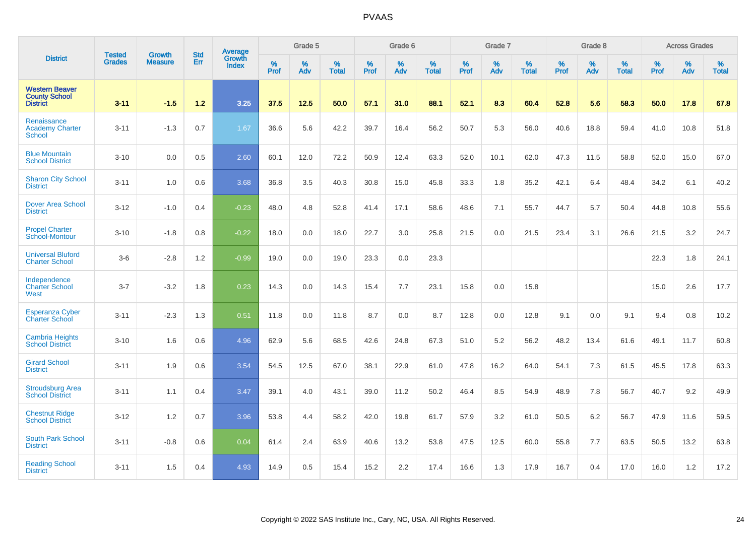|                                                                  |                                |                                 | <b>Std</b> | Average                       |              | Grade 5  |                   |           | Grade 6  |                   |           | Grade 7  |                   |           | Grade 8  |                   |           | <b>Across Grades</b> |                   |
|------------------------------------------------------------------|--------------------------------|---------------------------------|------------|-------------------------------|--------------|----------|-------------------|-----------|----------|-------------------|-----------|----------|-------------------|-----------|----------|-------------------|-----------|----------------------|-------------------|
| <b>District</b>                                                  | <b>Tested</b><br><b>Grades</b> | <b>Growth</b><br><b>Measure</b> | Err        | <b>Growth</b><br><b>Index</b> | $\%$<br>Prof | %<br>Adv | %<br><b>Total</b> | %<br>Prof | %<br>Adv | %<br><b>Total</b> | %<br>Prof | %<br>Adv | %<br><b>Total</b> | %<br>Prof | %<br>Adv | %<br><b>Total</b> | %<br>Prof | %<br>Adv             | %<br><b>Total</b> |
| <b>Western Beaver</b><br><b>County School</b><br><b>District</b> | $3 - 11$                       | $-1.5$                          | $1.2$      | 3.25                          | 37.5         | 12.5     | 50.0              | 57.1      | 31.0     | 88.1              | 52.1      | 8.3      | 60.4              | 52.8      | 5.6      | 58.3              | 50.0      | 17.8                 | 67.8              |
| Renaissance<br><b>Academy Charter</b><br><b>School</b>           | $3 - 11$                       | $-1.3$                          | 0.7        | 1.67                          | 36.6         | 5.6      | 42.2              | 39.7      | 16.4     | 56.2              | 50.7      | 5.3      | 56.0              | 40.6      | 18.8     | 59.4              | 41.0      | 10.8                 | 51.8              |
| <b>Blue Mountain</b><br><b>School District</b>                   | $3 - 10$                       | 0.0                             | 0.5        | 2.60                          | 60.1         | 12.0     | 72.2              | 50.9      | 12.4     | 63.3              | 52.0      | 10.1     | 62.0              | 47.3      | 11.5     | 58.8              | 52.0      | 15.0                 | 67.0              |
| <b>Sharon City School</b><br><b>District</b>                     | $3 - 11$                       | 1.0                             | 0.6        | 3.68                          | 36.8         | 3.5      | 40.3              | 30.8      | 15.0     | 45.8              | 33.3      | 1.8      | 35.2              | 42.1      | 6.4      | 48.4              | 34.2      | 6.1                  | 40.2              |
| <b>Dover Area School</b><br><b>District</b>                      | $3 - 12$                       | $-1.0$                          | 0.4        | $-0.23$                       | 48.0         | 4.8      | 52.8              | 41.4      | 17.1     | 58.6              | 48.6      | 7.1      | 55.7              | 44.7      | 5.7      | 50.4              | 44.8      | 10.8                 | 55.6              |
| <b>Propel Charter</b><br>School-Montour                          | $3 - 10$                       | $-1.8$                          | 0.8        | $-0.22$                       | 18.0         | 0.0      | 18.0              | 22.7      | 3.0      | 25.8              | 21.5      | 0.0      | 21.5              | 23.4      | 3.1      | 26.6              | 21.5      | 3.2                  | 24.7              |
| <b>Universal Bluford</b><br><b>Charter School</b>                | $3-6$                          | $-2.8$                          | 1.2        | $-0.99$                       | 19.0         | 0.0      | 19.0              | 23.3      | 0.0      | 23.3              |           |          |                   |           |          |                   | 22.3      | 1.8                  | 24.1              |
| Independence<br><b>Charter School</b><br>West                    | $3 - 7$                        | $-3.2$                          | 1.8        | 0.23                          | 14.3         | 0.0      | 14.3              | 15.4      | 7.7      | 23.1              | 15.8      | 0.0      | 15.8              |           |          |                   | 15.0      | 2.6                  | 17.7              |
| <b>Esperanza Cyber</b><br><b>Charter School</b>                  | $3 - 11$                       | $-2.3$                          | 1.3        | 0.51                          | 11.8         | 0.0      | 11.8              | 8.7       | 0.0      | 8.7               | 12.8      | 0.0      | 12.8              | 9.1       | 0.0      | 9.1               | 9.4       | 0.8                  | 10.2              |
| <b>Cambria Heights</b><br><b>School District</b>                 | $3 - 10$                       | 1.6                             | 0.6        | 4.96                          | 62.9         | 5.6      | 68.5              | 42.6      | 24.8     | 67.3              | 51.0      | 5.2      | 56.2              | 48.2      | 13.4     | 61.6              | 49.1      | 11.7                 | 60.8              |
| <b>Girard School</b><br><b>District</b>                          | $3 - 11$                       | 1.9                             | 0.6        | 3.54                          | 54.5         | 12.5     | 67.0              | 38.1      | 22.9     | 61.0              | 47.8      | 16.2     | 64.0              | 54.1      | 7.3      | 61.5              | 45.5      | 17.8                 | 63.3              |
| <b>Stroudsburg Area</b><br><b>School District</b>                | $3 - 11$                       | 1.1                             | 0.4        | 3.47                          | 39.1         | 4.0      | 43.1              | 39.0      | 11.2     | 50.2              | 46.4      | 8.5      | 54.9              | 48.9      | 7.8      | 56.7              | 40.7      | 9.2                  | 49.9              |
| <b>Chestnut Ridge</b><br><b>School District</b>                  | $3 - 12$                       | 1.2                             | 0.7        | 3.96                          | 53.8         | 4.4      | 58.2              | 42.0      | 19.8     | 61.7              | 57.9      | 3.2      | 61.0              | 50.5      | 6.2      | 56.7              | 47.9      | 11.6                 | 59.5              |
| South Park School<br><b>District</b>                             | $3 - 11$                       | $-0.8$                          | 0.6        | 0.04                          | 61.4         | 2.4      | 63.9              | 40.6      | 13.2     | 53.8              | 47.5      | 12.5     | 60.0              | 55.8      | 7.7      | 63.5              | 50.5      | 13.2                 | 63.8              |
| <b>Reading School</b><br><b>District</b>                         | $3 - 11$                       | 1.5                             | 0.4        | 4.93                          | 14.9         | 0.5      | 15.4              | 15.2      | 2.2      | 17.4              | 16.6      | 1.3      | 17.9              | 16.7      | 0.4      | 17.0              | 16.0      | 1.2                  | 17.2              |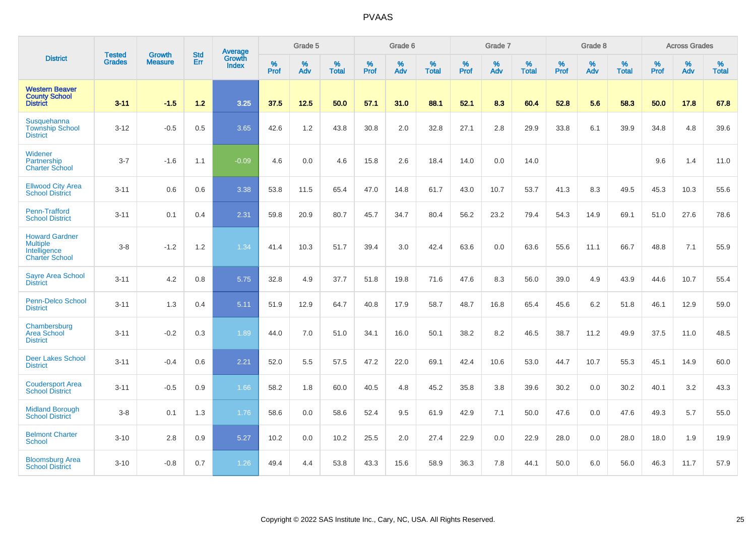|                                                                                   |                                |                                 | <b>Std</b> | <b>Average</b>         |           | Grade 5  |                   |           | Grade 6  |                   |           | Grade 7  |                   |           | Grade 8  |                   |           | <b>Across Grades</b> |                   |
|-----------------------------------------------------------------------------------|--------------------------------|---------------------------------|------------|------------------------|-----------|----------|-------------------|-----------|----------|-------------------|-----------|----------|-------------------|-----------|----------|-------------------|-----------|----------------------|-------------------|
| <b>District</b>                                                                   | <b>Tested</b><br><b>Grades</b> | <b>Growth</b><br><b>Measure</b> | Err        | Growth<br><b>Index</b> | %<br>Prof | %<br>Adv | %<br><b>Total</b> | %<br>Prof | %<br>Adv | %<br><b>Total</b> | %<br>Prof | %<br>Adv | %<br><b>Total</b> | %<br>Prof | %<br>Adv | %<br><b>Total</b> | %<br>Prof | %<br>Adv             | %<br><b>Total</b> |
| <b>Western Beaver</b><br><b>County School</b><br><b>District</b>                  | $3 - 11$                       | $-1.5$                          | $1.2$      | 3.25                   | 37.5      | 12.5     | 50.0              | 57.1      | 31.0     | 88.1              | 52.1      | 8.3      | 60.4              | 52.8      | 5.6      | 58.3              | 50.0      | 17.8                 | 67.8              |
| Susquehanna<br><b>Township School</b><br><b>District</b>                          | $3 - 12$                       | $-0.5$                          | 0.5        | 3.65                   | 42.6      | 1.2      | 43.8              | 30.8      | 2.0      | 32.8              | 27.1      | 2.8      | 29.9              | 33.8      | 6.1      | 39.9              | 34.8      | 4.8                  | 39.6              |
| Widener<br>Partnership<br><b>Charter School</b>                                   | $3 - 7$                        | $-1.6$                          | 1.1        | $-0.09$                | 4.6       | 0.0      | 4.6               | 15.8      | 2.6      | 18.4              | 14.0      | 0.0      | 14.0              |           |          |                   | 9.6       | 1.4                  | 11.0              |
| <b>Ellwood City Area</b><br><b>School District</b>                                | $3 - 11$                       | 0.6                             | 0.6        | 3.38                   | 53.8      | 11.5     | 65.4              | 47.0      | 14.8     | 61.7              | 43.0      | 10.7     | 53.7              | 41.3      | 8.3      | 49.5              | 45.3      | 10.3                 | 55.6              |
| Penn-Trafford<br><b>School District</b>                                           | $3 - 11$                       | 0.1                             | 0.4        | 2.31                   | 59.8      | 20.9     | 80.7              | 45.7      | 34.7     | 80.4              | 56.2      | 23.2     | 79.4              | 54.3      | 14.9     | 69.1              | 51.0      | 27.6                 | 78.6              |
| <b>Howard Gardner</b><br><b>Multiple</b><br>Intelligence<br><b>Charter School</b> | $3-8$                          | $-1.2$                          | 1.2        | 1.34                   | 41.4      | 10.3     | 51.7              | 39.4      | 3.0      | 42.4              | 63.6      | 0.0      | 63.6              | 55.6      | 11.1     | 66.7              | 48.8      | 7.1                  | 55.9              |
| <b>Sayre Area School</b><br><b>District</b>                                       | $3 - 11$                       | 4.2                             | 0.8        | 5.75                   | 32.8      | 4.9      | 37.7              | 51.8      | 19.8     | 71.6              | 47.6      | 8.3      | 56.0              | 39.0      | 4.9      | 43.9              | 44.6      | 10.7                 | 55.4              |
| <b>Penn-Delco School</b><br><b>District</b>                                       | $3 - 11$                       | 1.3                             | 0.4        | 5.11                   | 51.9      | 12.9     | 64.7              | 40.8      | 17.9     | 58.7              | 48.7      | 16.8     | 65.4              | 45.6      | 6.2      | 51.8              | 46.1      | 12.9                 | 59.0              |
| Chambersburg<br>Area School<br><b>District</b>                                    | $3 - 11$                       | $-0.2$                          | 0.3        | 1.89                   | 44.0      | 7.0      | 51.0              | 34.1      | 16.0     | 50.1              | 38.2      | 8.2      | 46.5              | 38.7      | 11.2     | 49.9              | 37.5      | 11.0                 | 48.5              |
| <b>Deer Lakes School</b><br><b>District</b>                                       | $3 - 11$                       | $-0.4$                          | 0.6        | 2.21                   | 52.0      | 5.5      | 57.5              | 47.2      | 22.0     | 69.1              | 42.4      | 10.6     | 53.0              | 44.7      | 10.7     | 55.3              | 45.1      | 14.9                 | 60.0              |
| <b>Coudersport Area</b><br><b>School District</b>                                 | $3 - 11$                       | $-0.5$                          | 0.9        | 1.66                   | 58.2      | 1.8      | 60.0              | 40.5      | 4.8      | 45.2              | 35.8      | 3.8      | 39.6              | 30.2      | 0.0      | 30.2              | 40.1      | 3.2                  | 43.3              |
| <b>Midland Borough</b><br><b>School District</b>                                  | $3 - 8$                        | 0.1                             | 1.3        | 1.76                   | 58.6      | 0.0      | 58.6              | 52.4      | 9.5      | 61.9              | 42.9      | 7.1      | 50.0              | 47.6      | 0.0      | 47.6              | 49.3      | 5.7                  | 55.0              |
| <b>Belmont Charter</b><br><b>School</b>                                           | $3 - 10$                       | 2.8                             | 0.9        | 5.27                   | 10.2      | 0.0      | 10.2              | 25.5      | 2.0      | 27.4              | 22.9      | 0.0      | 22.9              | 28.0      | 0.0      | 28.0              | 18.0      | 1.9                  | 19.9              |
| <b>Bloomsburg Area</b><br><b>School District</b>                                  | $3 - 10$                       | $-0.8$                          | 0.7        | 1.26                   | 49.4      | 4.4      | 53.8              | 43.3      | 15.6     | 58.9              | 36.3      | 7.8      | 44.1              | 50.0      | 6.0      | 56.0              | 46.3      | 11.7                 | 57.9              |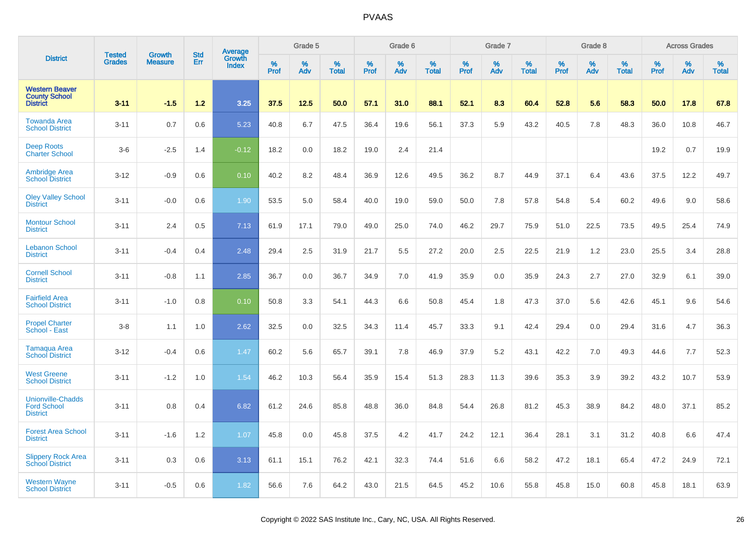|                                                                   | <b>Tested</b> |                                 |                   | Average                |                     | Grade 5  |                   |                  | Grade 6  |                   |                     | Grade 7  |                   |              | Grade 8  |                   |              | <b>Across Grades</b> |                   |
|-------------------------------------------------------------------|---------------|---------------------------------|-------------------|------------------------|---------------------|----------|-------------------|------------------|----------|-------------------|---------------------|----------|-------------------|--------------|----------|-------------------|--------------|----------------------|-------------------|
| <b>District</b>                                                   | <b>Grades</b> | <b>Growth</b><br><b>Measure</b> | <b>Std</b><br>Err | Growth<br><b>Index</b> | $\%$<br><b>Prof</b> | %<br>Adv | %<br><b>Total</b> | %<br><b>Prof</b> | %<br>Adv | %<br><b>Total</b> | $\%$<br><b>Prof</b> | %<br>Adv | %<br><b>Total</b> | $\%$<br>Prof | %<br>Adv | %<br><b>Total</b> | $\%$<br>Prof | %<br>Adv             | %<br><b>Total</b> |
| <b>Western Beaver</b><br><b>County School</b><br><b>District</b>  | $3 - 11$      | $-1.5$                          | $1.2$             | 3.25                   | 37.5                | 12.5     | 50.0              | 57.1             | 31.0     | 88.1              | 52.1                | 8.3      | 60.4              | 52.8         | 5.6      | 58.3              | 50.0         | 17.8                 | 67.8              |
| <b>Towanda Area</b><br><b>School District</b>                     | $3 - 11$      | 0.7                             | 0.6               | 5.23                   | 40.8                | 6.7      | 47.5              | 36.4             | 19.6     | 56.1              | 37.3                | 5.9      | 43.2              | 40.5         | 7.8      | 48.3              | 36.0         | 10.8                 | 46.7              |
| <b>Deep Roots</b><br><b>Charter School</b>                        | $3-6$         | $-2.5$                          | 1.4               | $-0.12$                | 18.2                | 0.0      | 18.2              | 19.0             | 2.4      | 21.4              |                     |          |                   |              |          |                   | 19.2         | 0.7                  | 19.9              |
| <b>Ambridge Area</b><br><b>School District</b>                    | $3 - 12$      | $-0.9$                          | 0.6               | 0.10                   | 40.2                | 8.2      | 48.4              | 36.9             | 12.6     | 49.5              | 36.2                | 8.7      | 44.9              | 37.1         | 6.4      | 43.6              | 37.5         | 12.2                 | 49.7              |
| <b>Oley Valley School</b><br><b>District</b>                      | $3 - 11$      | $-0.0$                          | 0.6               | 1.90                   | 53.5                | 5.0      | 58.4              | 40.0             | 19.0     | 59.0              | 50.0                | 7.8      | 57.8              | 54.8         | 5.4      | 60.2              | 49.6         | 9.0                  | 58.6              |
| <b>Montour School</b><br><b>District</b>                          | $3 - 11$      | 2.4                             | 0.5               | 7.13                   | 61.9                | 17.1     | 79.0              | 49.0             | 25.0     | 74.0              | 46.2                | 29.7     | 75.9              | 51.0         | 22.5     | 73.5              | 49.5         | 25.4                 | 74.9              |
| <b>Lebanon School</b><br><b>District</b>                          | $3 - 11$      | $-0.4$                          | 0.4               | 2.48                   | 29.4                | 2.5      | 31.9              | 21.7             | 5.5      | 27.2              | 20.0                | 2.5      | 22.5              | 21.9         | 1.2      | 23.0              | 25.5         | 3.4                  | 28.8              |
| <b>Cornell School</b><br><b>District</b>                          | $3 - 11$      | $-0.8$                          | 1.1               | 2.85                   | 36.7                | 0.0      | 36.7              | 34.9             | 7.0      | 41.9              | 35.9                | 0.0      | 35.9              | 24.3         | 2.7      | 27.0              | 32.9         | 6.1                  | 39.0              |
| <b>Fairfield Area</b><br><b>School District</b>                   | $3 - 11$      | $-1.0$                          | 0.8               | 0.10                   | 50.8                | 3.3      | 54.1              | 44.3             | 6.6      | 50.8              | 45.4                | 1.8      | 47.3              | 37.0         | 5.6      | 42.6              | 45.1         | 9.6                  | 54.6              |
| <b>Propel Charter</b><br>School - East                            | $3 - 8$       | 1.1                             | 1.0               | 2.62                   | 32.5                | 0.0      | 32.5              | 34.3             | 11.4     | 45.7              | 33.3                | 9.1      | 42.4              | 29.4         | 0.0      | 29.4              | 31.6         | 4.7                  | 36.3              |
| Tamaqua Area<br><b>School District</b>                            | $3 - 12$      | $-0.4$                          | 0.6               | 1.47                   | 60.2                | 5.6      | 65.7              | 39.1             | 7.8      | 46.9              | 37.9                | 5.2      | 43.1              | 42.2         | 7.0      | 49.3              | 44.6         | 7.7                  | 52.3              |
| <b>West Greene</b><br><b>School District</b>                      | $3 - 11$      | $-1.2$                          | 1.0               | 1.54                   | 46.2                | 10.3     | 56.4              | 35.9             | 15.4     | 51.3              | 28.3                | 11.3     | 39.6              | 35.3         | 3.9      | 39.2              | 43.2         | 10.7                 | 53.9              |
| <b>Unionville-Chadds</b><br><b>Ford School</b><br><b>District</b> | $3 - 11$      | 0.8                             | 0.4               | 6.82                   | 61.2                | 24.6     | 85.8              | 48.8             | 36.0     | 84.8              | 54.4                | 26.8     | 81.2              | 45.3         | 38.9     | 84.2              | 48.0         | 37.1                 | 85.2              |
| <b>Forest Area School</b><br><b>District</b>                      | $3 - 11$      | $-1.6$                          | 1.2               | 1.07                   | 45.8                | 0.0      | 45.8              | 37.5             | 4.2      | 41.7              | 24.2                | 12.1     | 36.4              | 28.1         | 3.1      | 31.2              | 40.8         | 6.6                  | 47.4              |
| <b>Slippery Rock Area</b><br><b>School District</b>               | $3 - 11$      | 0.3                             | 0.6               | 3.13                   | 61.1                | 15.1     | 76.2              | 42.1             | 32.3     | 74.4              | 51.6                | 6.6      | 58.2              | 47.2         | 18.1     | 65.4              | 47.2         | 24.9                 | 72.1              |
| <b>Western Wayne</b><br><b>School District</b>                    | $3 - 11$      | $-0.5$                          | 0.6               | 1.82                   | 56.6                | 7.6      | 64.2              | 43.0             | 21.5     | 64.5              | 45.2                | 10.6     | 55.8              | 45.8         | 15.0     | 60.8              | 45.8         | 18.1                 | 63.9              |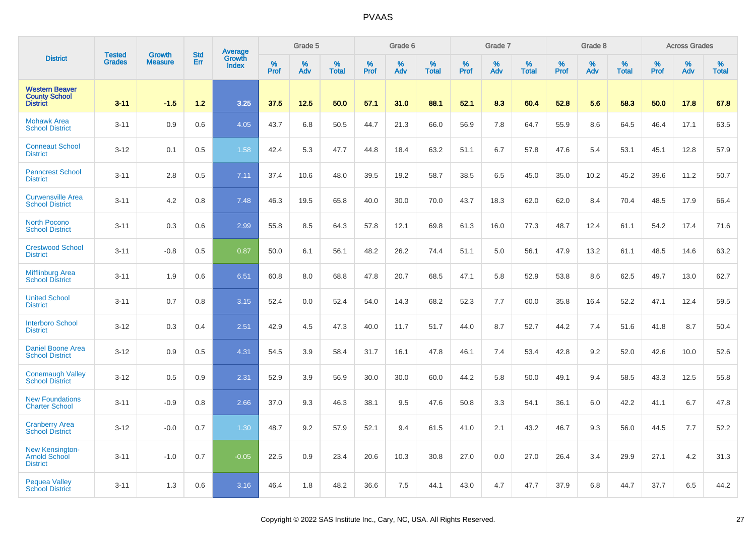|                                                                  | <b>Tested</b> | <b>Growth</b>  | <b>Std</b> |                                   |                     | Grade 5  |                   |              | Grade 6  |                   |              | Grade 7  |                   |              | Grade 8  |                   |                  | <b>Across Grades</b> |                   |
|------------------------------------------------------------------|---------------|----------------|------------|-----------------------------------|---------------------|----------|-------------------|--------------|----------|-------------------|--------------|----------|-------------------|--------------|----------|-------------------|------------------|----------------------|-------------------|
| <b>District</b>                                                  | <b>Grades</b> | <b>Measure</b> | Err        | Average<br>Growth<br><b>Index</b> | $\%$<br><b>Prof</b> | %<br>Adv | %<br><b>Total</b> | $\%$<br>Prof | %<br>Adv | %<br><b>Total</b> | $\%$<br>Prof | %<br>Adv | %<br><b>Total</b> | $\%$<br>Prof | %<br>Adv | %<br><b>Total</b> | %<br><b>Prof</b> | %<br>Adv             | %<br><b>Total</b> |
| <b>Western Beaver</b><br><b>County School</b><br><b>District</b> | $3 - 11$      | $-1.5$         | $1.2$      | 3.25                              | 37.5                | 12.5     | 50.0              | 57.1         | 31.0     | 88.1              | 52.1         | 8.3      | 60.4              | 52.8         | 5.6      | 58.3              | 50.0             | 17.8                 | 67.8              |
| <b>Mohawk Area</b><br><b>School District</b>                     | $3 - 11$      | 0.9            | 0.6        | 4.05                              | 43.7                | 6.8      | 50.5              | 44.7         | 21.3     | 66.0              | 56.9         | 7.8      | 64.7              | 55.9         | 8.6      | 64.5              | 46.4             | 17.1                 | 63.5              |
| <b>Conneaut School</b><br><b>District</b>                        | $3 - 12$      | 0.1            | 0.5        | 1.58                              | 42.4                | 5.3      | 47.7              | 44.8         | 18.4     | 63.2              | 51.1         | 6.7      | 57.8              | 47.6         | 5.4      | 53.1              | 45.1             | 12.8                 | 57.9              |
| <b>Penncrest School</b><br><b>District</b>                       | $3 - 11$      | 2.8            | 0.5        | 7.11                              | 37.4                | 10.6     | 48.0              | 39.5         | 19.2     | 58.7              | 38.5         | 6.5      | 45.0              | 35.0         | 10.2     | 45.2              | 39.6             | 11.2                 | 50.7              |
| <b>Curwensville Area</b><br><b>School District</b>               | $3 - 11$      | 4.2            | 0.8        | 7.48                              | 46.3                | 19.5     | 65.8              | 40.0         | 30.0     | 70.0              | 43.7         | 18.3     | 62.0              | 62.0         | 8.4      | 70.4              | 48.5             | 17.9                 | 66.4              |
| <b>North Pocono</b><br><b>School District</b>                    | $3 - 11$      | 0.3            | 0.6        | 2.99                              | 55.8                | 8.5      | 64.3              | 57.8         | 12.1     | 69.8              | 61.3         | 16.0     | 77.3              | 48.7         | 12.4     | 61.1              | 54.2             | 17.4                 | 71.6              |
| <b>Crestwood School</b><br><b>District</b>                       | $3 - 11$      | $-0.8$         | 0.5        | 0.87                              | 50.0                | 6.1      | 56.1              | 48.2         | 26.2     | 74.4              | 51.1         | 5.0      | 56.1              | 47.9         | 13.2     | 61.1              | 48.5             | 14.6                 | 63.2              |
| <b>Mifflinburg Area</b><br><b>School District</b>                | $3 - 11$      | 1.9            | 0.6        | 6.51                              | 60.8                | 8.0      | 68.8              | 47.8         | 20.7     | 68.5              | 47.1         | 5.8      | 52.9              | 53.8         | 8.6      | 62.5              | 49.7             | 13.0                 | 62.7              |
| <b>United School</b><br><b>District</b>                          | $3 - 11$      | 0.7            | 0.8        | 3.15                              | 52.4                | 0.0      | 52.4              | 54.0         | 14.3     | 68.2              | 52.3         | 7.7      | 60.0              | 35.8         | 16.4     | 52.2              | 47.1             | 12.4                 | 59.5              |
| <b>Interboro School</b><br><b>District</b>                       | $3 - 12$      | 0.3            | 0.4        | 2.51                              | 42.9                | 4.5      | 47.3              | 40.0         | 11.7     | 51.7              | 44.0         | 8.7      | 52.7              | 44.2         | 7.4      | 51.6              | 41.8             | 8.7                  | 50.4              |
| <b>Daniel Boone Area</b><br><b>School District</b>               | $3 - 12$      | 0.9            | 0.5        | 4.31                              | 54.5                | 3.9      | 58.4              | 31.7         | 16.1     | 47.8              | 46.1         | 7.4      | 53.4              | 42.8         | 9.2      | 52.0              | 42.6             | 10.0                 | 52.6              |
| <b>Conemaugh Valley</b><br><b>School District</b>                | $3 - 12$      | 0.5            | 0.9        | 2.31                              | 52.9                | 3.9      | 56.9              | 30.0         | 30.0     | 60.0              | 44.2         | 5.8      | 50.0              | 49.1         | 9.4      | 58.5              | 43.3             | 12.5                 | 55.8              |
| <b>New Foundations</b><br><b>Charter School</b>                  | $3 - 11$      | $-0.9$         | 0.8        | 2.66                              | 37.0                | 9.3      | 46.3              | 38.1         | 9.5      | 47.6              | 50.8         | 3.3      | 54.1              | 36.1         | 6.0      | 42.2              | 41.1             | 6.7                  | 47.8              |
| <b>Cranberry Area</b><br><b>School District</b>                  | $3 - 12$      | $-0.0$         | 0.7        | 1.30                              | 48.7                | 9.2      | 57.9              | 52.1         | 9.4      | 61.5              | 41.0         | 2.1      | 43.2              | 46.7         | 9.3      | 56.0              | 44.5             | 7.7                  | 52.2              |
| New Kensington-<br>Arnold School<br><b>District</b>              | $3 - 11$      | $-1.0$         | 0.7        | $-0.05$                           | 22.5                | 0.9      | 23.4              | 20.6         | 10.3     | 30.8              | 27.0         | 0.0      | 27.0              | 26.4         | 3.4      | 29.9              | 27.1             | 4.2                  | 31.3              |
| <b>Pequea Valley</b><br><b>School District</b>                   | $3 - 11$      | 1.3            | 0.6        | 3.16                              | 46.4                | 1.8      | 48.2              | 36.6         | 7.5      | 44.1              | 43.0         | 4.7      | 47.7              | 37.9         | 6.8      | 44.7              | 37.7             | 6.5                  | 44.2              |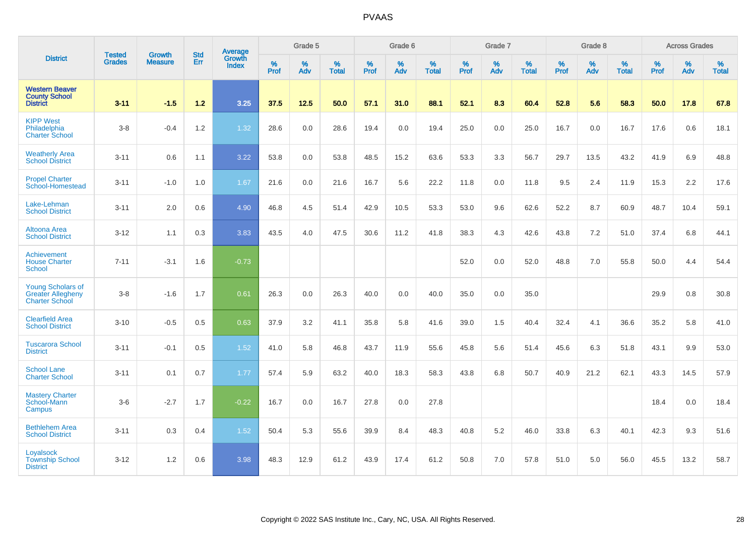|                                                                               |                                |                                 | <b>Std</b> | Average                       |              | Grade 5  |                   |           | Grade 6  |                   |           | Grade 7  |                   |           | Grade 8  |                   |           | <b>Across Grades</b> |                   |
|-------------------------------------------------------------------------------|--------------------------------|---------------------------------|------------|-------------------------------|--------------|----------|-------------------|-----------|----------|-------------------|-----------|----------|-------------------|-----------|----------|-------------------|-----------|----------------------|-------------------|
| <b>District</b>                                                               | <b>Tested</b><br><b>Grades</b> | <b>Growth</b><br><b>Measure</b> | Err        | <b>Growth</b><br><b>Index</b> | $\%$<br>Prof | %<br>Adv | %<br><b>Total</b> | %<br>Prof | %<br>Adv | %<br><b>Total</b> | %<br>Prof | %<br>Adv | %<br><b>Total</b> | %<br>Prof | %<br>Adv | %<br><b>Total</b> | %<br>Prof | %<br>Adv             | %<br><b>Total</b> |
| <b>Western Beaver</b><br><b>County School</b><br><b>District</b>              | $3 - 11$                       | $-1.5$                          | 1.2        | 3.25                          | 37.5         | 12.5     | 50.0              | 57.1      | 31.0     | 88.1              | 52.1      | 8.3      | 60.4              | 52.8      | 5.6      | 58.3              | 50.0      | 17.8                 | 67.8              |
| <b>KIPP West</b><br>Philadelphia<br><b>Charter School</b>                     | $3 - 8$                        | $-0.4$                          | 1.2        | 1.32                          | 28.6         | 0.0      | 28.6              | 19.4      | 0.0      | 19.4              | 25.0      | 0.0      | 25.0              | 16.7      | 0.0      | 16.7              | 17.6      | 0.6                  | 18.1              |
| <b>Weatherly Area</b><br><b>School District</b>                               | $3 - 11$                       | 0.6                             | 1.1        | 3.22                          | 53.8         | 0.0      | 53.8              | 48.5      | 15.2     | 63.6              | 53.3      | 3.3      | 56.7              | 29.7      | 13.5     | 43.2              | 41.9      | 6.9                  | 48.8              |
| <b>Propel Charter</b><br>School-Homestead                                     | $3 - 11$                       | $-1.0$                          | 1.0        | 1.67                          | 21.6         | 0.0      | 21.6              | 16.7      | 5.6      | 22.2              | 11.8      | 0.0      | 11.8              | 9.5       | 2.4      | 11.9              | 15.3      | 2.2                  | 17.6              |
| Lake-Lehman<br><b>School District</b>                                         | $3 - 11$                       | 2.0                             | 0.6        | 4.90                          | 46.8         | 4.5      | 51.4              | 42.9      | 10.5     | 53.3              | 53.0      | 9.6      | 62.6              | 52.2      | 8.7      | 60.9              | 48.7      | 10.4                 | 59.1              |
| <b>Altoona Area</b><br><b>School District</b>                                 | $3 - 12$                       | 1.1                             | 0.3        | 3.83                          | 43.5         | 4.0      | 47.5              | 30.6      | 11.2     | 41.8              | 38.3      | 4.3      | 42.6              | 43.8      | 7.2      | 51.0              | 37.4      | 6.8                  | 44.1              |
| Achievement<br><b>House Charter</b><br><b>School</b>                          | $7 - 11$                       | $-3.1$                          | 1.6        | $-0.73$                       |              |          |                   |           |          |                   | 52.0      | 0.0      | 52.0              | 48.8      | 7.0      | 55.8              | 50.0      | 4.4                  | 54.4              |
| <b>Young Scholars of</b><br><b>Greater Allegheny</b><br><b>Charter School</b> | $3-8$                          | $-1.6$                          | 1.7        | 0.61                          | 26.3         | 0.0      | 26.3              | 40.0      | 0.0      | 40.0              | 35.0      | 0.0      | 35.0              |           |          |                   | 29.9      | 0.8                  | 30.8              |
| <b>Clearfield Area</b><br><b>School District</b>                              | $3 - 10$                       | $-0.5$                          | 0.5        | 0.63                          | 37.9         | 3.2      | 41.1              | 35.8      | 5.8      | 41.6              | 39.0      | 1.5      | 40.4              | 32.4      | 4.1      | 36.6              | 35.2      | 5.8                  | 41.0              |
| <b>Tuscarora School</b><br><b>District</b>                                    | $3 - 11$                       | $-0.1$                          | 0.5        | 1.52                          | 41.0         | 5.8      | 46.8              | 43.7      | 11.9     | 55.6              | 45.8      | 5.6      | 51.4              | 45.6      | 6.3      | 51.8              | 43.1      | 9.9                  | 53.0              |
| <b>School Lane</b><br><b>Charter School</b>                                   | $3 - 11$                       | 0.1                             | 0.7        | 1.77                          | 57.4         | 5.9      | 63.2              | 40.0      | 18.3     | 58.3              | 43.8      | 6.8      | 50.7              | 40.9      | 21.2     | 62.1              | 43.3      | 14.5                 | 57.9              |
| <b>Mastery Charter</b><br>School-Mann<br>Campus                               | $3-6$                          | $-2.7$                          | 1.7        | $-0.22$                       | 16.7         | 0.0      | 16.7              | 27.8      | 0.0      | 27.8              |           |          |                   |           |          |                   | 18.4      | 0.0                  | 18.4              |
| <b>Bethlehem Area</b><br><b>School District</b>                               | $3 - 11$                       | 0.3                             | 0.4        | 1.52                          | 50.4         | 5.3      | 55.6              | 39.9      | 8.4      | 48.3              | 40.8      | 5.2      | 46.0              | 33.8      | 6.3      | 40.1              | 42.3      | 9.3                  | 51.6              |
| Loyalsock<br><b>Township School</b><br><b>District</b>                        | $3 - 12$                       | 1.2                             | 0.6        | 3.98                          | 48.3         | 12.9     | 61.2              | 43.9      | 17.4     | 61.2              | 50.8      | 7.0      | 57.8              | 51.0      | 5.0      | 56.0              | 45.5      | 13.2                 | 58.7              |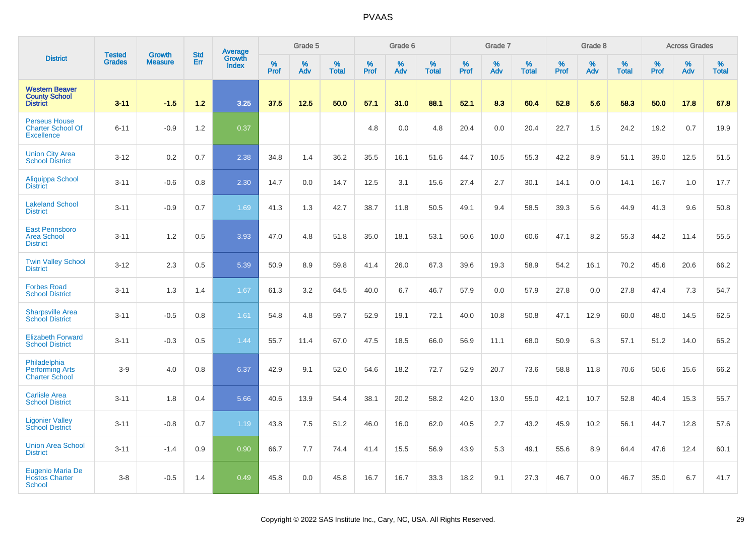|                                                                       | <b>Tested</b> | <b>Growth</b>  | <b>Std</b> | Average                |           | Grade 5  |                   |           | Grade 6  |                   |           | Grade 7  |                   |           | Grade 8  |                   |           | <b>Across Grades</b> |                   |
|-----------------------------------------------------------------------|---------------|----------------|------------|------------------------|-----------|----------|-------------------|-----------|----------|-------------------|-----------|----------|-------------------|-----------|----------|-------------------|-----------|----------------------|-------------------|
| <b>District</b>                                                       | <b>Grades</b> | <b>Measure</b> | Err        | Growth<br><b>Index</b> | %<br>Prof | %<br>Adv | %<br><b>Total</b> | %<br>Prof | %<br>Adv | %<br><b>Total</b> | %<br>Prof | %<br>Adv | %<br><b>Total</b> | %<br>Prof | %<br>Adv | %<br><b>Total</b> | %<br>Prof | %<br>Adv             | %<br><b>Total</b> |
| <b>Western Beaver</b><br><b>County School</b><br><b>District</b>      | $3 - 11$      | $-1.5$         | 1.2        | 3.25                   | 37.5      | 12.5     | 50.0              | 57.1      | 31.0     | 88.1              | 52.1      | 8.3      | 60.4              | 52.8      | 5.6      | 58.3              | 50.0      | 17.8                 | 67.8              |
| <b>Perseus House</b><br><b>Charter School Of</b><br><b>Excellence</b> | $6 - 11$      | $-0.9$         | 1.2        | 0.37                   |           |          |                   | 4.8       | 0.0      | 4.8               | 20.4      | 0.0      | 20.4              | 22.7      | 1.5      | 24.2              | 19.2      | 0.7                  | 19.9              |
| <b>Union City Area</b><br><b>School District</b>                      | $3 - 12$      | 0.2            | 0.7        | 2.38                   | 34.8      | 1.4      | 36.2              | 35.5      | 16.1     | 51.6              | 44.7      | 10.5     | 55.3              | 42.2      | 8.9      | 51.1              | 39.0      | 12.5                 | 51.5              |
| Aliquippa School<br><b>District</b>                                   | $3 - 11$      | $-0.6$         | 0.8        | 2.30                   | 14.7      | 0.0      | 14.7              | 12.5      | 3.1      | 15.6              | 27.4      | 2.7      | 30.1              | 14.1      | 0.0      | 14.1              | 16.7      | 1.0                  | 17.7              |
| <b>Lakeland School</b><br><b>District</b>                             | $3 - 11$      | $-0.9$         | 0.7        | 1.69                   | 41.3      | 1.3      | 42.7              | 38.7      | 11.8     | 50.5              | 49.1      | 9.4      | 58.5              | 39.3      | 5.6      | 44.9              | 41.3      | 9.6                  | 50.8              |
| <b>East Pennsboro</b><br><b>Area School</b><br><b>District</b>        | $3 - 11$      | 1.2            | 0.5        | 3.93                   | 47.0      | 4.8      | 51.8              | 35.0      | 18.1     | 53.1              | 50.6      | 10.0     | 60.6              | 47.1      | 8.2      | 55.3              | 44.2      | 11.4                 | 55.5              |
| <b>Twin Valley School</b><br><b>District</b>                          | $3 - 12$      | 2.3            | 0.5        | 5.39                   | 50.9      | 8.9      | 59.8              | 41.4      | 26.0     | 67.3              | 39.6      | 19.3     | 58.9              | 54.2      | 16.1     | 70.2              | 45.6      | 20.6                 | 66.2              |
| <b>Forbes Road</b><br><b>School District</b>                          | $3 - 11$      | 1.3            | 1.4        | 1.67                   | 61.3      | 3.2      | 64.5              | 40.0      | 6.7      | 46.7              | 57.9      | 0.0      | 57.9              | 27.8      | 0.0      | 27.8              | 47.4      | 7.3                  | 54.7              |
| <b>Sharpsville Area</b><br><b>School District</b>                     | $3 - 11$      | $-0.5$         | $0.8\,$    | 1.61                   | 54.8      | 4.8      | 59.7              | 52.9      | 19.1     | 72.1              | 40.0      | 10.8     | 50.8              | 47.1      | 12.9     | 60.0              | 48.0      | 14.5                 | 62.5              |
| <b>Elizabeth Forward</b><br><b>School District</b>                    | $3 - 11$      | $-0.3$         | 0.5        | 1.44                   | 55.7      | 11.4     | 67.0              | 47.5      | 18.5     | 66.0              | 56.9      | 11.1     | 68.0              | 50.9      | 6.3      | 57.1              | 51.2      | 14.0                 | 65.2              |
| Philadelphia<br><b>Performing Arts</b><br><b>Charter School</b>       | $3-9$         | 4.0            | 0.8        | 6.37                   | 42.9      | 9.1      | 52.0              | 54.6      | 18.2     | 72.7              | 52.9      | 20.7     | 73.6              | 58.8      | 11.8     | 70.6              | 50.6      | 15.6                 | 66.2              |
| <b>Carlisle Area</b><br><b>School District</b>                        | $3 - 11$      | 1.8            | 0.4        | 5.66                   | 40.6      | 13.9     | 54.4              | 38.1      | 20.2     | 58.2              | 42.0      | 13.0     | 55.0              | 42.1      | 10.7     | 52.8              | 40.4      | 15.3                 | 55.7              |
| <b>Ligonier Valley</b><br><b>School District</b>                      | $3 - 11$      | $-0.8$         | 0.7        | 1.19                   | 43.8      | 7.5      | 51.2              | 46.0      | 16.0     | 62.0              | 40.5      | 2.7      | 43.2              | 45.9      | 10.2     | 56.1              | 44.7      | 12.8                 | 57.6              |
| <b>Union Area School</b><br><b>District</b>                           | $3 - 11$      | $-1.4$         | 0.9        | 0.90                   | 66.7      | 7.7      | 74.4              | 41.4      | 15.5     | 56.9              | 43.9      | 5.3      | 49.1              | 55.6      | 8.9      | 64.4              | 47.6      | 12.4                 | 60.1              |
| Eugenio Maria De<br><b>Hostos Charter</b><br>School                   | $3-8$         | $-0.5$         | 1.4        | 0.49                   | 45.8      | 0.0      | 45.8              | 16.7      | 16.7     | 33.3              | 18.2      | 9.1      | 27.3              | 46.7      | 0.0      | 46.7              | 35.0      | 6.7                  | 41.7              |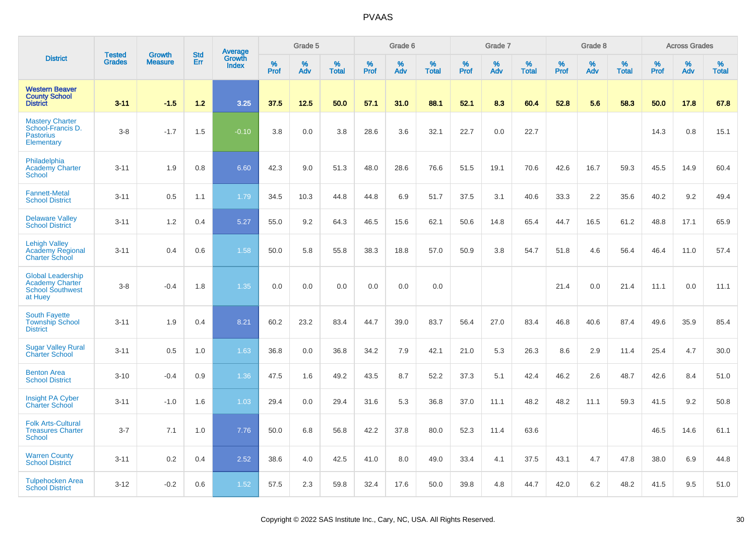|                                                                                          | <b>Tested</b> | <b>Growth</b>  | <b>Std</b> |                                   |                     | Grade 5  |                   |                  | Grade 6  |                   |              | Grade 7  |                   |           | Grade 8  |                   |              | <b>Across Grades</b> |                   |
|------------------------------------------------------------------------------------------|---------------|----------------|------------|-----------------------------------|---------------------|----------|-------------------|------------------|----------|-------------------|--------------|----------|-------------------|-----------|----------|-------------------|--------------|----------------------|-------------------|
| <b>District</b>                                                                          | <b>Grades</b> | <b>Measure</b> | Err        | Average<br>Growth<br><b>Index</b> | $\%$<br><b>Prof</b> | %<br>Adv | %<br><b>Total</b> | %<br><b>Prof</b> | %<br>Adv | %<br><b>Total</b> | $\%$<br>Prof | %<br>Adv | %<br><b>Total</b> | %<br>Prof | %<br>Adv | %<br><b>Total</b> | $\%$<br>Prof | %<br>Adv             | %<br><b>Total</b> |
| <b>Western Beaver</b><br><b>County School</b><br><b>District</b>                         | $3 - 11$      | $-1.5$         | $1.2$      | 3.25                              | 37.5                | 12.5     | 50.0              | 57.1             | 31.0     | 88.1              | 52.1         | 8.3      | 60.4              | 52.8      | 5.6      | 58.3              | 50.0         | 17.8                 | 67.8              |
| <b>Mastery Charter</b><br>School-Francis D.<br><b>Pastorius</b><br>Elementary            | $3 - 8$       | $-1.7$         | 1.5        | $-0.10$                           | 3.8                 | 0.0      | 3.8               | 28.6             | 3.6      | 32.1              | 22.7         | 0.0      | 22.7              |           |          |                   | 14.3         | 0.8                  | 15.1              |
| Philadelphia<br><b>Academy Charter</b><br><b>School</b>                                  | $3 - 11$      | 1.9            | 0.8        | 6.60                              | 42.3                | 9.0      | 51.3              | 48.0             | 28.6     | 76.6              | 51.5         | 19.1     | 70.6              | 42.6      | 16.7     | 59.3              | 45.5         | 14.9                 | 60.4              |
| <b>Fannett-Metal</b><br><b>School District</b>                                           | $3 - 11$      | 0.5            | 1.1        | 1.79                              | 34.5                | 10.3     | 44.8              | 44.8             | 6.9      | 51.7              | 37.5         | 3.1      | 40.6              | 33.3      | 2.2      | 35.6              | 40.2         | 9.2                  | 49.4              |
| <b>Delaware Valley</b><br><b>School District</b>                                         | $3 - 11$      | 1.2            | 0.4        | 5.27                              | 55.0                | 9.2      | 64.3              | 46.5             | 15.6     | 62.1              | 50.6         | 14.8     | 65.4              | 44.7      | 16.5     | 61.2              | 48.8         | 17.1                 | 65.9              |
| <b>Lehigh Valley</b><br><b>Academy Regional</b><br><b>Charter School</b>                 | $3 - 11$      | 0.4            | 0.6        | 1.58                              | 50.0                | 5.8      | 55.8              | 38.3             | 18.8     | 57.0              | 50.9         | 3.8      | 54.7              | 51.8      | 4.6      | 56.4              | 46.4         | 11.0                 | 57.4              |
| <b>Global Leadership</b><br><b>Academy Charter</b><br><b>School Southwest</b><br>at Huey | $3 - 8$       | $-0.4$         | 1.8        | 1.35                              | 0.0                 | 0.0      | 0.0               | 0.0              | 0.0      | 0.0               |              |          |                   | 21.4      | 0.0      | 21.4              | 11.1         | 0.0                  | 11.1              |
| <b>South Fayette</b><br><b>Township School</b><br><b>District</b>                        | $3 - 11$      | 1.9            | 0.4        | 8.21                              | 60.2                | 23.2     | 83.4              | 44.7             | 39.0     | 83.7              | 56.4         | 27.0     | 83.4              | 46.8      | 40.6     | 87.4              | 49.6         | 35.9                 | 85.4              |
| <b>Sugar Valley Rural</b><br><b>Charter School</b>                                       | $3 - 11$      | 0.5            | 1.0        | 1.63                              | 36.8                | 0.0      | 36.8              | 34.2             | 7.9      | 42.1              | 21.0         | 5.3      | 26.3              | 8.6       | 2.9      | 11.4              | 25.4         | 4.7                  | 30.0              |
| <b>Benton Area</b><br><b>School District</b>                                             | $3 - 10$      | $-0.4$         | 0.9        | 1.36                              | 47.5                | 1.6      | 49.2              | 43.5             | 8.7      | 52.2              | 37.3         | 5.1      | 42.4              | 46.2      | 2.6      | 48.7              | 42.6         | 8.4                  | 51.0              |
| Insight PA Cyber<br><b>Charter School</b>                                                | $3 - 11$      | $-1.0$         | 1.6        | 1.03                              | 29.4                | 0.0      | 29.4              | 31.6             | 5.3      | 36.8              | 37.0         | 11.1     | 48.2              | 48.2      | 11.1     | 59.3              | 41.5         | 9.2                  | 50.8              |
| <b>Folk Arts-Cultural</b><br><b>Treasures Charter</b><br><b>School</b>                   | $3 - 7$       | 7.1            | 1.0        | 7.76                              | 50.0                | 6.8      | 56.8              | 42.2             | 37.8     | 80.0              | 52.3         | 11.4     | 63.6              |           |          |                   | 46.5         | 14.6                 | 61.1              |
| <b>Warren County</b><br><b>School District</b>                                           | $3 - 11$      | 0.2            | 0.4        | 2.52                              | 38.6                | 4.0      | 42.5              | 41.0             | 8.0      | 49.0              | 33.4         | 4.1      | 37.5              | 43.1      | 4.7      | 47.8              | 38.0         | 6.9                  | 44.8              |
| Tulpehocken Area<br><b>School District</b>                                               | $3 - 12$      | $-0.2$         | 0.6        | 1.52                              | 57.5                | 2.3      | 59.8              | 32.4             | 17.6     | 50.0              | 39.8         | 4.8      | 44.7              | 42.0      | 6.2      | 48.2              | 41.5         | 9.5                  | 51.0              |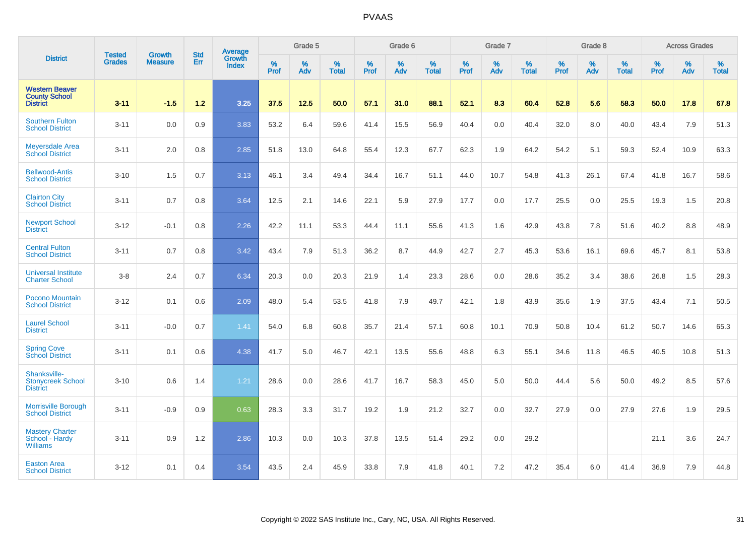|                                                                  |                                |                                 | <b>Std</b> | Average                       |              | Grade 5  |                   |           | Grade 6  |                   |           | Grade 7  |                   |           | Grade 8  |                   |           | <b>Across Grades</b> |                   |
|------------------------------------------------------------------|--------------------------------|---------------------------------|------------|-------------------------------|--------------|----------|-------------------|-----------|----------|-------------------|-----------|----------|-------------------|-----------|----------|-------------------|-----------|----------------------|-------------------|
| <b>District</b>                                                  | <b>Tested</b><br><b>Grades</b> | <b>Growth</b><br><b>Measure</b> | Err        | <b>Growth</b><br><b>Index</b> | $\%$<br>Prof | %<br>Adv | %<br><b>Total</b> | %<br>Prof | %<br>Adv | %<br><b>Total</b> | %<br>Prof | %<br>Adv | %<br><b>Total</b> | %<br>Prof | %<br>Adv | %<br><b>Total</b> | %<br>Prof | %<br>Adv             | %<br><b>Total</b> |
| <b>Western Beaver</b><br><b>County School</b><br><b>District</b> | $3 - 11$                       | $-1.5$                          | 1.2        | 3.25                          | 37.5         | 12.5     | 50.0              | 57.1      | 31.0     | 88.1              | 52.1      | 8.3      | 60.4              | 52.8      | 5.6      | 58.3              | 50.0      | 17.8                 | 67.8              |
| <b>Southern Fulton</b><br><b>School District</b>                 | $3 - 11$                       | 0.0                             | 0.9        | 3.83                          | 53.2         | 6.4      | 59.6              | 41.4      | 15.5     | 56.9              | 40.4      | 0.0      | 40.4              | 32.0      | 8.0      | 40.0              | 43.4      | 7.9                  | 51.3              |
| <b>Meyersdale Area</b><br><b>School District</b>                 | $3 - 11$                       | 2.0                             | 0.8        | 2.85                          | 51.8         | 13.0     | 64.8              | 55.4      | 12.3     | 67.7              | 62.3      | 1.9      | 64.2              | 54.2      | 5.1      | 59.3              | 52.4      | 10.9                 | 63.3              |
| <b>Bellwood-Antis</b><br><b>School District</b>                  | $3 - 10$                       | 1.5                             | 0.7        | 3.13                          | 46.1         | 3.4      | 49.4              | 34.4      | 16.7     | 51.1              | 44.0      | 10.7     | 54.8              | 41.3      | 26.1     | 67.4              | 41.8      | 16.7                 | 58.6              |
| <b>Clairton City</b><br><b>School District</b>                   | $3 - 11$                       | 0.7                             | 0.8        | 3.64                          | 12.5         | 2.1      | 14.6              | 22.1      | 5.9      | 27.9              | 17.7      | 0.0      | 17.7              | 25.5      | 0.0      | 25.5              | 19.3      | 1.5                  | 20.8              |
| <b>Newport School</b><br><b>District</b>                         | $3 - 12$                       | $-0.1$                          | 0.8        | 2.26                          | 42.2         | 11.1     | 53.3              | 44.4      | 11.1     | 55.6              | 41.3      | 1.6      | 42.9              | 43.8      | 7.8      | 51.6              | 40.2      | 8.8                  | 48.9              |
| <b>Central Fulton</b><br><b>School District</b>                  | $3 - 11$                       | 0.7                             | 0.8        | 3.42                          | 43.4         | 7.9      | 51.3              | 36.2      | 8.7      | 44.9              | 42.7      | 2.7      | 45.3              | 53.6      | 16.1     | 69.6              | 45.7      | 8.1                  | 53.8              |
| <b>Universal Institute</b><br><b>Charter School</b>              | $3-8$                          | 2.4                             | 0.7        | 6.34                          | 20.3         | 0.0      | 20.3              | 21.9      | 1.4      | 23.3              | 28.6      | 0.0      | 28.6              | 35.2      | 3.4      | 38.6              | 26.8      | 1.5                  | 28.3              |
| <b>Pocono Mountain</b><br><b>School District</b>                 | $3 - 12$                       | 0.1                             | 0.6        | 2.09                          | 48.0         | 5.4      | 53.5              | 41.8      | 7.9      | 49.7              | 42.1      | 1.8      | 43.9              | 35.6      | 1.9      | 37.5              | 43.4      | 7.1                  | 50.5              |
| <b>Laurel School</b><br><b>District</b>                          | $3 - 11$                       | $-0.0$                          | 0.7        | 1.41                          | 54.0         | 6.8      | 60.8              | 35.7      | 21.4     | 57.1              | 60.8      | 10.1     | 70.9              | 50.8      | 10.4     | 61.2              | 50.7      | 14.6                 | 65.3              |
| <b>Spring Cove</b><br>School District                            | $3 - 11$                       | 0.1                             | 0.6        | 4.38                          | 41.7         | 5.0      | 46.7              | 42.1      | 13.5     | 55.6              | 48.8      | 6.3      | 55.1              | 34.6      | 11.8     | 46.5              | 40.5      | 10.8                 | 51.3              |
| Shanksville-<br><b>Stonycreek School</b><br><b>District</b>      | $3 - 10$                       | 0.6                             | 1.4        | 1.21                          | 28.6         | 0.0      | 28.6              | 41.7      | 16.7     | 58.3              | 45.0      | 5.0      | 50.0              | 44.4      | 5.6      | 50.0              | 49.2      | 8.5                  | 57.6              |
| <b>Morrisville Borough</b><br><b>School District</b>             | $3 - 11$                       | $-0.9$                          | 0.9        | 0.63                          | 28.3         | 3.3      | 31.7              | 19.2      | 1.9      | 21.2              | 32.7      | 0.0      | 32.7              | 27.9      | 0.0      | 27.9              | 27.6      | 1.9                  | 29.5              |
| <b>Mastery Charter</b><br>School - Hardy<br><b>Williams</b>      | $3 - 11$                       | 0.9                             | 1.2        | 2.86                          | 10.3         | 0.0      | 10.3              | 37.8      | 13.5     | 51.4              | 29.2      | 0.0      | 29.2              |           |          |                   | 21.1      | 3.6                  | 24.7              |
| <b>Easton Area</b><br><b>School District</b>                     | $3 - 12$                       | 0.1                             | 0.4        | 3.54                          | 43.5         | 2.4      | 45.9              | 33.8      | 7.9      | 41.8              | 40.1      | 7.2      | 47.2              | 35.4      | 6.0      | 41.4              | 36.9      | 7.9                  | 44.8              |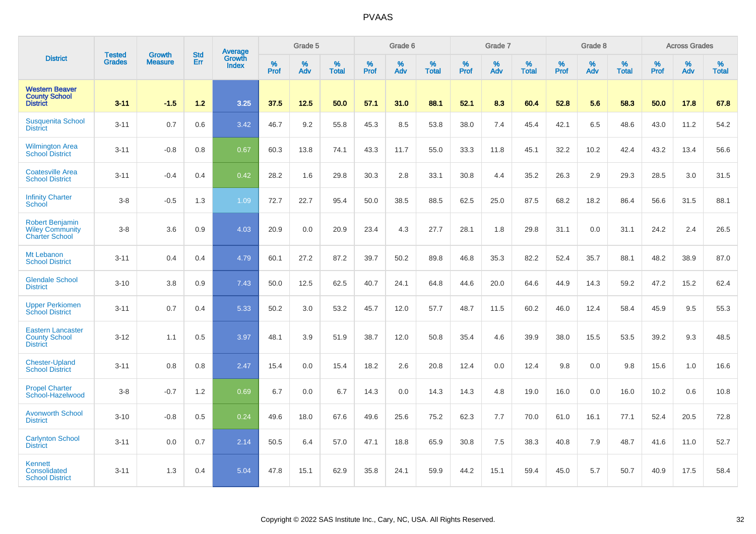|                                                                           |                                |                                 | <b>Std</b> | Average                |           | Grade 5  |                   |           | Grade 6  |                   |              | Grade 7  |                   |           | Grade 8  |                   |           | <b>Across Grades</b> |                   |
|---------------------------------------------------------------------------|--------------------------------|---------------------------------|------------|------------------------|-----------|----------|-------------------|-----------|----------|-------------------|--------------|----------|-------------------|-----------|----------|-------------------|-----------|----------------------|-------------------|
| <b>District</b>                                                           | <b>Tested</b><br><b>Grades</b> | <b>Growth</b><br><b>Measure</b> | Err        | Growth<br><b>Index</b> | %<br>Prof | %<br>Adv | %<br><b>Total</b> | %<br>Prof | %<br>Adv | %<br><b>Total</b> | $\%$<br>Prof | %<br>Adv | %<br><b>Total</b> | %<br>Prof | %<br>Adv | %<br><b>Total</b> | %<br>Prof | %<br>Adv             | %<br><b>Total</b> |
| <b>Western Beaver</b><br><b>County School</b><br><b>District</b>          | $3 - 11$                       | $-1.5$                          | $1.2$      | 3.25                   | 37.5      | 12.5     | 50.0              | 57.1      | 31.0     | 88.1              | 52.1         | 8.3      | 60.4              | 52.8      | 5.6      | 58.3              | 50.0      | 17.8                 | 67.8              |
| <b>Susquenita School</b><br><b>District</b>                               | $3 - 11$                       | 0.7                             | 0.6        | 3.42                   | 46.7      | 9.2      | 55.8              | 45.3      | 8.5      | 53.8              | 38.0         | 7.4      | 45.4              | 42.1      | 6.5      | 48.6              | 43.0      | 11.2                 | 54.2              |
| <b>Wilmington Area</b><br><b>School District</b>                          | $3 - 11$                       | $-0.8$                          | 0.8        | 0.67                   | 60.3      | 13.8     | 74.1              | 43.3      | 11.7     | 55.0              | 33.3         | 11.8     | 45.1              | 32.2      | 10.2     | 42.4              | 43.2      | 13.4                 | 56.6              |
| <b>Coatesville Area</b><br><b>School District</b>                         | $3 - 11$                       | $-0.4$                          | 0.4        | 0.42                   | 28.2      | 1.6      | 29.8              | 30.3      | 2.8      | 33.1              | 30.8         | 4.4      | 35.2              | 26.3      | 2.9      | 29.3              | 28.5      | 3.0                  | 31.5              |
| <b>Infinity Charter</b><br>School                                         | $3-8$                          | $-0.5$                          | 1.3        | 1.09                   | 72.7      | 22.7     | 95.4              | 50.0      | 38.5     | 88.5              | 62.5         | 25.0     | 87.5              | 68.2      | 18.2     | 86.4              | 56.6      | 31.5                 | 88.1              |
| <b>Robert Benjamin</b><br><b>Wiley Community</b><br><b>Charter School</b> | $3-8$                          | 3.6                             | 0.9        | 4.03                   | 20.9      | 0.0      | 20.9              | 23.4      | 4.3      | 27.7              | 28.1         | 1.8      | 29.8              | 31.1      | 0.0      | 31.1              | 24.2      | 2.4                  | 26.5              |
| Mt Lebanon<br><b>School District</b>                                      | $3 - 11$                       | 0.4                             | 0.4        | 4.79                   | 60.1      | 27.2     | 87.2              | 39.7      | 50.2     | 89.8              | 46.8         | 35.3     | 82.2              | 52.4      | 35.7     | 88.1              | 48.2      | 38.9                 | 87.0              |
| <b>Glendale School</b><br><b>District</b>                                 | $3 - 10$                       | 3.8                             | 0.9        | 7.43                   | 50.0      | 12.5     | 62.5              | 40.7      | 24.1     | 64.8              | 44.6         | 20.0     | 64.6              | 44.9      | 14.3     | 59.2              | 47.2      | 15.2                 | 62.4              |
| <b>Upper Perkiomen</b><br><b>School District</b>                          | $3 - 11$                       | 0.7                             | 0.4        | 5.33                   | 50.2      | 3.0      | 53.2              | 45.7      | 12.0     | 57.7              | 48.7         | 11.5     | 60.2              | 46.0      | 12.4     | 58.4              | 45.9      | 9.5                  | 55.3              |
| <b>Eastern Lancaster</b><br><b>County School</b><br><b>District</b>       | $3 - 12$                       | 1.1                             | 0.5        | 3.97                   | 48.1      | 3.9      | 51.9              | 38.7      | 12.0     | 50.8              | 35.4         | 4.6      | 39.9              | 38.0      | 15.5     | 53.5              | 39.2      | 9.3                  | 48.5              |
| <b>Chester-Upland</b><br><b>School District</b>                           | $3 - 11$                       | 0.8                             | 0.8        | 2.47                   | 15.4      | 0.0      | 15.4              | 18.2      | 2.6      | 20.8              | 12.4         | 0.0      | 12.4              | 9.8       | 0.0      | 9.8               | 15.6      | 1.0                  | 16.6              |
| <b>Propel Charter</b><br>School-Hazelwood                                 | $3-8$                          | $-0.7$                          | 1.2        | 0.69                   | 6.7       | 0.0      | 6.7               | 14.3      | 0.0      | 14.3              | 14.3         | 4.8      | 19.0              | 16.0      | 0.0      | 16.0              | 10.2      | 0.6                  | 10.8              |
| <b>Avonworth School</b><br><b>District</b>                                | $3 - 10$                       | $-0.8$                          | 0.5        | 0.24                   | 49.6      | 18.0     | 67.6              | 49.6      | 25.6     | 75.2              | 62.3         | 7.7      | 70.0              | 61.0      | 16.1     | 77.1              | 52.4      | 20.5                 | 72.8              |
| <b>Carlynton School</b><br><b>District</b>                                | $3 - 11$                       | 0.0                             | 0.7        | 2.14                   | 50.5      | 6.4      | 57.0              | 47.1      | 18.8     | 65.9              | 30.8         | 7.5      | 38.3              | 40.8      | 7.9      | 48.7              | 41.6      | 11.0                 | 52.7              |
| Kennett<br>Consolidated<br><b>School District</b>                         | $3 - 11$                       | 1.3                             | 0.4        | 5.04                   | 47.8      | 15.1     | 62.9              | 35.8      | 24.1     | 59.9              | 44.2         | 15.1     | 59.4              | 45.0      | 5.7      | 50.7              | 40.9      | 17.5                 | 58.4              |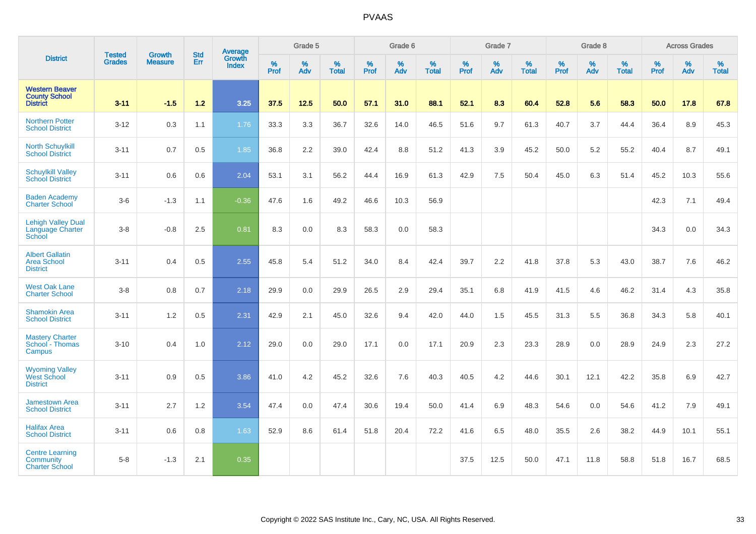|                                                                  |                                |                                 |                   | Average                |              | Grade 5  |                   |           | Grade 6  |                   |           | Grade 7  |                   |           | Grade 8  |                   |           | <b>Across Grades</b> |                   |
|------------------------------------------------------------------|--------------------------------|---------------------------------|-------------------|------------------------|--------------|----------|-------------------|-----------|----------|-------------------|-----------|----------|-------------------|-----------|----------|-------------------|-----------|----------------------|-------------------|
| <b>District</b>                                                  | <b>Tested</b><br><b>Grades</b> | <b>Growth</b><br><b>Measure</b> | <b>Std</b><br>Err | Growth<br><b>Index</b> | $\%$<br>Prof | %<br>Adv | %<br><b>Total</b> | %<br>Prof | %<br>Adv | %<br><b>Total</b> | %<br>Prof | %<br>Adv | %<br><b>Total</b> | %<br>Prof | %<br>Adv | %<br><b>Total</b> | %<br>Prof | %<br>Adv             | %<br><b>Total</b> |
| <b>Western Beaver</b><br><b>County School</b><br><b>District</b> | $3 - 11$                       | $-1.5$                          | 1.2               | 3.25                   | 37.5         | 12.5     | 50.0              | 57.1      | 31.0     | 88.1              | 52.1      | 8.3      | 60.4              | 52.8      | 5.6      | 58.3              | 50.0      | 17.8                 | 67.8              |
| <b>Northern Potter</b><br><b>School District</b>                 | $3 - 12$                       | 0.3                             | 1.1               | 1.76                   | 33.3         | 3.3      | 36.7              | 32.6      | 14.0     | 46.5              | 51.6      | 9.7      | 61.3              | 40.7      | 3.7      | 44.4              | 36.4      | 8.9                  | 45.3              |
| <b>North Schuylkill</b><br><b>School District</b>                | $3 - 11$                       | 0.7                             | 0.5               | 1.85                   | 36.8         | 2.2      | 39.0              | 42.4      | 8.8      | 51.2              | 41.3      | 3.9      | 45.2              | 50.0      | 5.2      | 55.2              | 40.4      | 8.7                  | 49.1              |
| <b>Schuylkill Valley</b><br>School District                      | $3 - 11$                       | 0.6                             | 0.6               | 2.04                   | 53.1         | 3.1      | 56.2              | 44.4      | 16.9     | 61.3              | 42.9      | 7.5      | 50.4              | 45.0      | 6.3      | 51.4              | 45.2      | 10.3                 | 55.6              |
| <b>Baden Academy</b><br><b>Charter School</b>                    | $3-6$                          | $-1.3$                          | 1.1               | $-0.36$                | 47.6         | 1.6      | 49.2              | 46.6      | 10.3     | 56.9              |           |          |                   |           |          |                   | 42.3      | 7.1                  | 49.4              |
| <b>Lehigh Valley Dual</b><br>Language Charter<br>School          | $3-8$                          | $-0.8$                          | 2.5               | 0.81                   | 8.3          | 0.0      | 8.3               | 58.3      | 0.0      | 58.3              |           |          |                   |           |          |                   | 34.3      | 0.0                  | 34.3              |
| <b>Albert Gallatin</b><br><b>Area School</b><br><b>District</b>  | $3 - 11$                       | 0.4                             | 0.5               | 2.55                   | 45.8         | 5.4      | 51.2              | 34.0      | 8.4      | 42.4              | 39.7      | 2.2      | 41.8              | 37.8      | 5.3      | 43.0              | 38.7      | 7.6                  | 46.2              |
| <b>West Oak Lane</b><br><b>Charter School</b>                    | $3-8$                          | 0.8                             | 0.7               | 2.18                   | 29.9         | 0.0      | 29.9              | 26.5      | 2.9      | 29.4              | 35.1      | 6.8      | 41.9              | 41.5      | 4.6      | 46.2              | 31.4      | 4.3                  | 35.8              |
| <b>Shamokin Area</b><br><b>School District</b>                   | $3 - 11$                       | 1.2                             | 0.5               | 2.31                   | 42.9         | 2.1      | 45.0              | 32.6      | 9.4      | 42.0              | 44.0      | 1.5      | 45.5              | 31.3      | 5.5      | 36.8              | 34.3      | 5.8                  | 40.1              |
| <b>Mastery Charter</b><br>School - Thomas<br>Campus              | $3 - 10$                       | 0.4                             | 1.0               | 2.12                   | 29.0         | 0.0      | 29.0              | 17.1      | 0.0      | 17.1              | 20.9      | 2.3      | 23.3              | 28.9      | 0.0      | 28.9              | 24.9      | 2.3                  | 27.2              |
| <b>Wyoming Valley</b><br><b>West School</b><br><b>District</b>   | $3 - 11$                       | 0.9                             | 0.5               | 3.86                   | 41.0         | 4.2      | 45.2              | 32.6      | 7.6      | 40.3              | 40.5      | 4.2      | 44.6              | 30.1      | 12.1     | 42.2              | 35.8      | 6.9                  | 42.7              |
| <b>Jamestown Area</b><br><b>School District</b>                  | $3 - 11$                       | 2.7                             | 1.2               | 3.54                   | 47.4         | 0.0      | 47.4              | 30.6      | 19.4     | 50.0              | 41.4      | 6.9      | 48.3              | 54.6      | 0.0      | 54.6              | 41.2      | 7.9                  | 49.1              |
| <b>Halifax Area</b><br><b>School District</b>                    | $3 - 11$                       | 0.6                             | 0.8               | 1.63                   | 52.9         | 8.6      | 61.4              | 51.8      | 20.4     | 72.2              | 41.6      | 6.5      | 48.0              | 35.5      | 2.6      | 38.2              | 44.9      | 10.1                 | 55.1              |
| <b>Centre Learning</b><br>Community<br><b>Charter School</b>     | $5 - 8$                        | $-1.3$                          | 2.1               | 0.35                   |              |          |                   |           |          |                   | 37.5      | 12.5     | 50.0              | 47.1      | 11.8     | 58.8              | 51.8      | 16.7                 | 68.5              |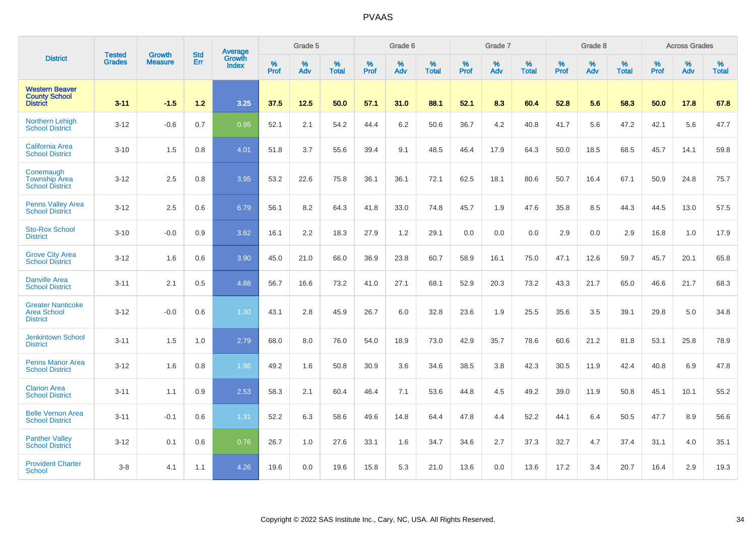|                                                                  | <b>Tested</b> | <b>Growth</b>  | <b>Std</b> | Average                       |           | Grade 5  |                   |           | Grade 6  |                   |           | Grade 7  |                   |           | Grade 8  |                   |           | <b>Across Grades</b> |                   |
|------------------------------------------------------------------|---------------|----------------|------------|-------------------------------|-----------|----------|-------------------|-----------|----------|-------------------|-----------|----------|-------------------|-----------|----------|-------------------|-----------|----------------------|-------------------|
| <b>District</b>                                                  | <b>Grades</b> | <b>Measure</b> | Err        | <b>Growth</b><br><b>Index</b> | %<br>Prof | %<br>Adv | %<br><b>Total</b> | %<br>Prof | %<br>Adv | %<br><b>Total</b> | %<br>Prof | %<br>Adv | %<br><b>Total</b> | %<br>Prof | %<br>Adv | %<br><b>Total</b> | %<br>Prof | %<br>Adv             | %<br><b>Total</b> |
| <b>Western Beaver</b><br><b>County School</b><br><b>District</b> | $3 - 11$      | $-1.5$         | 1.2        | 3.25                          | 37.5      | 12.5     | 50.0              | 57.1      | 31.0     | 88.1              | 52.1      | 8.3      | 60.4              | 52.8      | 5.6      | 58.3              | 50.0      | 17.8                 | 67.8              |
| <b>Northern Lehigh</b><br><b>School District</b>                 | $3 - 12$      | $-0.6$         | 0.7        | 0.95                          | 52.1      | 2.1      | 54.2              | 44.4      | 6.2      | 50.6              | 36.7      | 4.2      | 40.8              | 41.7      | 5.6      | 47.2              | 42.1      | 5.6                  | 47.7              |
| <b>California Area</b><br><b>School District</b>                 | $3 - 10$      | 1.5            | 0.8        | 4.01                          | 51.8      | 3.7      | 55.6              | 39.4      | 9.1      | 48.5              | 46.4      | 17.9     | 64.3              | 50.0      | 18.5     | 68.5              | 45.7      | 14.1                 | 59.8              |
| Conemaugh<br><b>Township Area</b><br><b>School District</b>      | $3 - 12$      | 2.5            | 0.8        | 3.95                          | 53.2      | 22.6     | 75.8              | 36.1      | 36.1     | 72.1              | 62.5      | 18.1     | 80.6              | 50.7      | 16.4     | 67.1              | 50.9      | 24.8                 | 75.7              |
| <b>Penns Valley Area</b><br><b>School District</b>               | $3 - 12$      | 2.5            | 0.6        | 6.79                          | 56.1      | 8.2      | 64.3              | 41.8      | 33.0     | 74.8              | 45.7      | 1.9      | 47.6              | 35.8      | 8.5      | 44.3              | 44.5      | 13.0                 | 57.5              |
| <b>Sto-Rox School</b><br><b>District</b>                         | $3 - 10$      | $-0.0$         | 0.9        | 3.62                          | 16.1      | 2.2      | 18.3              | 27.9      | 1.2      | 29.1              | 0.0       | 0.0      | 0.0               | 2.9       | 0.0      | 2.9               | 16.8      | 1.0                  | 17.9              |
| <b>Grove City Area</b><br><b>School District</b>                 | $3 - 12$      | 1.6            | 0.6        | 3.90                          | 45.0      | 21.0     | 66.0              | 36.9      | 23.8     | 60.7              | 58.9      | 16.1     | 75.0              | 47.1      | 12.6     | 59.7              | 45.7      | 20.1                 | 65.8              |
| <b>Danville Area</b><br><b>School District</b>                   | $3 - 11$      | 2.1            | 0.5        | 4.88                          | 56.7      | 16.6     | 73.2              | 41.0      | 27.1     | 68.1              | 52.9      | 20.3     | 73.2              | 43.3      | 21.7     | 65.0              | 46.6      | 21.7                 | 68.3              |
| <b>Greater Nanticoke</b><br>Area School<br><b>District</b>       | $3 - 12$      | $-0.0$         | 0.6        | 1.30                          | 43.1      | 2.8      | 45.9              | 26.7      | 6.0      | 32.8              | 23.6      | 1.9      | 25.5              | 35.6      | 3.5      | 39.1              | 29.8      | 5.0                  | 34.8              |
| <b>Jenkintown School</b><br><b>District</b>                      | $3 - 11$      | 1.5            | 1.0        | 2.79                          | 68.0      | 8.0      | 76.0              | 54.0      | 18.9     | 73.0              | 42.9      | 35.7     | 78.6              | 60.6      | 21.2     | 81.8              | 53.1      | 25.8                 | 78.9              |
| <b>Penns Manor Area</b><br><b>School District</b>                | $3 - 12$      | 1.6            | 0.8        | 1.96                          | 49.2      | 1.6      | 50.8              | 30.9      | 3.6      | 34.6              | 38.5      | 3.8      | 42.3              | 30.5      | 11.9     | 42.4              | 40.8      | 6.9                  | 47.8              |
| <b>Clarion Area</b><br><b>School District</b>                    | $3 - 11$      | 1.1            | 0.9        | 2.53                          | 58.3      | 2.1      | 60.4              | 46.4      | 7.1      | 53.6              | 44.8      | 4.5      | 49.2              | 39.0      | 11.9     | 50.8              | 45.1      | 10.1                 | 55.2              |
| <b>Belle Vernon Area</b><br><b>School District</b>               | $3 - 11$      | $-0.1$         | 0.6        | 1.31                          | 52.2      | 6.3      | 58.6              | 49.6      | 14.8     | 64.4              | 47.8      | 4.4      | 52.2              | 44.1      | 6.4      | 50.5              | 47.7      | 8.9                  | 56.6              |
| <b>Panther Valley</b><br><b>School District</b>                  | $3 - 12$      | 0.1            | 0.6        | 0.76                          | 26.7      | 1.0      | 27.6              | 33.1      | 1.6      | 34.7              | 34.6      | 2.7      | 37.3              | 32.7      | 4.7      | 37.4              | 31.1      | 4.0                  | 35.1              |
| <b>Provident Charter</b><br>School                               | $3-8$         | 4.1            | 1.1        | 4.26                          | 19.6      | 0.0      | 19.6              | 15.8      | 5.3      | 21.0              | 13.6      | 0.0      | 13.6              | 17.2      | 3.4      | 20.7              | 16.4      | 2.9                  | 19.3              |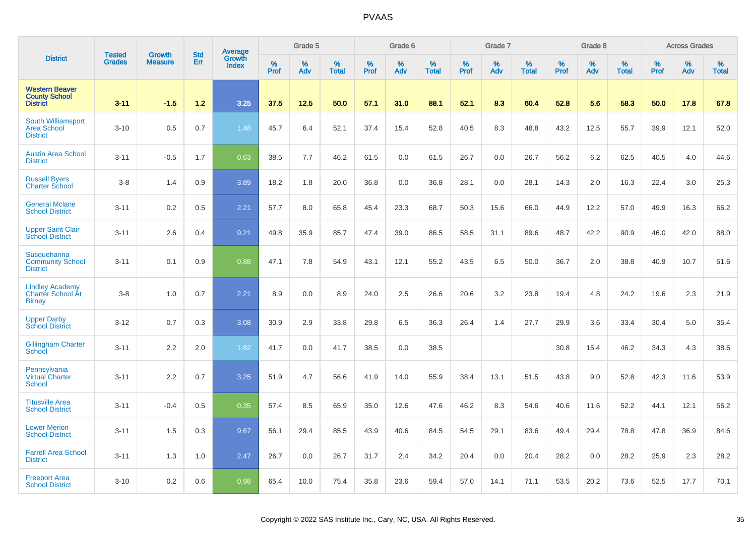|                                                                  | <b>Tested</b> | <b>Growth</b>  | <b>Std</b> | Average                |           | Grade 5  |                   |           | Grade 6  |                   |           | Grade 7  |                   |           | Grade 8  |                   |           | <b>Across Grades</b> |                   |
|------------------------------------------------------------------|---------------|----------------|------------|------------------------|-----------|----------|-------------------|-----------|----------|-------------------|-----------|----------|-------------------|-----------|----------|-------------------|-----------|----------------------|-------------------|
| <b>District</b>                                                  | <b>Grades</b> | <b>Measure</b> | Err        | Growth<br><b>Index</b> | %<br>Prof | %<br>Adv | %<br><b>Total</b> | %<br>Prof | %<br>Adv | %<br><b>Total</b> | %<br>Prof | %<br>Adv | %<br><b>Total</b> | %<br>Prof | %<br>Adv | %<br><b>Total</b> | %<br>Prof | %<br>Adv             | %<br><b>Total</b> |
| <b>Western Beaver</b><br><b>County School</b><br><b>District</b> | $3 - 11$      | $-1.5$         | 1.2        | 3.25                   | 37.5      | 12.5     | 50.0              | 57.1      | 31.0     | 88.1              | 52.1      | 8.3      | 60.4              | 52.8      | 5.6      | 58.3              | 50.0      | 17.8                 | 67.8              |
| South Williamsport<br><b>Area School</b><br><b>District</b>      | $3 - 10$      | 0.5            | 0.7        | 1.48                   | 45.7      | 6.4      | 52.1              | 37.4      | 15.4     | 52.8              | 40.5      | 8.3      | 48.8              | 43.2      | 12.5     | 55.7              | 39.9      | 12.1                 | 52.0              |
| <b>Austin Area School</b><br><b>District</b>                     | $3 - 11$      | $-0.5$         | 1.7        | 0.63                   | 38.5      | 7.7      | 46.2              | 61.5      | 0.0      | 61.5              | 26.7      | 0.0      | 26.7              | 56.2      | 6.2      | 62.5              | 40.5      | 4.0                  | 44.6              |
| <b>Russell Byers</b><br><b>Charter School</b>                    | $3-8$         | 1.4            | 0.9        | 3.89                   | 18.2      | 1.8      | 20.0              | 36.8      | 0.0      | 36.8              | 28.1      | 0.0      | 28.1              | 14.3      | 2.0      | 16.3              | 22.4      | 3.0                  | 25.3              |
| <b>General Mclane</b><br><b>School District</b>                  | $3 - 11$      | 0.2            | 0.5        | 2.21                   | 57.7      | 8.0      | 65.8              | 45.4      | 23.3     | 68.7              | 50.3      | 15.6     | 66.0              | 44.9      | 12.2     | 57.0              | 49.9      | 16.3                 | 66.2              |
| <b>Upper Saint Clair</b><br><b>School District</b>               | $3 - 11$      | 2.6            | 0.4        | 9.21                   | 49.8      | 35.9     | 85.7              | 47.4      | 39.0     | 86.5              | 58.5      | 31.1     | 89.6              | 48.7      | 42.2     | 90.9              | 46.0      | 42.0                 | 88.0              |
| Susquehanna<br><b>Community School</b><br><b>District</b>        | $3 - 11$      | 0.1            | 0.9        | 0.88                   | 47.1      | 7.8      | 54.9              | 43.1      | 12.1     | 55.2              | 43.5      | 6.5      | 50.0              | 36.7      | 2.0      | 38.8              | 40.9      | 10.7                 | 51.6              |
| <b>Lindley Academy</b><br>Charter School At<br><b>Birney</b>     | $3 - 8$       | 1.0            | 0.7        | 2.21                   | 8.9       | 0.0      | 8.9               | 24.0      | $2.5\,$  | 26.6              | 20.6      | 3.2      | 23.8              | 19.4      | 4.8      | 24.2              | 19.6      | 2.3                  | 21.9              |
| <b>Upper Darby</b><br><b>School District</b>                     | $3 - 12$      | 0.7            | 0.3        | 3.08                   | 30.9      | 2.9      | 33.8              | 29.8      | 6.5      | 36.3              | 26.4      | 1.4      | 27.7              | 29.9      | 3.6      | 33.4              | 30.4      | 5.0                  | 35.4              |
| <b>Gillingham Charter</b><br>School                              | $3 - 11$      | 2.2            | 2.0        | 1.82                   | 41.7      | 0.0      | 41.7              | 38.5      | 0.0      | 38.5              |           |          |                   | 30.8      | 15.4     | 46.2              | 34.3      | 4.3                  | 38.6              |
| Pennsylvania<br><b>Virtual Charter</b><br><b>School</b>          | $3 - 11$      | 2.2            | 0.7        | 3.25                   | 51.9      | 4.7      | 56.6              | 41.9      | 14.0     | 55.9              | 38.4      | 13.1     | 51.5              | 43.8      | 9.0      | 52.8              | 42.3      | 11.6                 | 53.9              |
| <b>Titusville Area</b><br><b>School District</b>                 | $3 - 11$      | $-0.4$         | 0.5        | 0.35                   | 57.4      | 8.5      | 65.9              | 35.0      | 12.6     | 47.6              | 46.2      | 8.3      | 54.6              | 40.6      | 11.6     | 52.2              | 44.1      | 12.1                 | 56.2              |
| <b>Lower Merion</b><br><b>School District</b>                    | $3 - 11$      | 1.5            | 0.3        | 9.67                   | 56.1      | 29.4     | 85.5              | 43.9      | 40.6     | 84.5              | 54.5      | 29.1     | 83.6              | 49.4      | 29.4     | 78.8              | 47.8      | 36.9                 | 84.6              |
| <b>Farrell Area School</b><br><b>District</b>                    | $3 - 11$      | 1.3            | 1.0        | 2.47                   | 26.7      | 0.0      | 26.7              | 31.7      | 2.4      | 34.2              | 20.4      | 0.0      | 20.4              | 28.2      | 0.0      | 28.2              | 25.9      | 2.3                  | 28.2              |
| <b>Freeport Area</b><br><b>School District</b>                   | $3 - 10$      | 0.2            | 0.6        | 0.98                   | 65.4      | 10.0     | 75.4              | 35.8      | 23.6     | 59.4              | 57.0      | 14.1     | 71.1              | 53.5      | 20.2     | 73.6              | 52.5      | 17.7                 | 70.1              |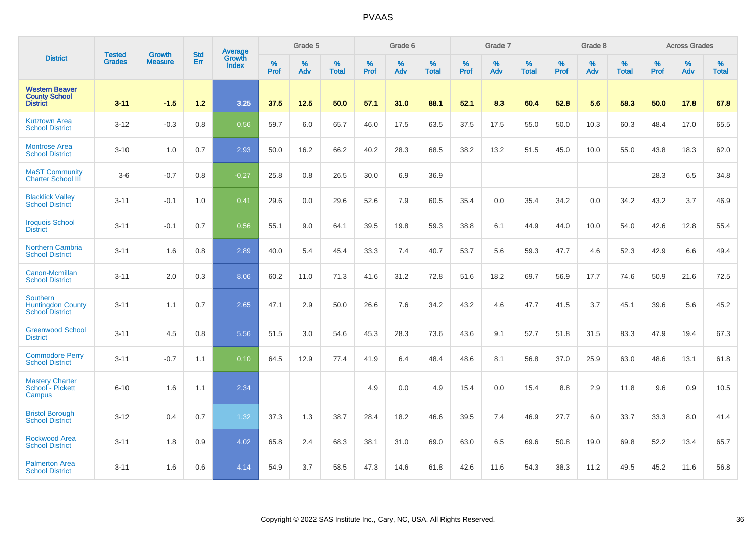|                                                                       | <b>Tested</b> | <b>Growth</b>  | <b>Std</b> | Average                |           | Grade 5  |                   |           | Grade 6  |                   |           | Grade 7  |                   |           | Grade 8  |                   |           | <b>Across Grades</b> |                   |
|-----------------------------------------------------------------------|---------------|----------------|------------|------------------------|-----------|----------|-------------------|-----------|----------|-------------------|-----------|----------|-------------------|-----------|----------|-------------------|-----------|----------------------|-------------------|
| <b>District</b>                                                       | <b>Grades</b> | <b>Measure</b> | Err        | Growth<br><b>Index</b> | %<br>Prof | %<br>Adv | %<br><b>Total</b> | %<br>Prof | %<br>Adv | %<br><b>Total</b> | %<br>Prof | %<br>Adv | %<br><b>Total</b> | %<br>Prof | %<br>Adv | %<br><b>Total</b> | %<br>Prof | %<br>Adv             | %<br><b>Total</b> |
| <b>Western Beaver</b><br><b>County School</b><br><b>District</b>      | $3 - 11$      | $-1.5$         | 1.2        | 3.25                   | 37.5      | 12.5     | 50.0              | 57.1      | 31.0     | 88.1              | 52.1      | 8.3      | 60.4              | 52.8      | 5.6      | 58.3              | 50.0      | 17.8                 | 67.8              |
| <b>Kutztown Area</b><br><b>School District</b>                        | $3 - 12$      | $-0.3$         | 0.8        | 0.56                   | 59.7      | 6.0      | 65.7              | 46.0      | 17.5     | 63.5              | 37.5      | 17.5     | 55.0              | 50.0      | 10.3     | 60.3              | 48.4      | 17.0                 | 65.5              |
| <b>Montrose Area</b><br><b>School District</b>                        | $3 - 10$      | 1.0            | 0.7        | 2.93                   | 50.0      | 16.2     | 66.2              | 40.2      | 28.3     | 68.5              | 38.2      | 13.2     | 51.5              | 45.0      | 10.0     | 55.0              | 43.8      | 18.3                 | 62.0              |
| <b>MaST Community</b><br>Charter School III                           | $3-6$         | $-0.7$         | 0.8        | $-0.27$                | 25.8      | 0.8      | 26.5              | 30.0      | 6.9      | 36.9              |           |          |                   |           |          |                   | 28.3      | 6.5                  | 34.8              |
| <b>Blacklick Valley</b><br><b>School District</b>                     | $3 - 11$      | $-0.1$         | 1.0        | 0.41                   | 29.6      | 0.0      | 29.6              | 52.6      | 7.9      | 60.5              | 35.4      | 0.0      | 35.4              | 34.2      | 0.0      | 34.2              | 43.2      | 3.7                  | 46.9              |
| <b>Iroquois School</b><br><b>District</b>                             | $3 - 11$      | $-0.1$         | 0.7        | 0.56                   | 55.1      | 9.0      | 64.1              | 39.5      | 19.8     | 59.3              | 38.8      | 6.1      | 44.9              | 44.0      | 10.0     | 54.0              | 42.6      | 12.8                 | 55.4              |
| <b>Northern Cambria</b><br><b>School District</b>                     | $3 - 11$      | 1.6            | 0.8        | 2.89                   | 40.0      | 5.4      | 45.4              | 33.3      | 7.4      | 40.7              | 53.7      | 5.6      | 59.3              | 47.7      | 4.6      | 52.3              | 42.9      | 6.6                  | 49.4              |
| Canon-Mcmillan<br><b>School District</b>                              | $3 - 11$      | 2.0            | 0.3        | 8.06                   | 60.2      | 11.0     | 71.3              | 41.6      | 31.2     | 72.8              | 51.6      | 18.2     | 69.7              | 56.9      | 17.7     | 74.6              | 50.9      | 21.6                 | 72.5              |
| <b>Southern</b><br><b>Huntingdon County</b><br><b>School District</b> | $3 - 11$      | 1.1            | 0.7        | 2.65                   | 47.1      | 2.9      | 50.0              | 26.6      | 7.6      | 34.2              | 43.2      | 4.6      | 47.7              | 41.5      | 3.7      | 45.1              | 39.6      | 5.6                  | 45.2              |
| <b>Greenwood School</b><br><b>District</b>                            | $3 - 11$      | 4.5            | 0.8        | 5.56                   | 51.5      | 3.0      | 54.6              | 45.3      | 28.3     | 73.6              | 43.6      | 9.1      | 52.7              | 51.8      | 31.5     | 83.3              | 47.9      | 19.4                 | 67.3              |
| <b>Commodore Perry</b><br><b>School District</b>                      | $3 - 11$      | $-0.7$         | 1.1        | 0.10                   | 64.5      | 12.9     | 77.4              | 41.9      | 6.4      | 48.4              | 48.6      | 8.1      | 56.8              | 37.0      | 25.9     | 63.0              | 48.6      | 13.1                 | 61.8              |
| <b>Mastery Charter</b><br>School - Pickett<br>Campus                  | $6 - 10$      | 1.6            | 1.1        | 2.34                   |           |          |                   | 4.9       | 0.0      | 4.9               | 15.4      | 0.0      | 15.4              | 8.8       | 2.9      | 11.8              | 9.6       | 0.9                  | 10.5              |
| <b>Bristol Borough</b><br><b>School District</b>                      | $3 - 12$      | 0.4            | 0.7        | 1.32                   | 37.3      | 1.3      | 38.7              | 28.4      | 18.2     | 46.6              | 39.5      | 7.4      | 46.9              | 27.7      | 6.0      | 33.7              | 33.3      | 8.0                  | 41.4              |
| Rockwood Area<br><b>School District</b>                               | $3 - 11$      | 1.8            | 0.9        | 4.02                   | 65.8      | 2.4      | 68.3              | 38.1      | 31.0     | 69.0              | 63.0      | 6.5      | 69.6              | 50.8      | 19.0     | 69.8              | 52.2      | 13.4                 | 65.7              |
| <b>Palmerton Area</b><br><b>School District</b>                       | $3 - 11$      | 1.6            | 0.6        | 4.14                   | 54.9      | 3.7      | 58.5              | 47.3      | 14.6     | 61.8              | 42.6      | 11.6     | 54.3              | 38.3      | 11.2     | 49.5              | 45.2      | 11.6                 | 56.8              |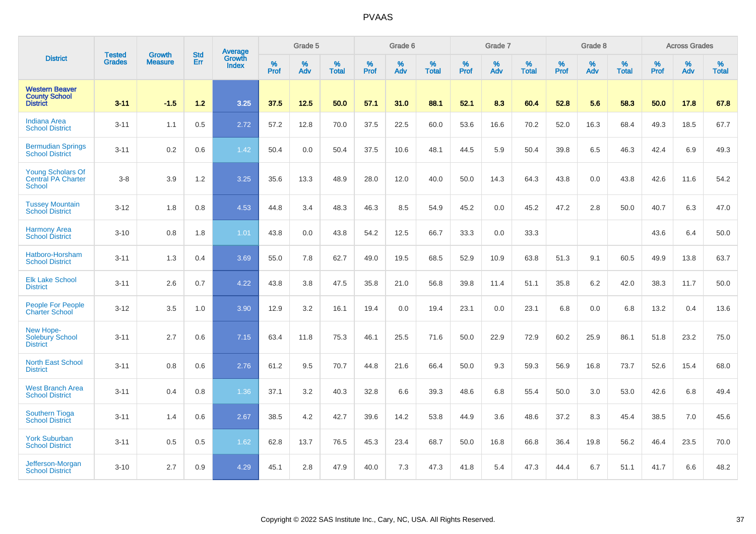|                                                                  | <b>Tested</b> | <b>Growth</b>  | <b>Std</b> | Average                |           | Grade 5  |                   |           | Grade 6  |                   |           | Grade 7  |                   |           | Grade 8  |                   |           | <b>Across Grades</b> |                   |
|------------------------------------------------------------------|---------------|----------------|------------|------------------------|-----------|----------|-------------------|-----------|----------|-------------------|-----------|----------|-------------------|-----------|----------|-------------------|-----------|----------------------|-------------------|
| <b>District</b>                                                  | <b>Grades</b> | <b>Measure</b> | Err        | <b>Growth</b><br>Index | %<br>Prof | %<br>Adv | %<br><b>Total</b> | %<br>Prof | %<br>Adv | %<br><b>Total</b> | %<br>Prof | %<br>Adv | %<br><b>Total</b> | %<br>Prof | %<br>Adv | %<br><b>Total</b> | %<br>Prof | %<br>Adv             | %<br><b>Total</b> |
| <b>Western Beaver</b><br><b>County School</b><br><b>District</b> | $3 - 11$      | $-1.5$         | $1.2$      | 3.25                   | 37.5      | 12.5     | 50.0              | 57.1      | 31.0     | 88.1              | 52.1      | 8.3      | 60.4              | 52.8      | 5.6      | 58.3              | 50.0      | 17.8                 | 67.8              |
| <b>Indiana Area</b><br><b>School District</b>                    | $3 - 11$      | 1.1            | 0.5        | 2.72                   | 57.2      | 12.8     | 70.0              | 37.5      | 22.5     | 60.0              | 53.6      | 16.6     | 70.2              | 52.0      | 16.3     | 68.4              | 49.3      | 18.5                 | 67.7              |
| <b>Bermudian Springs</b><br><b>School District</b>               | $3 - 11$      | 0.2            | 0.6        | 1.42                   | 50.4      | 0.0      | 50.4              | 37.5      | 10.6     | 48.1              | 44.5      | 5.9      | 50.4              | 39.8      | 6.5      | 46.3              | 42.4      | 6.9                  | 49.3              |
| <b>Young Scholars Of</b><br><b>Central PA Charter</b><br>School  | $3-8$         | 3.9            | 1.2        | 3.25                   | 35.6      | 13.3     | 48.9              | 28.0      | 12.0     | 40.0              | 50.0      | 14.3     | 64.3              | 43.8      | 0.0      | 43.8              | 42.6      | 11.6                 | 54.2              |
| <b>Tussey Mountain</b><br><b>School District</b>                 | $3 - 12$      | 1.8            | 0.8        | 4.53                   | 44.8      | 3.4      | 48.3              | 46.3      | 8.5      | 54.9              | 45.2      | 0.0      | 45.2              | 47.2      | 2.8      | 50.0              | 40.7      | 6.3                  | 47.0              |
| <b>Harmony Area</b><br><b>School District</b>                    | $3 - 10$      | 0.8            | 1.8        | 1.01                   | 43.8      | 0.0      | 43.8              | 54.2      | 12.5     | 66.7              | 33.3      | 0.0      | 33.3              |           |          |                   | 43.6      | 6.4                  | 50.0              |
| Hatboro-Horsham<br><b>School District</b>                        | $3 - 11$      | 1.3            | 0.4        | 3.69                   | 55.0      | 7.8      | 62.7              | 49.0      | 19.5     | 68.5              | 52.9      | 10.9     | 63.8              | 51.3      | 9.1      | 60.5              | 49.9      | 13.8                 | 63.7              |
| <b>Elk Lake School</b><br><b>District</b>                        | $3 - 11$      | 2.6            | 0.7        | 4.22                   | 43.8      | 3.8      | 47.5              | 35.8      | 21.0     | 56.8              | 39.8      | 11.4     | 51.1              | 35.8      | 6.2      | 42.0              | 38.3      | 11.7                 | 50.0              |
| <b>People For People</b><br><b>Charter School</b>                | $3 - 12$      | 3.5            | 1.0        | 3.90                   | 12.9      | 3.2      | 16.1              | 19.4      | 0.0      | 19.4              | 23.1      | 0.0      | 23.1              | 6.8       | 0.0      | 6.8               | 13.2      | 0.4                  | 13.6              |
| New Hope-<br><b>Solebury School</b><br><b>District</b>           | $3 - 11$      | 2.7            | 0.6        | 7.15                   | 63.4      | 11.8     | 75.3              | 46.1      | 25.5     | 71.6              | 50.0      | 22.9     | 72.9              | 60.2      | 25.9     | 86.1              | 51.8      | 23.2                 | 75.0              |
| <b>North East School</b><br><b>District</b>                      | $3 - 11$      | 0.8            | 0.6        | 2.76                   | 61.2      | 9.5      | 70.7              | 44.8      | 21.6     | 66.4              | 50.0      | 9.3      | 59.3              | 56.9      | 16.8     | 73.7              | 52.6      | 15.4                 | 68.0              |
| <b>West Branch Area</b><br><b>School District</b>                | $3 - 11$      | 0.4            | 0.8        | 1.36                   | 37.1      | 3.2      | 40.3              | 32.8      | 6.6      | 39.3              | 48.6      | 6.8      | 55.4              | 50.0      | 3.0      | 53.0              | 42.6      | 6.8                  | 49.4              |
| <b>Southern Tioga</b><br><b>School District</b>                  | $3 - 11$      | 1.4            | 0.6        | 2.67                   | 38.5      | 4.2      | 42.7              | 39.6      | 14.2     | 53.8              | 44.9      | 3.6      | 48.6              | 37.2      | 8.3      | 45.4              | 38.5      | 7.0                  | 45.6              |
| <b>York Suburban</b><br><b>School District</b>                   | $3 - 11$      | 0.5            | 0.5        | 1.62                   | 62.8      | 13.7     | 76.5              | 45.3      | 23.4     | 68.7              | 50.0      | 16.8     | 66.8              | 36.4      | 19.8     | 56.2              | 46.4      | 23.5                 | 70.0              |
| Jefferson-Morgan<br><b>School District</b>                       | $3 - 10$      | 2.7            | 0.9        | 4.29                   | 45.1      | 2.8      | 47.9              | 40.0      | 7.3      | 47.3              | 41.8      | 5.4      | 47.3              | 44.4      | 6.7      | 51.1              | 41.7      | 6.6                  | 48.2              |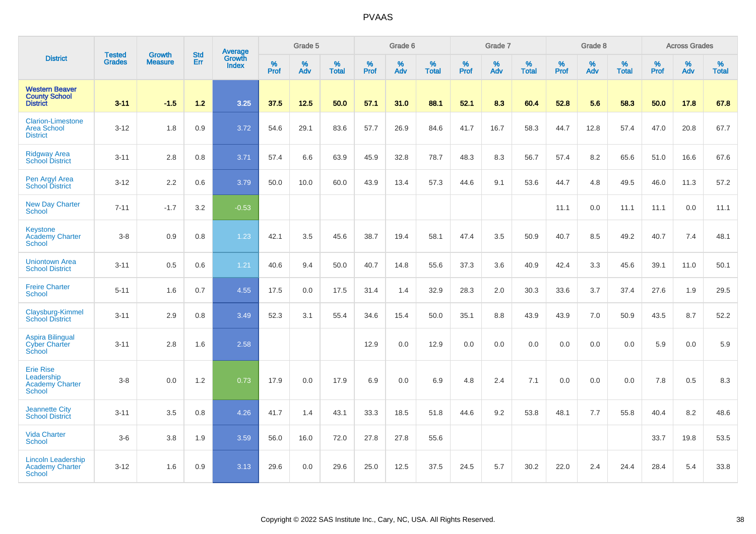|                                                                   |                                |                                 | <b>Std</b> | Average                |           | Grade 5  |                   |           | Grade 6  |                   |           | Grade 7  |                   |           | Grade 8  |                   |           | <b>Across Grades</b> |                   |
|-------------------------------------------------------------------|--------------------------------|---------------------------------|------------|------------------------|-----------|----------|-------------------|-----------|----------|-------------------|-----------|----------|-------------------|-----------|----------|-------------------|-----------|----------------------|-------------------|
| <b>District</b>                                                   | <b>Tested</b><br><b>Grades</b> | <b>Growth</b><br><b>Measure</b> | Err        | Growth<br><b>Index</b> | %<br>Prof | %<br>Adv | %<br><b>Total</b> | %<br>Prof | %<br>Adv | %<br><b>Total</b> | %<br>Prof | %<br>Adv | %<br><b>Total</b> | %<br>Prof | %<br>Adv | %<br><b>Total</b> | %<br>Prof | %<br>Adv             | %<br><b>Total</b> |
| <b>Western Beaver</b><br><b>County School</b><br><b>District</b>  | $3 - 11$                       | $-1.5$                          | $1.2$      | 3.25                   | 37.5      | 12.5     | 50.0              | 57.1      | 31.0     | 88.1              | 52.1      | 8.3      | 60.4              | 52.8      | 5.6      | 58.3              | 50.0      | 17.8                 | 67.8              |
| <b>Clarion-Limestone</b><br><b>Area School</b><br><b>District</b> | $3 - 12$                       | 1.8                             | 0.9        | 3.72                   | 54.6      | 29.1     | 83.6              | 57.7      | 26.9     | 84.6              | 41.7      | 16.7     | 58.3              | 44.7      | 12.8     | 57.4              | 47.0      | 20.8                 | 67.7              |
| <b>Ridgway Area</b><br><b>School District</b>                     | $3 - 11$                       | 2.8                             | 0.8        | 3.71                   | 57.4      | 6.6      | 63.9              | 45.9      | 32.8     | 78.7              | 48.3      | 8.3      | 56.7              | 57.4      | 8.2      | 65.6              | 51.0      | 16.6                 | 67.6              |
| Pen Argyl Area<br><b>School District</b>                          | $3 - 12$                       | 2.2                             | 0.6        | 3.79                   | 50.0      | 10.0     | 60.0              | 43.9      | 13.4     | 57.3              | 44.6      | 9.1      | 53.6              | 44.7      | 4.8      | 49.5              | 46.0      | 11.3                 | 57.2              |
| <b>New Day Charter</b><br>School                                  | $7 - 11$                       | $-1.7$                          | 3.2        | $-0.53$                |           |          |                   |           |          |                   |           |          |                   | 11.1      | 0.0      | 11.1              | 11.1      | 0.0                  | 11.1              |
| <b>Keystone</b><br><b>Academy Charter</b><br>School               | $3-8$                          | 0.9                             | 0.8        | 1.23                   | 42.1      | 3.5      | 45.6              | 38.7      | 19.4     | 58.1              | 47.4      | 3.5      | 50.9              | 40.7      | 8.5      | 49.2              | 40.7      | 7.4                  | 48.1              |
| <b>Uniontown Area</b><br><b>School District</b>                   | $3 - 11$                       | 0.5                             | 0.6        | 1.21                   | 40.6      | 9.4      | 50.0              | 40.7      | 14.8     | 55.6              | 37.3      | 3.6      | 40.9              | 42.4      | 3.3      | 45.6              | 39.1      | 11.0                 | 50.1              |
| <b>Freire Charter</b><br><b>School</b>                            | $5 - 11$                       | 1.6                             | 0.7        | 4.55                   | 17.5      | 0.0      | 17.5              | 31.4      | 1.4      | 32.9              | 28.3      | 2.0      | 30.3              | 33.6      | 3.7      | 37.4              | 27.6      | 1.9                  | 29.5              |
| Claysburg-Kimmel<br><b>School District</b>                        | $3 - 11$                       | 2.9                             | 0.8        | 3.49                   | 52.3      | 3.1      | 55.4              | 34.6      | 15.4     | 50.0              | 35.1      | 8.8      | 43.9              | 43.9      | 7.0      | 50.9              | 43.5      | 8.7                  | 52.2              |
| <b>Aspira Bilingual</b><br><b>Cyber Charter</b><br>School         | $3 - 11$                       | 2.8                             | 1.6        | 2.58                   |           |          |                   | 12.9      | 0.0      | 12.9              | 0.0       | 0.0      | 0.0               | 0.0       | 0.0      | 0.0               | 5.9       | 0.0                  | 5.9               |
| <b>Erie Rise</b><br>Leadership<br>Academy Charter<br>School       | $3 - 8$                        | 0.0                             | 1.2        | 0.73                   | 17.9      | 0.0      | 17.9              | 6.9       | 0.0      | 6.9               | 4.8       | 2.4      | 7.1               | 0.0       | 0.0      | 0.0               | 7.8       | 0.5                  | 8.3               |
| <b>Jeannette City</b><br><b>School District</b>                   | $3 - 11$                       | 3.5                             | 0.8        | 4.26                   | 41.7      | 1.4      | 43.1              | 33.3      | 18.5     | 51.8              | 44.6      | 9.2      | 53.8              | 48.1      | 7.7      | 55.8              | 40.4      | 8.2                  | 48.6              |
| <b>Vida Charter</b><br><b>School</b>                              | $3-6$                          | 3.8                             | 1.9        | 3.59                   | 56.0      | 16.0     | 72.0              | 27.8      | 27.8     | 55.6              |           |          |                   |           |          |                   | 33.7      | 19.8                 | 53.5              |
| <b>Lincoln Leadership</b><br><b>Academy Charter</b><br>School     | $3 - 12$                       | 1.6                             | 0.9        | 3.13                   | 29.6      | 0.0      | 29.6              | 25.0      | 12.5     | 37.5              | 24.5      | 5.7      | 30.2              | 22.0      | 2.4      | 24.4              | 28.4      | 5.4                  | 33.8              |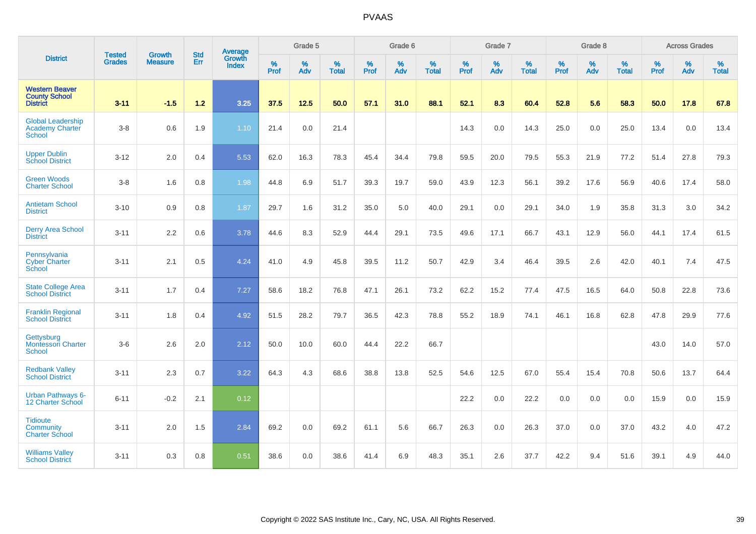|                                                                     |                                |                                 | <b>Std</b> | Average                |                     | Grade 5  |                   |                  | Grade 6  |                   |                  | Grade 7  |                   |           | Grade 8  |                   |                  | <b>Across Grades</b> |                   |
|---------------------------------------------------------------------|--------------------------------|---------------------------------|------------|------------------------|---------------------|----------|-------------------|------------------|----------|-------------------|------------------|----------|-------------------|-----------|----------|-------------------|------------------|----------------------|-------------------|
| <b>District</b>                                                     | <b>Tested</b><br><b>Grades</b> | <b>Growth</b><br><b>Measure</b> | Err        | Growth<br><b>Index</b> | $\%$<br><b>Prof</b> | %<br>Adv | %<br><b>Total</b> | %<br><b>Prof</b> | %<br>Adv | %<br><b>Total</b> | %<br><b>Prof</b> | %<br>Adv | %<br><b>Total</b> | %<br>Prof | %<br>Adv | %<br><b>Total</b> | %<br><b>Prof</b> | %<br>Adv             | %<br><b>Total</b> |
| <b>Western Beaver</b><br><b>County School</b><br><b>District</b>    | $3 - 11$                       | $-1.5$                          | 1.2        | 3.25                   | 37.5                | 12.5     | 50.0              | 57.1             | 31.0     | 88.1              | 52.1             | 8.3      | 60.4              | 52.8      | 5.6      | 58.3              | 50.0             | 17.8                 | 67.8              |
| <b>Global Leadership</b><br><b>Academy Charter</b><br><b>School</b> | $3-8$                          | 0.6                             | 1.9        | 1.10                   | 21.4                | 0.0      | 21.4              |                  |          |                   | 14.3             | 0.0      | 14.3              | 25.0      | 0.0      | 25.0              | 13.4             | 0.0                  | 13.4              |
| <b>Upper Dublin</b><br><b>School District</b>                       | $3 - 12$                       | 2.0                             | 0.4        | 5.53                   | 62.0                | 16.3     | 78.3              | 45.4             | 34.4     | 79.8              | 59.5             | 20.0     | 79.5              | 55.3      | 21.9     | 77.2              | 51.4             | 27.8                 | 79.3              |
| <b>Green Woods</b><br><b>Charter School</b>                         | $3 - 8$                        | 1.6                             | 0.8        | 1.98                   | 44.8                | 6.9      | 51.7              | 39.3             | 19.7     | 59.0              | 43.9             | 12.3     | 56.1              | 39.2      | 17.6     | 56.9              | 40.6             | 17.4                 | 58.0              |
| <b>Antietam School</b><br><b>District</b>                           | $3 - 10$                       | 0.9                             | 0.8        | 1.87                   | 29.7                | 1.6      | 31.2              | 35.0             | 5.0      | 40.0              | 29.1             | 0.0      | 29.1              | 34.0      | 1.9      | 35.8              | 31.3             | 3.0                  | 34.2              |
| <b>Derry Area School</b><br><b>District</b>                         | $3 - 11$                       | 2.2                             | 0.6        | 3.78                   | 44.6                | 8.3      | 52.9              | 44.4             | 29.1     | 73.5              | 49.6             | 17.1     | 66.7              | 43.1      | 12.9     | 56.0              | 44.1             | 17.4                 | 61.5              |
| Pennsylvania<br><b>Cyber Charter</b><br>School                      | $3 - 11$                       | 2.1                             | 0.5        | 4.24                   | 41.0                | 4.9      | 45.8              | 39.5             | 11.2     | 50.7              | 42.9             | 3.4      | 46.4              | 39.5      | 2.6      | 42.0              | 40.1             | 7.4                  | 47.5              |
| <b>State College Area</b><br><b>School District</b>                 | $3 - 11$                       | 1.7                             | 0.4        | 7.27                   | 58.6                | 18.2     | 76.8              | 47.1             | 26.1     | 73.2              | 62.2             | 15.2     | 77.4              | 47.5      | 16.5     | 64.0              | 50.8             | 22.8                 | 73.6              |
| <b>Franklin Regional</b><br><b>School District</b>                  | $3 - 11$                       | 1.8                             | 0.4        | 4.92                   | 51.5                | 28.2     | 79.7              | 36.5             | 42.3     | 78.8              | 55.2             | 18.9     | 74.1              | 46.1      | 16.8     | 62.8              | 47.8             | 29.9                 | 77.6              |
| Gettysburg<br>Montessori Charter<br><b>School</b>                   | $3-6$                          | 2.6                             | 2.0        | 2.12                   | 50.0                | 10.0     | 60.0              | 44.4             | 22.2     | 66.7              |                  |          |                   |           |          |                   | 43.0             | 14.0                 | 57.0              |
| <b>Redbank Valley</b><br><b>School District</b>                     | $3 - 11$                       | 2.3                             | 0.7        | 3.22                   | 64.3                | 4.3      | 68.6              | 38.8             | 13.8     | 52.5              | 54.6             | 12.5     | 67.0              | 55.4      | 15.4     | 70.8              | 50.6             | 13.7                 | 64.4              |
| <b>Urban Pathways 6-</b><br>12 Charter School                       | $6 - 11$                       | $-0.2$                          | 2.1        | 0.12                   |                     |          |                   |                  |          |                   | 22.2             | 0.0      | 22.2              | 0.0       | 0.0      | 0.0               | 15.9             | 0.0                  | 15.9              |
| <b>Tidioute</b><br>Community<br><b>Charter School</b>               | $3 - 11$                       | 2.0                             | 1.5        | 2.84                   | 69.2                | 0.0      | 69.2              | 61.1             | 5.6      | 66.7              | 26.3             | 0.0      | 26.3              | 37.0      | 0.0      | 37.0              | 43.2             | 4.0                  | 47.2              |
| <b>Williams Valley</b><br><b>School District</b>                    | $3 - 11$                       | 0.3                             | 0.8        | 0.51                   | 38.6                | 0.0      | 38.6              | 41.4             | 6.9      | 48.3              | 35.1             | 2.6      | 37.7              | 42.2      | 9.4      | 51.6              | 39.1             | 4.9                  | 44.0              |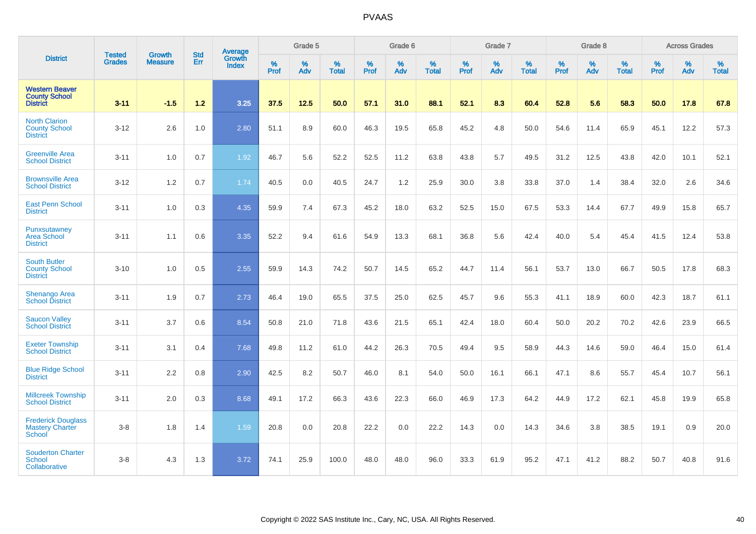|                                                                  |                                |                                 | <b>Std</b> | <b>Average</b>                |                  | Grade 5  |                   |           | Grade 6  |                   |           | Grade 7  |                   |           | Grade 8  |                   |           | <b>Across Grades</b> |                   |
|------------------------------------------------------------------|--------------------------------|---------------------------------|------------|-------------------------------|------------------|----------|-------------------|-----------|----------|-------------------|-----------|----------|-------------------|-----------|----------|-------------------|-----------|----------------------|-------------------|
| <b>District</b>                                                  | <b>Tested</b><br><b>Grades</b> | <b>Growth</b><br><b>Measure</b> | Err        | <b>Growth</b><br><b>Index</b> | %<br><b>Prof</b> | %<br>Adv | %<br><b>Total</b> | %<br>Prof | %<br>Adv | %<br><b>Total</b> | %<br>Prof | %<br>Adv | %<br><b>Total</b> | %<br>Prof | %<br>Adv | %<br><b>Total</b> | %<br>Prof | %<br>Adv             | %<br><b>Total</b> |
| <b>Western Beaver</b><br><b>County School</b><br><b>District</b> | $3 - 11$                       | $-1.5$                          | 1.2        | 3.25                          | 37.5             | 12.5     | 50.0              | 57.1      | 31.0     | 88.1              | 52.1      | 8.3      | 60.4              | 52.8      | 5.6      | 58.3              | 50.0      | 17.8                 | 67.8              |
| <b>North Clarion</b><br><b>County School</b><br><b>District</b>  | $3 - 12$                       | 2.6                             | 1.0        | 2.80                          | 51.1             | 8.9      | 60.0              | 46.3      | 19.5     | 65.8              | 45.2      | 4.8      | 50.0              | 54.6      | 11.4     | 65.9              | 45.1      | 12.2                 | 57.3              |
| <b>Greenville Area</b><br><b>School District</b>                 | $3 - 11$                       | 1.0                             | 0.7        | 1.92                          | 46.7             | 5.6      | 52.2              | 52.5      | 11.2     | 63.8              | 43.8      | 5.7      | 49.5              | 31.2      | 12.5     | 43.8              | 42.0      | 10.1                 | 52.1              |
| <b>Brownsville Area</b><br><b>School District</b>                | $3 - 12$                       | 1.2                             | 0.7        | 1.74                          | 40.5             | 0.0      | 40.5              | 24.7      | 1.2      | 25.9              | 30.0      | 3.8      | 33.8              | 37.0      | 1.4      | 38.4              | 32.0      | 2.6                  | 34.6              |
| <b>East Penn School</b><br><b>District</b>                       | $3 - 11$                       | 1.0                             | 0.3        | 4.35                          | 59.9             | 7.4      | 67.3              | 45.2      | 18.0     | 63.2              | 52.5      | 15.0     | 67.5              | 53.3      | 14.4     | 67.7              | 49.9      | 15.8                 | 65.7              |
| Punxsutawney<br><b>Area School</b><br><b>District</b>            | $3 - 11$                       | 1.1                             | 0.6        | 3.35                          | 52.2             | 9.4      | 61.6              | 54.9      | 13.3     | 68.1              | 36.8      | 5.6      | 42.4              | 40.0      | 5.4      | 45.4              | 41.5      | 12.4                 | 53.8              |
| <b>South Butler</b><br><b>County School</b><br><b>District</b>   | $3 - 10$                       | 1.0                             | 0.5        | 2.55                          | 59.9             | 14.3     | 74.2              | 50.7      | 14.5     | 65.2              | 44.7      | 11.4     | 56.1              | 53.7      | 13.0     | 66.7              | 50.5      | 17.8                 | 68.3              |
| <b>Shenango Area</b><br><b>School District</b>                   | $3 - 11$                       | 1.9                             | 0.7        | 2.73                          | 46.4             | 19.0     | 65.5              | 37.5      | 25.0     | 62.5              | 45.7      | 9.6      | 55.3              | 41.1      | 18.9     | 60.0              | 42.3      | 18.7                 | 61.1              |
| <b>Saucon Valley</b><br><b>School District</b>                   | $3 - 11$                       | 3.7                             | 0.6        | 8.54                          | 50.8             | 21.0     | 71.8              | 43.6      | 21.5     | 65.1              | 42.4      | 18.0     | 60.4              | 50.0      | 20.2     | 70.2              | 42.6      | 23.9                 | 66.5              |
| <b>Exeter Township</b><br><b>School District</b>                 | $3 - 11$                       | 3.1                             | 0.4        | 7.68                          | 49.8             | 11.2     | 61.0              | 44.2      | 26.3     | 70.5              | 49.4      | 9.5      | 58.9              | 44.3      | 14.6     | 59.0              | 46.4      | 15.0                 | 61.4              |
| <b>Blue Ridge School</b><br><b>District</b>                      | $3 - 11$                       | 2.2                             | 0.8        | 2.90                          | 42.5             | 8.2      | 50.7              | 46.0      | 8.1      | 54.0              | 50.0      | 16.1     | 66.1              | 47.1      | 8.6      | 55.7              | 45.4      | 10.7                 | 56.1              |
| <b>Millcreek Township</b><br><b>School District</b>              | $3 - 11$                       | 2.0                             | 0.3        | 8.68                          | 49.1             | 17.2     | 66.3              | 43.6      | 22.3     | 66.0              | 46.9      | 17.3     | 64.2              | 44.9      | 17.2     | 62.1              | 45.8      | 19.9                 | 65.8              |
| <b>Frederick Douglass</b><br><b>Mastery Charter</b><br>School    | $3 - 8$                        | 1.8                             | 1.4        | 1.59                          | 20.8             | 0.0      | 20.8              | 22.2      | 0.0      | 22.2              | 14.3      | 0.0      | 14.3              | 34.6      | 3.8      | 38.5              | 19.1      | 0.9                  | 20.0              |
| <b>Souderton Charter</b><br>School<br>Collaborative              | $3 - 8$                        | 4.3                             | 1.3        | 3.72                          | 74.1             | 25.9     | 100.0             | 48.0      | 48.0     | 96.0              | 33.3      | 61.9     | 95.2              | 47.1      | 41.2     | 88.2              | 50.7      | 40.8                 | 91.6              |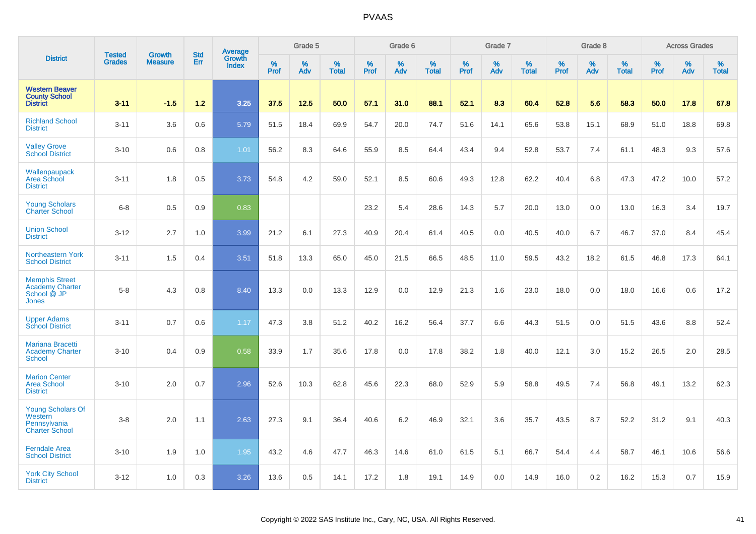|                                                                                |                         | <b>Growth</b>  | <b>Std</b> | Average                |                     | Grade 5  |                      |                  | Grade 6  |                      |                     | Grade 7     |                      |                     | Grade 8     |                      |              | <b>Across Grades</b> |                   |
|--------------------------------------------------------------------------------|-------------------------|----------------|------------|------------------------|---------------------|----------|----------------------|------------------|----------|----------------------|---------------------|-------------|----------------------|---------------------|-------------|----------------------|--------------|----------------------|-------------------|
| <b>District</b>                                                                | <b>Tested</b><br>Grades | <b>Measure</b> | Err        | Growth<br><b>Index</b> | $\%$<br><b>Prof</b> | %<br>Adv | $\%$<br><b>Total</b> | %<br><b>Prof</b> | %<br>Adv | $\%$<br><b>Total</b> | $\%$<br><b>Prof</b> | $\%$<br>Adv | $\%$<br><b>Total</b> | $\%$<br><b>Prof</b> | $\%$<br>Adv | $\%$<br><b>Total</b> | $\%$<br>Prof | $\%$<br>Adv          | %<br><b>Total</b> |
| <b>Western Beaver</b><br><b>County School</b><br><b>District</b>               | $3 - 11$                | $-1.5$         | 1.2        | 3.25                   | 37.5                | 12.5     | 50.0                 | 57.1             | 31.0     | 88.1                 | 52.1                | 8.3         | 60.4                 | 52.8                | 5.6         | 58.3                 | 50.0         | 17.8                 | 67.8              |
| <b>Richland School</b><br><b>District</b>                                      | $3 - 11$                | 3.6            | 0.6        | 5.79                   | 51.5                | 18.4     | 69.9                 | 54.7             | 20.0     | 74.7                 | 51.6                | 14.1        | 65.6                 | 53.8                | 15.1        | 68.9                 | 51.0         | 18.8                 | 69.8              |
| <b>Valley Grove</b><br><b>School District</b>                                  | $3 - 10$                | 0.6            | 0.8        | 1.01                   | 56.2                | 8.3      | 64.6                 | 55.9             | 8.5      | 64.4                 | 43.4                | 9.4         | 52.8                 | 53.7                | 7.4         | 61.1                 | 48.3         | 9.3                  | 57.6              |
| Wallenpaupack<br>Area School<br><b>District</b>                                | $3 - 11$                | 1.8            | 0.5        | 3.73                   | 54.8                | 4.2      | 59.0                 | 52.1             | 8.5      | 60.6                 | 49.3                | 12.8        | 62.2                 | 40.4                | 6.8         | 47.3                 | 47.2         | 10.0                 | 57.2              |
| <b>Young Scholars</b><br><b>Charter School</b>                                 | $6 - 8$                 | 0.5            | 0.9        | 0.83                   |                     |          |                      | 23.2             | 5.4      | 28.6                 | 14.3                | 5.7         | 20.0                 | 13.0                | 0.0         | 13.0                 | 16.3         | 3.4                  | 19.7              |
| <b>Union School</b><br><b>District</b>                                         | $3 - 12$                | 2.7            | 1.0        | 3.99                   | 21.2                | 6.1      | 27.3                 | 40.9             | 20.4     | 61.4                 | 40.5                | 0.0         | 40.5                 | 40.0                | 6.7         | 46.7                 | 37.0         | 8.4                  | 45.4              |
| Northeastern York<br><b>School District</b>                                    | $3 - 11$                | 1.5            | 0.4        | 3.51                   | 51.8                | 13.3     | 65.0                 | 45.0             | 21.5     | 66.5                 | 48.5                | 11.0        | 59.5                 | 43.2                | 18.2        | 61.5                 | 46.8         | 17.3                 | 64.1              |
| <b>Memphis Street</b><br><b>Academy Charter</b><br>School @ JP<br><b>Jones</b> | $5-8$                   | 4.3            | 0.8        | 8.40                   | 13.3                | 0.0      | 13.3                 | 12.9             | 0.0      | 12.9                 | 21.3                | 1.6         | 23.0                 | 18.0                | 0.0         | 18.0                 | 16.6         | 0.6                  | 17.2              |
| <b>Upper Adams</b><br><b>School District</b>                                   | $3 - 11$                | 0.7            | 0.6        | 1.17                   | 47.3                | 3.8      | 51.2                 | 40.2             | 16.2     | 56.4                 | 37.7                | 6.6         | 44.3                 | 51.5                | 0.0         | 51.5                 | 43.6         | 8.8                  | 52.4              |
| Mariana Bracetti<br><b>Academy Charter</b><br><b>School</b>                    | $3 - 10$                | 0.4            | 0.9        | 0.58                   | 33.9                | 1.7      | 35.6                 | 17.8             | 0.0      | 17.8                 | 38.2                | 1.8         | 40.0                 | 12.1                | 3.0         | 15.2                 | 26.5         | 2.0                  | 28.5              |
| <b>Marion Center</b><br><b>Area School</b><br><b>District</b>                  | $3 - 10$                | 2.0            | 0.7        | 2.96                   | 52.6                | 10.3     | 62.8                 | 45.6             | 22.3     | 68.0                 | 52.9                | 5.9         | 58.8                 | 49.5                | 7.4         | 56.8                 | 49.1         | 13.2                 | 62.3              |
| <b>Young Scholars Of</b><br>Western<br>Pennsylvania<br><b>Charter School</b>   | $3-8$                   | 2.0            | 1.1        | 2.63                   | 27.3                | 9.1      | 36.4                 | 40.6             | 6.2      | 46.9                 | 32.1                | 3.6         | 35.7                 | 43.5                | 8.7         | 52.2                 | 31.2         | 9.1                  | 40.3              |
| <b>Ferndale Area</b><br><b>School District</b>                                 | $3 - 10$                | 1.9            | 1.0        | 1.95                   | 43.2                | 4.6      | 47.7                 | 46.3             | 14.6     | 61.0                 | 61.5                | 5.1         | 66.7                 | 54.4                | 4.4         | 58.7                 | 46.1         | 10.6                 | 56.6              |
| <b>York City School</b><br><b>District</b>                                     | $3 - 12$                | 1.0            | 0.3        | 3.26                   | 13.6                | 0.5      | 14.1                 | 17.2             | 1.8      | 19.1                 | 14.9                | 0.0         | 14.9                 | 16.0                | 0.2         | 16.2                 | 15.3         | 0.7                  | 15.9              |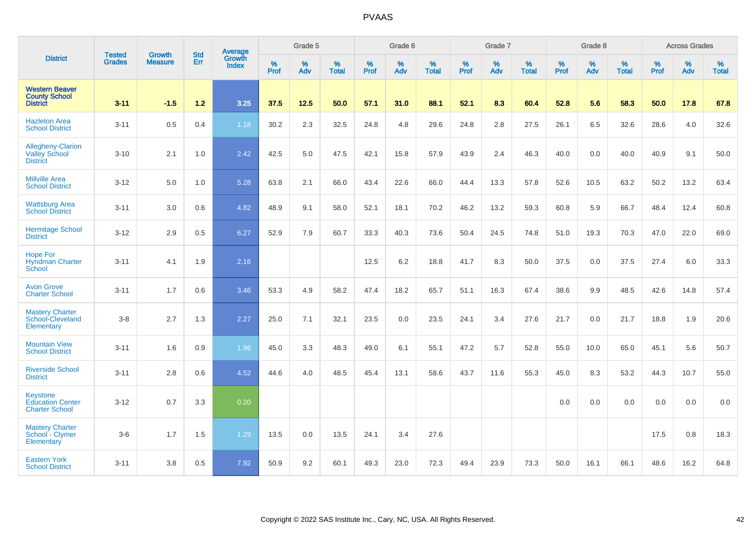|                                                                     |                                |                                 | <b>Std</b> | Average                |                     | Grade 5  |                   |           | Grade 6  |                   |           | Grade 7  |                   |           | Grade 8  |                   |           | <b>Across Grades</b> |                   |
|---------------------------------------------------------------------|--------------------------------|---------------------------------|------------|------------------------|---------------------|----------|-------------------|-----------|----------|-------------------|-----------|----------|-------------------|-----------|----------|-------------------|-----------|----------------------|-------------------|
| <b>District</b>                                                     | <b>Tested</b><br><b>Grades</b> | <b>Growth</b><br><b>Measure</b> | Err        | Growth<br><b>Index</b> | $\%$<br><b>Prof</b> | %<br>Adv | %<br><b>Total</b> | %<br>Prof | %<br>Adv | %<br><b>Total</b> | %<br>Prof | %<br>Adv | %<br><b>Total</b> | %<br>Prof | %<br>Adv | %<br><b>Total</b> | %<br>Prof | %<br>Adv             | %<br><b>Total</b> |
| <b>Western Beaver</b><br><b>County School</b><br><b>District</b>    | $3 - 11$                       | $-1.5$                          | 1.2        | 3.25                   | 37.5                | 12.5     | 50.0              | 57.1      | 31.0     | 88.1              | 52.1      | 8.3      | 60.4              | 52.8      | 5.6      | 58.3              | 50.0      | 17.8                 | 67.8              |
| <b>Hazleton Area</b><br><b>School District</b>                      | $3 - 11$                       | 0.5                             | 0.4        | 1.18                   | 30.2                | 2.3      | 32.5              | 24.8      | 4.8      | 29.6              | 24.8      | 2.8      | 27.5              | 26.1      | 6.5      | 32.6              | 28.6      | 4.0                  | 32.6              |
| Allegheny-Clarion<br><b>Valley School</b><br><b>District</b>        | $3 - 10$                       | 2.1                             | 1.0        | 2.42                   | 42.5                | 5.0      | 47.5              | 42.1      | 15.8     | 57.9              | 43.9      | 2.4      | 46.3              | 40.0      | 0.0      | 40.0              | 40.9      | 9.1                  | 50.0              |
| <b>Millville Area</b><br><b>School District</b>                     | $3 - 12$                       | 5.0                             | 1.0        | 5.28                   | 63.8                | 2.1      | 66.0              | 43.4      | 22.6     | 66.0              | 44.4      | 13.3     | 57.8              | 52.6      | 10.5     | 63.2              | 50.2      | 13.2                 | 63.4              |
| <b>Wattsburg Area</b><br><b>School District</b>                     | $3 - 11$                       | 3.0                             | 0.6        | 4.82                   | 48.9                | 9.1      | 58.0              | 52.1      | 18.1     | 70.2              | 46.2      | 13.2     | 59.3              | 60.8      | 5.9      | 66.7              | 48.4      | 12.4                 | 60.8              |
| <b>Hermitage School</b><br><b>District</b>                          | $3 - 12$                       | 2.9                             | 0.5        | 6.27                   | 52.9                | 7.9      | 60.7              | 33.3      | 40.3     | 73.6              | 50.4      | 24.5     | 74.8              | 51.0      | 19.3     | 70.3              | 47.0      | 22.0                 | 69.0              |
| <b>Hope For</b><br><b>Hyndman Charter</b><br>School                 | $3 - 11$                       | 4.1                             | 1.9        | 2.16                   |                     |          |                   | 12.5      | 6.2      | 18.8              | 41.7      | 8.3      | 50.0              | 37.5      | 0.0      | 37.5              | 27.4      | 6.0                  | 33.3              |
| <b>Avon Grove</b><br><b>Charter School</b>                          | $3 - 11$                       | 1.7                             | 0.6        | 3.46                   | 53.3                | 4.9      | 58.2              | 47.4      | 18.2     | 65.7              | 51.1      | 16.3     | 67.4              | 38.6      | 9.9      | 48.5              | 42.6      | 14.8                 | 57.4              |
| <b>Mastery Charter</b><br>School-Cleveland<br>Elementary            | $3 - 8$                        | 2.7                             | 1.3        | 2.27                   | 25.0                | 7.1      | 32.1              | 23.5      | 0.0      | 23.5              | 24.1      | 3.4      | 27.6              | 21.7      | 0.0      | 21.7              | 18.8      | 1.9                  | 20.6              |
| <b>Mountain View</b><br><b>School District</b>                      | $3 - 11$                       | 1.6                             | 0.9        | 1.96                   | 45.0                | 3.3      | 48.3              | 49.0      | 6.1      | 55.1              | 47.2      | 5.7      | 52.8              | 55.0      | 10.0     | 65.0              | 45.1      | 5.6                  | 50.7              |
| <b>Riverside School</b><br><b>District</b>                          | $3 - 11$                       | 2.8                             | 0.6        | 4.52                   | 44.6                | 4.0      | 48.5              | 45.4      | 13.1     | 58.6              | 43.7      | 11.6     | 55.3              | 45.0      | 8.3      | 53.2              | 44.3      | 10.7                 | 55.0              |
| <b>Keystone</b><br><b>Education Center</b><br><b>Charter School</b> | $3 - 12$                       | 0.7                             | 3.3        | 0.20                   |                     |          |                   |           |          |                   |           |          |                   | 0.0       | 0.0      | 0.0               | 0.0       | 0.0                  | 0.0               |
| <b>Mastery Charter</b><br>School - Clymer<br>Elementary             | $3-6$                          | 1.7                             | 1.5        | 1.29                   | 13.5                | 0.0      | 13.5              | 24.1      | 3.4      | 27.6              |           |          |                   |           |          |                   | 17.5      | 0.8                  | 18.3              |
| <b>Eastern York</b><br><b>School District</b>                       | $3 - 11$                       | 3.8                             | 0.5        | 7.92                   | 50.9                | 9.2      | 60.1              | 49.3      | 23.0     | 72.3              | 49.4      | 23.9     | 73.3              | 50.0      | 16.1     | 66.1              | 48.6      | 16.2                 | 64.8              |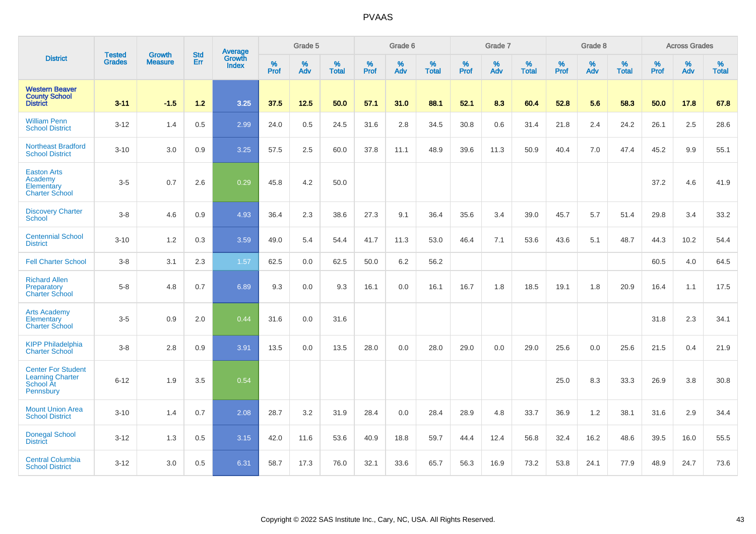|                                                                                | <b>Tested</b> | <b>Growth</b>  | <b>Std</b> | Average                       |              | Grade 5  |                   |              | Grade 6  |                   |              | Grade 7  |                   |              | Grade 8  |                   |                  | <b>Across Grades</b> |                   |
|--------------------------------------------------------------------------------|---------------|----------------|------------|-------------------------------|--------------|----------|-------------------|--------------|----------|-------------------|--------------|----------|-------------------|--------------|----------|-------------------|------------------|----------------------|-------------------|
| <b>District</b>                                                                | <b>Grades</b> | <b>Measure</b> | Err        | <b>Growth</b><br><b>Index</b> | $\%$<br>Prof | %<br>Adv | %<br><b>Total</b> | $\%$<br>Prof | %<br>Adv | %<br><b>Total</b> | $\%$<br>Prof | %<br>Adv | %<br><b>Total</b> | $\%$<br>Prof | %<br>Adv | %<br><b>Total</b> | %<br><b>Prof</b> | %<br>Adv             | %<br><b>Total</b> |
| <b>Western Beaver</b><br><b>County School</b><br><b>District</b>               | $3 - 11$      | $-1.5$         | $1.2$      | 3.25                          | 37.5         | 12.5     | 50.0              | 57.1         | 31.0     | 88.1              | 52.1         | 8.3      | 60.4              | 52.8         | 5.6      | 58.3              | 50.0             | 17.8                 | 67.8              |
| <b>William Penn</b><br><b>School District</b>                                  | $3 - 12$      | 1.4            | 0.5        | 2.99                          | 24.0         | 0.5      | 24.5              | 31.6         | 2.8      | 34.5              | 30.8         | 0.6      | 31.4              | 21.8         | 2.4      | 24.2              | 26.1             | 2.5                  | 28.6              |
| <b>Northeast Bradford</b><br><b>School District</b>                            | $3 - 10$      | 3.0            | 0.9        | 3.25                          | 57.5         | 2.5      | 60.0              | 37.8         | 11.1     | 48.9              | 39.6         | 11.3     | 50.9              | 40.4         | 7.0      | 47.4              | 45.2             | 9.9                  | 55.1              |
| <b>Easton Arts</b><br>Academy<br>Elementary<br><b>Charter School</b>           | $3-5$         | 0.7            | 2.6        | 0.29                          | 45.8         | 4.2      | 50.0              |              |          |                   |              |          |                   |              |          |                   | 37.2             | 4.6                  | 41.9              |
| <b>Discovery Charter</b><br><b>School</b>                                      | $3 - 8$       | 4.6            | 0.9        | 4.93                          | 36.4         | 2.3      | 38.6              | 27.3         | 9.1      | 36.4              | 35.6         | 3.4      | 39.0              | 45.7         | 5.7      | 51.4              | 29.8             | 3.4                  | 33.2              |
| <b>Centennial School</b><br><b>District</b>                                    | $3 - 10$      | 1.2            | 0.3        | 3.59                          | 49.0         | 5.4      | 54.4              | 41.7         | 11.3     | 53.0              | 46.4         | 7.1      | 53.6              | 43.6         | 5.1      | 48.7              | 44.3             | 10.2                 | 54.4              |
| <b>Fell Charter School</b>                                                     | $3 - 8$       | 3.1            | 2.3        | 1.57                          | 62.5         | 0.0      | 62.5              | 50.0         | 6.2      | 56.2              |              |          |                   |              |          |                   | 60.5             | 4.0                  | 64.5              |
| <b>Richard Allen</b><br>Preparatory<br><b>Charter School</b>                   | $5 - 8$       | 4.8            | 0.7        | 6.89                          | 9.3          | 0.0      | 9.3               | 16.1         | 0.0      | 16.1              | 16.7         | 1.8      | 18.5              | 19.1         | 1.8      | 20.9              | 16.4             | 1.1                  | 17.5              |
| <b>Arts Academy</b><br>Elementary<br><b>Charter School</b>                     | $3-5$         | 0.9            | 2.0        | 0.44                          | 31.6         | 0.0      | 31.6              |              |          |                   |              |          |                   |              |          |                   | 31.8             | 2.3                  | 34.1              |
| <b>KIPP Philadelphia</b><br><b>Charter School</b>                              | $3 - 8$       | 2.8            | 0.9        | 3.91                          | 13.5         | 0.0      | 13.5              | 28.0         | 0.0      | 28.0              | 29.0         | 0.0      | 29.0              | 25.6         | 0.0      | 25.6              | 21.5             | 0.4                  | 21.9              |
| <b>Center For Student</b><br><b>Learning Charter</b><br>School At<br>Pennsbury | $6 - 12$      | 1.9            | 3.5        | 0.54                          |              |          |                   |              |          |                   |              |          |                   | 25.0         | 8.3      | 33.3              | 26.9             | 3.8                  | 30.8              |
| <b>Mount Union Area</b><br><b>School District</b>                              | $3 - 10$      | 1.4            | 0.7        | 2.08                          | 28.7         | 3.2      | 31.9              | 28.4         | 0.0      | 28.4              | 28.9         | 4.8      | 33.7              | 36.9         | 1.2      | 38.1              | 31.6             | 2.9                  | 34.4              |
| <b>Donegal School</b><br><b>District</b>                                       | $3 - 12$      | 1.3            | 0.5        | 3.15                          | 42.0         | 11.6     | 53.6              | 40.9         | 18.8     | 59.7              | 44.4         | 12.4     | 56.8              | 32.4         | 16.2     | 48.6              | 39.5             | 16.0                 | 55.5              |
| <b>Central Columbia</b><br><b>School District</b>                              | $3 - 12$      | 3.0            | 0.5        | 6.31                          | 58.7         | 17.3     | 76.0              | 32.1         | 33.6     | 65.7              | 56.3         | 16.9     | 73.2              | 53.8         | 24.1     | 77.9              | 48.9             | 24.7                 | 73.6              |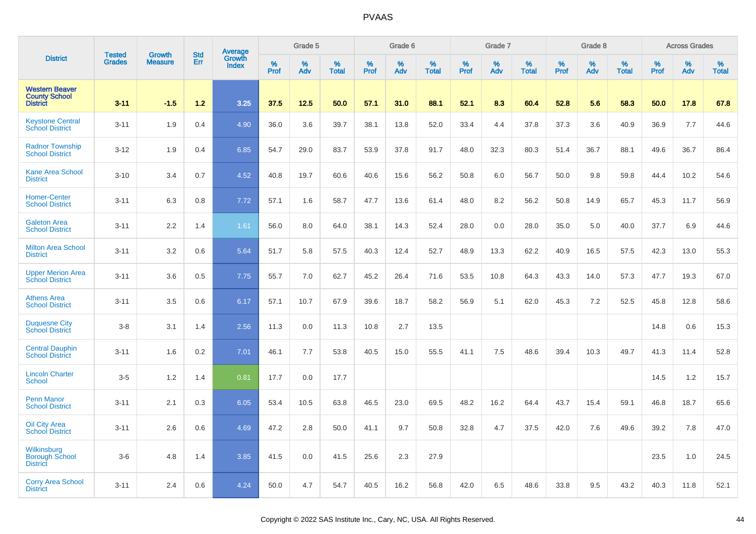|                                                                  | <b>Tested</b> | <b>Growth</b>  | <b>Std</b> | <b>Average</b><br>Growth |                     | Grade 5  |                   |                  | Grade 6  |                   |                     | Grade 7  |                   |                  | Grade 8  |                   |              | <b>Across Grades</b> |                   |
|------------------------------------------------------------------|---------------|----------------|------------|--------------------------|---------------------|----------|-------------------|------------------|----------|-------------------|---------------------|----------|-------------------|------------------|----------|-------------------|--------------|----------------------|-------------------|
| <b>District</b>                                                  | <b>Grades</b> | <b>Measure</b> | Err        | <b>Index</b>             | $\%$<br><b>Prof</b> | %<br>Adv | %<br><b>Total</b> | %<br><b>Prof</b> | %<br>Adv | %<br><b>Total</b> | $\%$<br><b>Prof</b> | %<br>Adv | %<br><b>Total</b> | %<br><b>Prof</b> | %<br>Adv | %<br><b>Total</b> | $\%$<br>Prof | %<br>Adv             | %<br><b>Total</b> |
| <b>Western Beaver</b><br><b>County School</b><br><b>District</b> | $3 - 11$      | $-1.5$         | $1.2$      | 3.25                     | 37.5                | 12.5     | 50.0              | 57.1             | 31.0     | 88.1              | 52.1                | 8.3      | 60.4              | 52.8             | 5.6      | 58.3              | 50.0         | 17.8                 | 67.8              |
| <b>Keystone Central</b><br><b>School District</b>                | $3 - 11$      | 1.9            | 0.4        | 4.90                     | 36.0                | 3.6      | 39.7              | 38.1             | 13.8     | 52.0              | 33.4                | 4.4      | 37.8              | 37.3             | 3.6      | 40.9              | 36.9         | 7.7                  | 44.6              |
| <b>Radnor Township</b><br><b>School District</b>                 | $3 - 12$      | 1.9            | 0.4        | 6.85                     | 54.7                | 29.0     | 83.7              | 53.9             | 37.8     | 91.7              | 48.0                | 32.3     | 80.3              | 51.4             | 36.7     | 88.1              | 49.6         | 36.7                 | 86.4              |
| <b>Kane Area School</b><br><b>District</b>                       | $3 - 10$      | 3.4            | 0.7        | 4.52                     | 40.8                | 19.7     | 60.6              | 40.6             | 15.6     | 56.2              | 50.8                | 6.0      | 56.7              | 50.0             | 9.8      | 59.8              | 44.4         | 10.2                 | 54.6              |
| <b>Homer-Center</b><br><b>School District</b>                    | $3 - 11$      | 6.3            | 0.8        | 7.72                     | 57.1                | 1.6      | 58.7              | 47.7             | 13.6     | 61.4              | 48.0                | 8.2      | 56.2              | 50.8             | 14.9     | 65.7              | 45.3         | 11.7                 | 56.9              |
| <b>Galeton Area</b><br><b>School District</b>                    | $3 - 11$      | 2.2            | 1.4        | 1.61                     | 56.0                | 8.0      | 64.0              | 38.1             | 14.3     | 52.4              | 28.0                | 0.0      | 28.0              | 35.0             | 5.0      | 40.0              | 37.7         | 6.9                  | 44.6              |
| <b>Milton Area School</b><br><b>District</b>                     | $3 - 11$      | 3.2            | 0.6        | 5.64                     | 51.7                | 5.8      | 57.5              | 40.3             | 12.4     | 52.7              | 48.9                | 13.3     | 62.2              | 40.9             | 16.5     | 57.5              | 42.3         | 13.0                 | 55.3              |
| <b>Upper Merion Area</b><br><b>School District</b>               | $3 - 11$      | 3.6            | 0.5        | 7.75                     | 55.7                | 7.0      | 62.7              | 45.2             | 26.4     | 71.6              | 53.5                | 10.8     | 64.3              | 43.3             | 14.0     | 57.3              | 47.7         | 19.3                 | 67.0              |
| <b>Athens Area</b><br><b>School District</b>                     | $3 - 11$      | 3.5            | 0.6        | 6.17                     | 57.1                | 10.7     | 67.9              | 39.6             | 18.7     | 58.2              | 56.9                | 5.1      | 62.0              | 45.3             | 7.2      | 52.5              | 45.8         | 12.8                 | 58.6              |
| <b>Duquesne City</b><br><b>School District</b>                   | $3 - 8$       | 3.1            | 1.4        | 2.56                     | 11.3                | 0.0      | 11.3              | 10.8             | 2.7      | 13.5              |                     |          |                   |                  |          |                   | 14.8         | 0.6                  | 15.3              |
| <b>Central Dauphin</b><br><b>School District</b>                 | $3 - 11$      | 1.6            | 0.2        | 7.01                     | 46.1                | 7.7      | 53.8              | 40.5             | 15.0     | 55.5              | 41.1                | 7.5      | 48.6              | 39.4             | 10.3     | 49.7              | 41.3         | 11.4                 | 52.8              |
| <b>Lincoln Charter</b><br><b>School</b>                          | $3-5$         | 1.2            | 1.4        | 0.81                     | 17.7                | 0.0      | 17.7              |                  |          |                   |                     |          |                   |                  |          |                   | 14.5         | 1.2                  | 15.7              |
| Penn Manor<br><b>School District</b>                             | $3 - 11$      | 2.1            | 0.3        | 6.05                     | 53.4                | 10.5     | 63.8              | 46.5             | 23.0     | 69.5              | 48.2                | 16.2     | 64.4              | 43.7             | 15.4     | 59.1              | 46.8         | 18.7                 | 65.6              |
| Oil City Area<br><b>School District</b>                          | $3 - 11$      | 2.6            | 0.6        | 4.69                     | 47.2                | 2.8      | 50.0              | 41.1             | 9.7      | 50.8              | 32.8                | 4.7      | 37.5              | 42.0             | 7.6      | 49.6              | 39.2         | 7.8                  | 47.0              |
| Wilkinsburg<br>Borough School<br><b>District</b>                 | $3-6$         | 4.8            | 1.4        | 3.85                     | 41.5                | 0.0      | 41.5              | 25.6             | 2.3      | 27.9              |                     |          |                   |                  |          |                   | 23.5         | 1.0                  | 24.5              |
| <b>Corry Area School</b><br><b>District</b>                      | $3 - 11$      | 2.4            | 0.6        | 4.24                     | 50.0                | 4.7      | 54.7              | 40.5             | 16.2     | 56.8              | 42.0                | 6.5      | 48.6              | 33.8             | 9.5      | 43.2              | 40.3         | 11.8                 | 52.1              |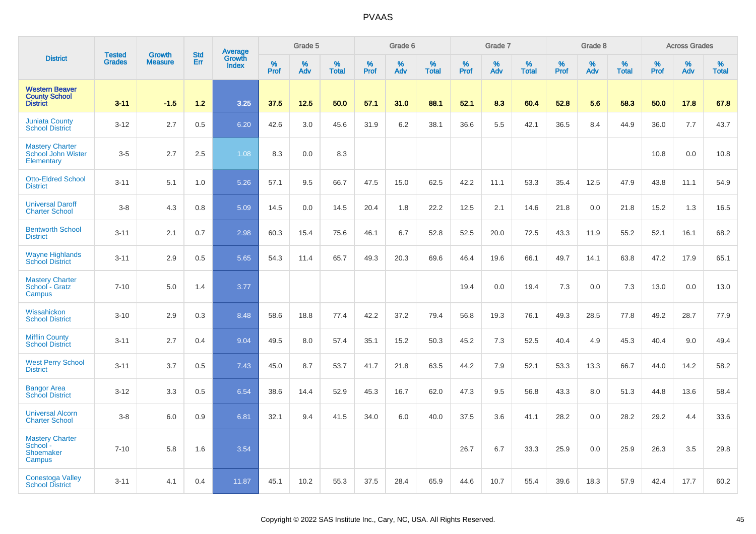|                                                                  |                         |                                 | <b>Std</b> | Average                |                     | Grade 5     |                   |              | Grade 6  |                   |              | Grade 7  |                   |              | Grade 8  |                   |           | <b>Across Grades</b> |                   |
|------------------------------------------------------------------|-------------------------|---------------------------------|------------|------------------------|---------------------|-------------|-------------------|--------------|----------|-------------------|--------------|----------|-------------------|--------------|----------|-------------------|-----------|----------------------|-------------------|
| <b>District</b>                                                  | <b>Tested</b><br>Grades | <b>Growth</b><br><b>Measure</b> | Err        | Growth<br><b>Index</b> | $\%$<br><b>Prof</b> | $\%$<br>Adv | %<br><b>Total</b> | $\%$<br>Prof | %<br>Adv | %<br><b>Total</b> | $\%$<br>Prof | %<br>Adv | %<br><b>Total</b> | $\%$<br>Prof | %<br>Adv | %<br><b>Total</b> | %<br>Prof | %<br>Adv             | %<br><b>Total</b> |
| <b>Western Beaver</b><br><b>County School</b><br><b>District</b> | $3 - 11$                | $-1.5$                          | $1.2$      | 3.25                   | 37.5                | 12.5        | 50.0              | 57.1         | 31.0     | 88.1              | 52.1         | 8.3      | 60.4              | 52.8         | 5.6      | 58.3              | 50.0      | 17.8                 | 67.8              |
| <b>Juniata County</b><br><b>School District</b>                  | $3 - 12$                | 2.7                             | 0.5        | 6.20                   | 42.6                | 3.0         | 45.6              | 31.9         | 6.2      | 38.1              | 36.6         | 5.5      | 42.1              | 36.5         | 8.4      | 44.9              | 36.0      | 7.7                  | 43.7              |
| <b>Mastery Charter</b><br>School John Wister<br>Elementary       | $3-5$                   | 2.7                             | 2.5        | 1.08                   | 8.3                 | 0.0         | 8.3               |              |          |                   |              |          |                   |              |          |                   | 10.8      | 0.0                  | 10.8              |
| <b>Otto-Eldred School</b><br><b>District</b>                     | $3 - 11$                | 5.1                             | 1.0        | 5.26                   | 57.1                | 9.5         | 66.7              | 47.5         | 15.0     | 62.5              | 42.2         | 11.1     | 53.3              | 35.4         | 12.5     | 47.9              | 43.8      | 11.1                 | 54.9              |
| <b>Universal Daroff</b><br><b>Charter School</b>                 | $3-8$                   | 4.3                             | 0.8        | 5.09                   | 14.5                | 0.0         | 14.5              | 20.4         | 1.8      | 22.2              | 12.5         | 2.1      | 14.6              | 21.8         | 0.0      | 21.8              | 15.2      | 1.3                  | 16.5              |
| <b>Bentworth School</b><br><b>District</b>                       | $3 - 11$                | 2.1                             | 0.7        | 2.98                   | 60.3                | 15.4        | 75.6              | 46.1         | 6.7      | 52.8              | 52.5         | 20.0     | 72.5              | 43.3         | 11.9     | 55.2              | 52.1      | 16.1                 | 68.2              |
| <b>Wayne Highlands</b><br><b>School District</b>                 | $3 - 11$                | 2.9                             | 0.5        | 5.65                   | 54.3                | 11.4        | 65.7              | 49.3         | 20.3     | 69.6              | 46.4         | 19.6     | 66.1              | 49.7         | 14.1     | 63.8              | 47.2      | 17.9                 | 65.1              |
| <b>Mastery Charter</b><br>School - Gratz<br>Campus               | $7 - 10$                | 5.0                             | 1.4        | 3.77                   |                     |             |                   |              |          |                   | 19.4         | 0.0      | 19.4              | 7.3          | 0.0      | 7.3               | 13.0      | 0.0                  | 13.0              |
| Wissahickon<br><b>School District</b>                            | $3 - 10$                | 2.9                             | 0.3        | 8.48                   | 58.6                | 18.8        | 77.4              | 42.2         | 37.2     | 79.4              | 56.8         | 19.3     | 76.1              | 49.3         | 28.5     | 77.8              | 49.2      | 28.7                 | 77.9              |
| <b>Mifflin County</b><br><b>School District</b>                  | $3 - 11$                | 2.7                             | 0.4        | 9.04                   | 49.5                | 8.0         | 57.4              | 35.1         | 15.2     | 50.3              | 45.2         | 7.3      | 52.5              | 40.4         | 4.9      | 45.3              | 40.4      | 9.0                  | 49.4              |
| <b>West Perry School</b><br><b>District</b>                      | $3 - 11$                | 3.7                             | 0.5        | 7.43                   | 45.0                | 8.7         | 53.7              | 41.7         | 21.8     | 63.5              | 44.2         | 7.9      | 52.1              | 53.3         | 13.3     | 66.7              | 44.0      | 14.2                 | 58.2              |
| <b>Bangor Area</b><br><b>School District</b>                     | $3 - 12$                | 3.3                             | 0.5        | 6.54                   | 38.6                | 14.4        | 52.9              | 45.3         | 16.7     | 62.0              | 47.3         | 9.5      | 56.8              | 43.3         | 8.0      | 51.3              | 44.8      | 13.6                 | 58.4              |
| <b>Universal Alcorn</b><br><b>Charter School</b>                 | $3 - 8$                 | 6.0                             | 0.9        | 6.81                   | 32.1                | 9.4         | 41.5              | 34.0         | 6.0      | 40.0              | 37.5         | 3.6      | 41.1              | 28.2         | 0.0      | 28.2              | 29.2      | 4.4                  | 33.6              |
| <b>Mastery Charter</b><br>School -<br>Shoemaker<br>Campus        | $7 - 10$                | 5.8                             | 1.6        | 3.54                   |                     |             |                   |              |          |                   | 26.7         | 6.7      | 33.3              | 25.9         | 0.0      | 25.9              | 26.3      | 3.5                  | 29.8              |
| <b>Conestoga Valley</b><br><b>School District</b>                | $3 - 11$                | 4.1                             | 0.4        | 11.87                  | 45.1                | 10.2        | 55.3              | 37.5         | 28.4     | 65.9              | 44.6         | 10.7     | 55.4              | 39.6         | 18.3     | 57.9              | 42.4      | 17.7                 | 60.2              |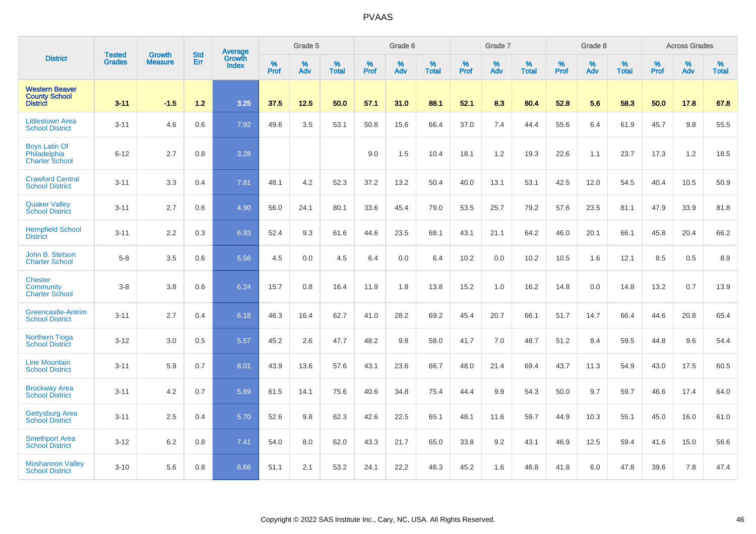|                                                                  | <b>Tested</b> | <b>Growth</b>  | <b>Std</b> | Average                       |              | Grade 5  |                   |           | Grade 6  |                   |           | Grade 7  |                   |           | Grade 8  |                   |           | <b>Across Grades</b> |                   |
|------------------------------------------------------------------|---------------|----------------|------------|-------------------------------|--------------|----------|-------------------|-----------|----------|-------------------|-----------|----------|-------------------|-----------|----------|-------------------|-----------|----------------------|-------------------|
| <b>District</b>                                                  | <b>Grades</b> | <b>Measure</b> | Err        | <b>Growth</b><br><b>Index</b> | $\%$<br>Prof | %<br>Adv | %<br><b>Total</b> | %<br>Prof | %<br>Adv | %<br><b>Total</b> | %<br>Prof | %<br>Adv | %<br><b>Total</b> | %<br>Prof | %<br>Adv | %<br><b>Total</b> | %<br>Prof | %<br>Adv             | %<br><b>Total</b> |
| <b>Western Beaver</b><br><b>County School</b><br><b>District</b> | $3 - 11$      | $-1.5$         | $1.2$      | 3.25                          | 37.5         | 12.5     | 50.0              | 57.1      | 31.0     | 88.1              | 52.1      | 8.3      | 60.4              | 52.8      | 5.6      | 58.3              | 50.0      | 17.8                 | 67.8              |
| <b>Littlestown Area</b><br><b>School District</b>                | $3 - 11$      | 4.6            | 0.6        | 7.92                          | 49.6         | 3.5      | 53.1              | 50.8      | 15.6     | 66.4              | 37.0      | 7.4      | 44.4              | 55.6      | 6.4      | 61.9              | 45.7      | 9.8                  | 55.5              |
| <b>Boys Latin Of</b><br>Philadelphia<br><b>Charter School</b>    | $6 - 12$      | 2.7            | 0.8        | 3.28                          |              |          |                   | 9.0       | 1.5      | 10.4              | 18.1      | 1.2      | 19.3              | 22.6      | 1.1      | 23.7              | 17.3      | 1.2                  | 18.5              |
| <b>Crawford Central</b><br><b>School District</b>                | $3 - 11$      | 3.3            | 0.4        | 7.81                          | 48.1         | 4.2      | 52.3              | 37.2      | 13.2     | 50.4              | 40.0      | 13.1     | 53.1              | 42.5      | 12.0     | 54.5              | 40.4      | 10.5                 | 50.9              |
| <b>Quaker Valley</b><br><b>School District</b>                   | $3 - 11$      | 2.7            | 0.6        | 4.90                          | 56.0         | 24.1     | 80.1              | 33.6      | 45.4     | 79.0              | 53.5      | 25.7     | 79.2              | 57.6      | 23.5     | 81.1              | 47.9      | 33.9                 | 81.8              |
| <b>Hempfield School</b><br><b>District</b>                       | $3 - 11$      | 2.2            | 0.3        | 6.93                          | 52.4         | 9.3      | 61.6              | 44.6      | 23.5     | 68.1              | 43.1      | 21.1     | 64.2              | 46.0      | 20.1     | 66.1              | 45.8      | 20.4                 | 66.2              |
| John B. Stetson<br><b>Charter School</b>                         | $5-8$         | 3.5            | 0.6        | 5.56                          | 4.5          | 0.0      | 4.5               | 6.4       | 0.0      | 6.4               | 10.2      | 0.0      | 10.2              | 10.5      | 1.6      | 12.1              | 8.5       | 0.5                  | 8.9               |
| <b>Chester</b><br>Community<br><b>Charter School</b>             | $3-8$         | 3.8            | 0.6        | 6.24                          | 15.7         | 0.8      | 16.4              | 11.9      | 1.8      | 13.8              | 15.2      | 1.0      | 16.2              | 14.8      | 0.0      | 14.8              | 13.2      | 0.7                  | 13.9              |
| <b>Greencastle-Antrim</b><br><b>School District</b>              | $3 - 11$      | 2.7            | 0.4        | 6.18                          | 46.3         | 16.4     | 62.7              | 41.0      | 28.2     | 69.2              | 45.4      | 20.7     | 66.1              | 51.7      | 14.7     | 66.4              | 44.6      | 20.8                 | 65.4              |
| <b>Northern Tioga</b><br><b>School District</b>                  | $3 - 12$      | 3.0            | 0.5        | 5.57                          | 45.2         | 2.6      | 47.7              | 48.2      | 9.8      | 58.0              | 41.7      | 7.0      | 48.7              | 51.2      | 8.4      | 59.5              | 44.8      | 9.6                  | 54.4              |
| <b>Line Mountain</b><br><b>School District</b>                   | $3 - 11$      | 5.9            | 0.7        | 8.01                          | 43.9         | 13.6     | 57.6              | 43.1      | 23.6     | 66.7              | 48.0      | 21.4     | 69.4              | 43.7      | 11.3     | 54.9              | 43.0      | 17.5                 | 60.5              |
| <b>Brockway Area</b><br><b>School District</b>                   | $3 - 11$      | 4.2            | 0.7        | 5.89                          | 61.5         | 14.1     | 75.6              | 40.6      | 34.8     | 75.4              | 44.4      | 9.9      | 54.3              | 50.0      | 9.7      | 59.7              | 46.6      | 17.4                 | 64.0              |
| <b>Gettysburg Area</b><br><b>School District</b>                 | $3 - 11$      | 2.5            | 0.4        | 5.70                          | 52.6         | 9.8      | 62.3              | 42.6      | 22.5     | 65.1              | 48.1      | 11.6     | 59.7              | 44.9      | 10.3     | 55.1              | 45.0      | 16.0                 | 61.0              |
| <b>Smethport Area</b><br><b>School District</b>                  | $3 - 12$      | 6.2            | 0.8        | 7.41                          | 54.0         | 8.0      | 62.0              | 43.3      | 21.7     | 65.0              | 33.8      | 9.2      | 43.1              | 46.9      | 12.5     | 59.4              | 41.6      | 15.0                 | 56.6              |
| <b>Moshannon Valley</b><br><b>School District</b>                | $3 - 10$      | 5.6            | 0.8        | 6.66                          | 51.1         | 2.1      | 53.2              | 24.1      | 22.2     | 46.3              | 45.2      | 1.6      | 46.8              | 41.8      | 6.0      | 47.8              | 39.6      | 7.8                  | 47.4              |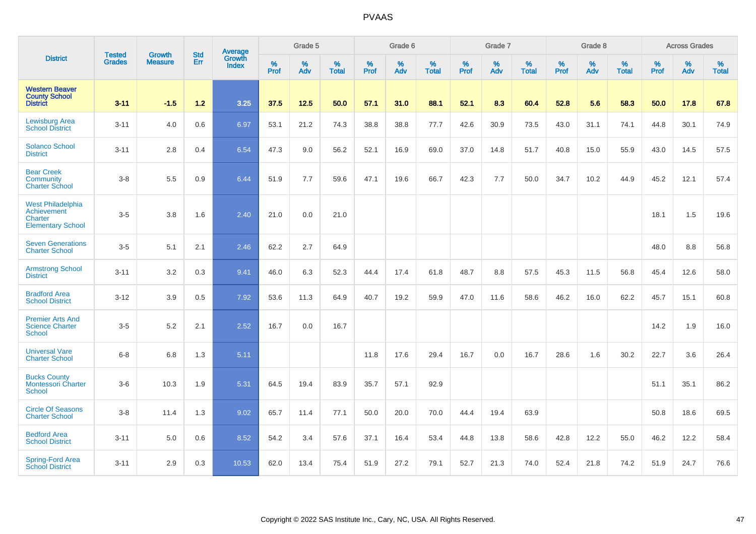|                                                                                | <b>Tested</b> | <b>Growth</b>  | <b>Std</b> | Average                |                  | Grade 5  |                   |           | Grade 6  |                   |           | Grade 7  |                   |           | Grade 8  |                   |                  | <b>Across Grades</b> |                   |
|--------------------------------------------------------------------------------|---------------|----------------|------------|------------------------|------------------|----------|-------------------|-----------|----------|-------------------|-----------|----------|-------------------|-----------|----------|-------------------|------------------|----------------------|-------------------|
| <b>District</b>                                                                | <b>Grades</b> | <b>Measure</b> | Err        | Growth<br><b>Index</b> | %<br><b>Prof</b> | %<br>Adv | %<br><b>Total</b> | %<br>Prof | %<br>Adv | %<br><b>Total</b> | %<br>Prof | %<br>Adv | %<br><b>Total</b> | %<br>Prof | %<br>Adv | %<br><b>Total</b> | %<br><b>Prof</b> | %<br>Adv             | %<br><b>Total</b> |
| <b>Western Beaver</b><br><b>County School</b><br><b>District</b>               | $3 - 11$      | $-1.5$         | $1.2$      | 3.25                   | 37.5             | 12.5     | 50.0              | 57.1      | 31.0     | 88.1              | 52.1      | 8.3      | 60.4              | 52.8      | 5.6      | 58.3              | 50.0             | 17.8                 | 67.8              |
| <b>Lewisburg Area</b><br><b>School District</b>                                | $3 - 11$      | 4.0            | 0.6        | 6.97                   | 53.1             | 21.2     | 74.3              | 38.8      | 38.8     | 77.7              | 42.6      | 30.9     | 73.5              | 43.0      | 31.1     | 74.1              | 44.8             | 30.1                 | 74.9              |
| Solanco School<br><b>District</b>                                              | $3 - 11$      | 2.8            | 0.4        | 6.54                   | 47.3             | 9.0      | 56.2              | 52.1      | 16.9     | 69.0              | 37.0      | 14.8     | 51.7              | 40.8      | 15.0     | 55.9              | 43.0             | 14.5                 | 57.5              |
| <b>Bear Creek</b><br>Community<br><b>Charter School</b>                        | $3-8$         | 5.5            | 0.9        | 6.44                   | 51.9             | 7.7      | 59.6              | 47.1      | 19.6     | 66.7              | 42.3      | 7.7      | 50.0              | 34.7      | 10.2     | 44.9              | 45.2             | 12.1                 | 57.4              |
| <b>West Philadelphia</b><br>Achievement<br>Charter<br><b>Elementary School</b> | $3-5$         | 3.8            | 1.6        | 2.40                   | 21.0             | 0.0      | 21.0              |           |          |                   |           |          |                   |           |          |                   | 18.1             | 1.5                  | 19.6              |
| <b>Seven Generations</b><br><b>Charter School</b>                              | $3-5$         | 5.1            | 2.1        | 2.46                   | 62.2             | 2.7      | 64.9              |           |          |                   |           |          |                   |           |          |                   | 48.0             | 8.8                  | 56.8              |
| <b>Armstrong School</b><br><b>District</b>                                     | $3 - 11$      | 3.2            | 0.3        | 9.41                   | 46.0             | 6.3      | 52.3              | 44.4      | 17.4     | 61.8              | 48.7      | 8.8      | 57.5              | 45.3      | 11.5     | 56.8              | 45.4             | 12.6                 | 58.0              |
| <b>Bradford Area</b><br><b>School District</b>                                 | $3 - 12$      | 3.9            | 0.5        | 7.92                   | 53.6             | 11.3     | 64.9              | 40.7      | 19.2     | 59.9              | 47.0      | 11.6     | 58.6              | 46.2      | 16.0     | 62.2              | 45.7             | 15.1                 | 60.8              |
| <b>Premier Arts And</b><br><b>Science Charter</b><br><b>School</b>             | $3-5$         | 5.2            | 2.1        | 2.52                   | 16.7             | 0.0      | 16.7              |           |          |                   |           |          |                   |           |          |                   | 14.2             | 1.9                  | 16.0              |
| <b>Universal Vare</b><br><b>Charter School</b>                                 | $6 - 8$       | 6.8            | 1.3        | 5.11                   |                  |          |                   | 11.8      | 17.6     | 29.4              | 16.7      | 0.0      | 16.7              | 28.6      | 1.6      | 30.2              | 22.7             | 3.6                  | 26.4              |
| <b>Bucks County</b><br><b>Montessori Charter</b><br><b>School</b>              | $3-6$         | 10.3           | 1.9        | 5.31                   | 64.5             | 19.4     | 83.9              | 35.7      | 57.1     | 92.9              |           |          |                   |           |          |                   | 51.1             | 35.1                 | 86.2              |
| <b>Circle Of Seasons</b><br><b>Charter School</b>                              | $3-8$         | 11.4           | 1.3        | 9.02                   | 65.7             | 11.4     | 77.1              | 50.0      | 20.0     | 70.0              | 44.4      | 19.4     | 63.9              |           |          |                   | 50.8             | 18.6                 | 69.5              |
| <b>Bedford Area</b><br><b>School District</b>                                  | $3 - 11$      | 5.0            | 0.6        | 8.52                   | 54.2             | 3.4      | 57.6              | 37.1      | 16.4     | 53.4              | 44.8      | 13.8     | 58.6              | 42.8      | 12.2     | 55.0              | 46.2             | 12.2                 | 58.4              |
| Spring-Ford Area<br><b>School District</b>                                     | $3 - 11$      | 2.9            | 0.3        | 10.53                  | 62.0             | 13.4     | 75.4              | 51.9      | 27.2     | 79.1              | 52.7      | 21.3     | 74.0              | 52.4      | 21.8     | 74.2              | 51.9             | 24.7                 | 76.6              |